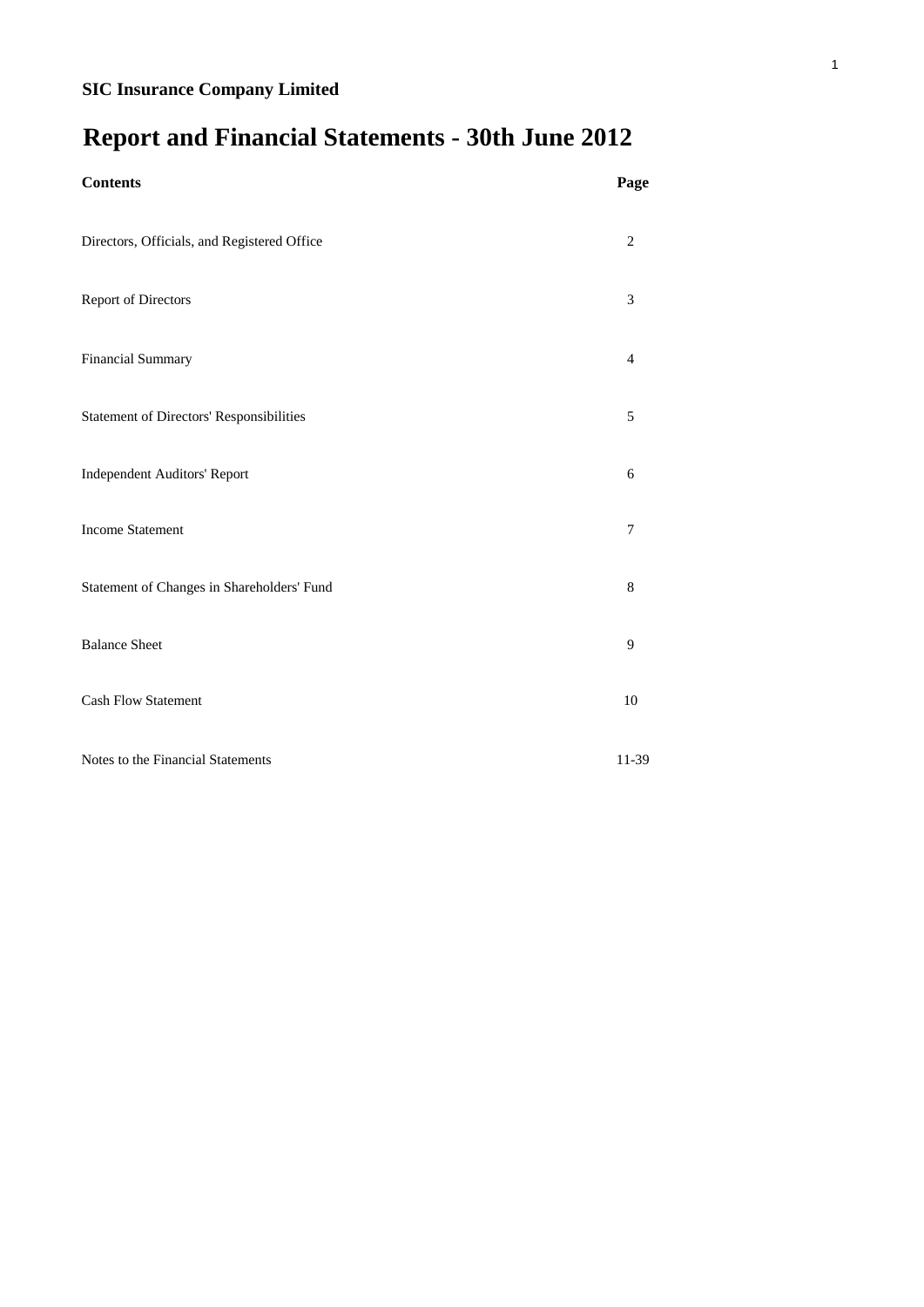# **Report and Financial Statements - 30th June 2012**

| <b>Contents</b>                             | Page    |
|---------------------------------------------|---------|
| Directors, Officials, and Registered Office | 2       |
| Report of Directors                         | 3       |
| Financial Summary                           | 4       |
| Statement of Directors' Responsibilities    | 5       |
| <b>Independent Auditors' Report</b>         | 6       |
| <b>Income Statement</b>                     | 7       |
| Statement of Changes in Shareholders' Fund  | $\,8\,$ |
| <b>Balance Sheet</b>                        | 9       |
| <b>Cash Flow Statement</b>                  | 10      |
| Notes to the Financial Statements           | 11-39   |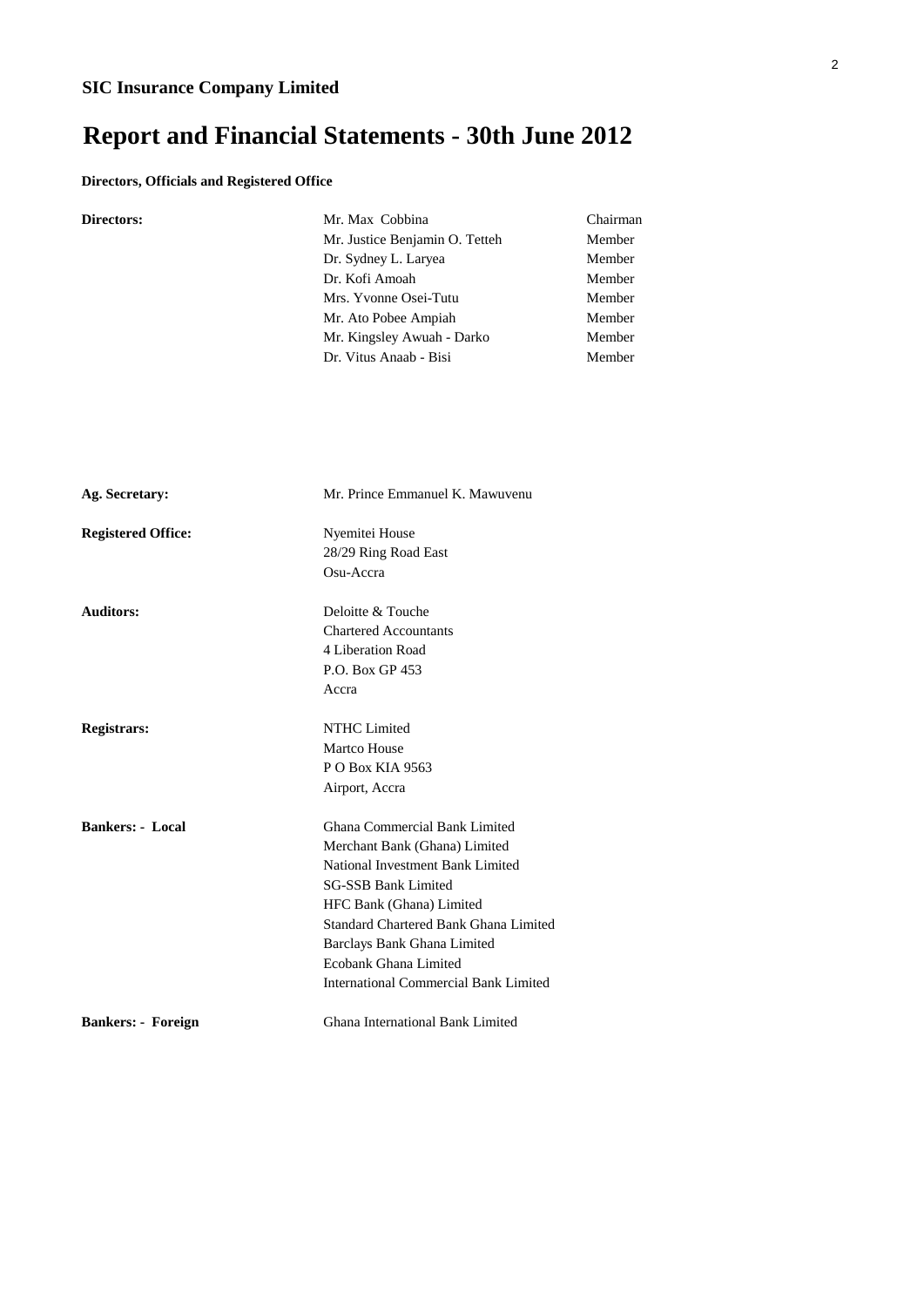# **Report and Financial Statements - 30th June 2012**

### **Directors, Officials and Registered Office**

| Directors:                | Mr. Max Cobbina<br>Mr. Justice Benjamin O. Tetteh<br>Dr. Sydney L. Laryea<br>Dr. Kofi Amoah<br>Mrs. Yvonne Osei-Tutu<br>Mr. Ato Pobee Ampiah<br>Mr. Kingsley Awuah - Darko<br>Dr. Vitus Anaab - Bisi | Chairman<br>Member<br>Member<br>Member<br>Member<br>Member<br>Member<br>Member |
|---------------------------|------------------------------------------------------------------------------------------------------------------------------------------------------------------------------------------------------|--------------------------------------------------------------------------------|
|                           |                                                                                                                                                                                                      |                                                                                |
| Ag. Secretary:            | Mr. Prince Emmanuel K. Mawuvenu                                                                                                                                                                      |                                                                                |
| <b>Registered Office:</b> | Nyemitei House                                                                                                                                                                                       |                                                                                |
|                           | 28/29 Ring Road East<br>Osu-Accra                                                                                                                                                                    |                                                                                |
| <b>Auditors:</b>          | Deloitte & Touche                                                                                                                                                                                    |                                                                                |
|                           | <b>Chartered Accountants</b>                                                                                                                                                                         |                                                                                |
|                           | 4 Liberation Road                                                                                                                                                                                    |                                                                                |
|                           | P.O. Box GP 453                                                                                                                                                                                      |                                                                                |
|                           | Accra                                                                                                                                                                                                |                                                                                |
| <b>Registrars:</b>        | NTHC Limited                                                                                                                                                                                         |                                                                                |
|                           | Martco House                                                                                                                                                                                         |                                                                                |
|                           | P O Box KIA 9563                                                                                                                                                                                     |                                                                                |
|                           | Airport, Accra                                                                                                                                                                                       |                                                                                |
| <b>Bankers: - Local</b>   | Ghana Commercial Bank Limited                                                                                                                                                                        |                                                                                |
|                           | Merchant Bank (Ghana) Limited                                                                                                                                                                        |                                                                                |
|                           | National Investment Bank Limited                                                                                                                                                                     |                                                                                |
|                           | <b>SG-SSB Bank Limited</b>                                                                                                                                                                           |                                                                                |
|                           | HFC Bank (Ghana) Limited                                                                                                                                                                             |                                                                                |
|                           | Standard Chartered Bank Ghana Limited                                                                                                                                                                |                                                                                |
|                           | Barclays Bank Ghana Limited                                                                                                                                                                          |                                                                                |
|                           | Ecobank Ghana Limited                                                                                                                                                                                |                                                                                |
|                           | <b>International Commercial Bank Limited</b>                                                                                                                                                         |                                                                                |
| <b>Bankers: - Foreign</b> | Ghana International Bank Limited                                                                                                                                                                     |                                                                                |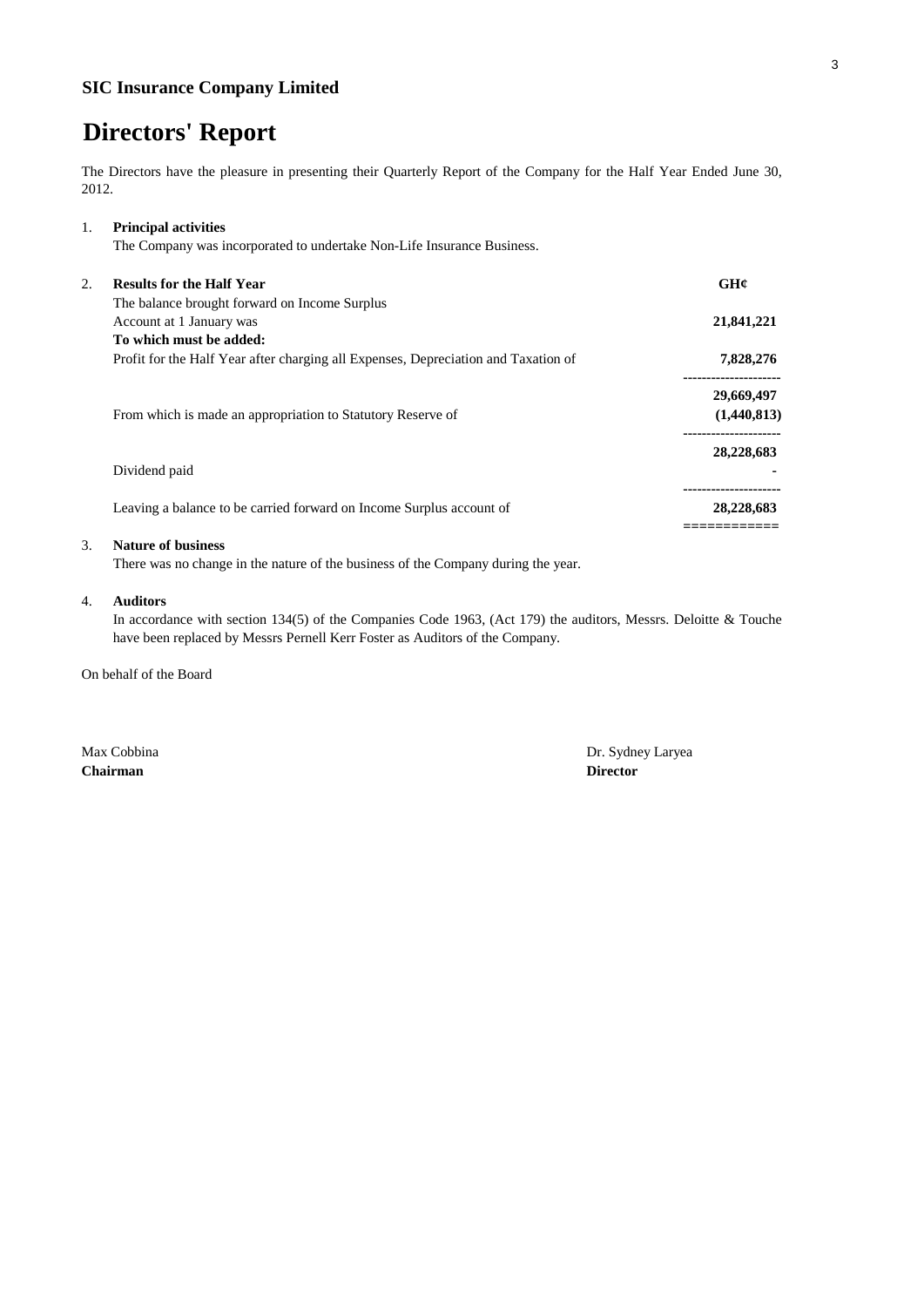# **Directors' Report**

The Directors have the pleasure in presenting their Quarterly Report of the Company for the Half Year Ended June 30, 2012.

| 1. | <b>Principal activities</b>                                                        |             |
|----|------------------------------------------------------------------------------------|-------------|
|    | The Company was incorporated to undertake Non-Life Insurance Business.             |             |
| 2. | <b>Results for the Half Year</b>                                                   | GHC         |
|    | The balance brought forward on Income Surplus                                      |             |
|    | Account at 1 January was                                                           | 21,841,221  |
|    | To which must be added:                                                            |             |
|    | Profit for the Half Year after charging all Expenses, Depreciation and Taxation of | 7,828,276   |
|    |                                                                                    | 29,669,497  |
|    | From which is made an appropriation to Statutory Reserve of                        | (1,440,813) |
|    |                                                                                    | 28,228,683  |
|    | Dividend paid                                                                      |             |
|    | Leaving a balance to be carried forward on Income Surplus account of               | 28,228,683  |
|    |                                                                                    |             |

### 3. **Nature of business**

There was no change in the nature of the business of the Company during the year.

### 4. **Auditors**

In accordance with section 134(5) of the Companies Code 1963, (Act 179) the auditors, Messrs. Deloitte & Touche have been replaced by Messrs Pernell Kerr Foster as Auditors of the Company.

On behalf of the Board

**Chairman Director**

Max Cobbina Dr. Sydney Laryea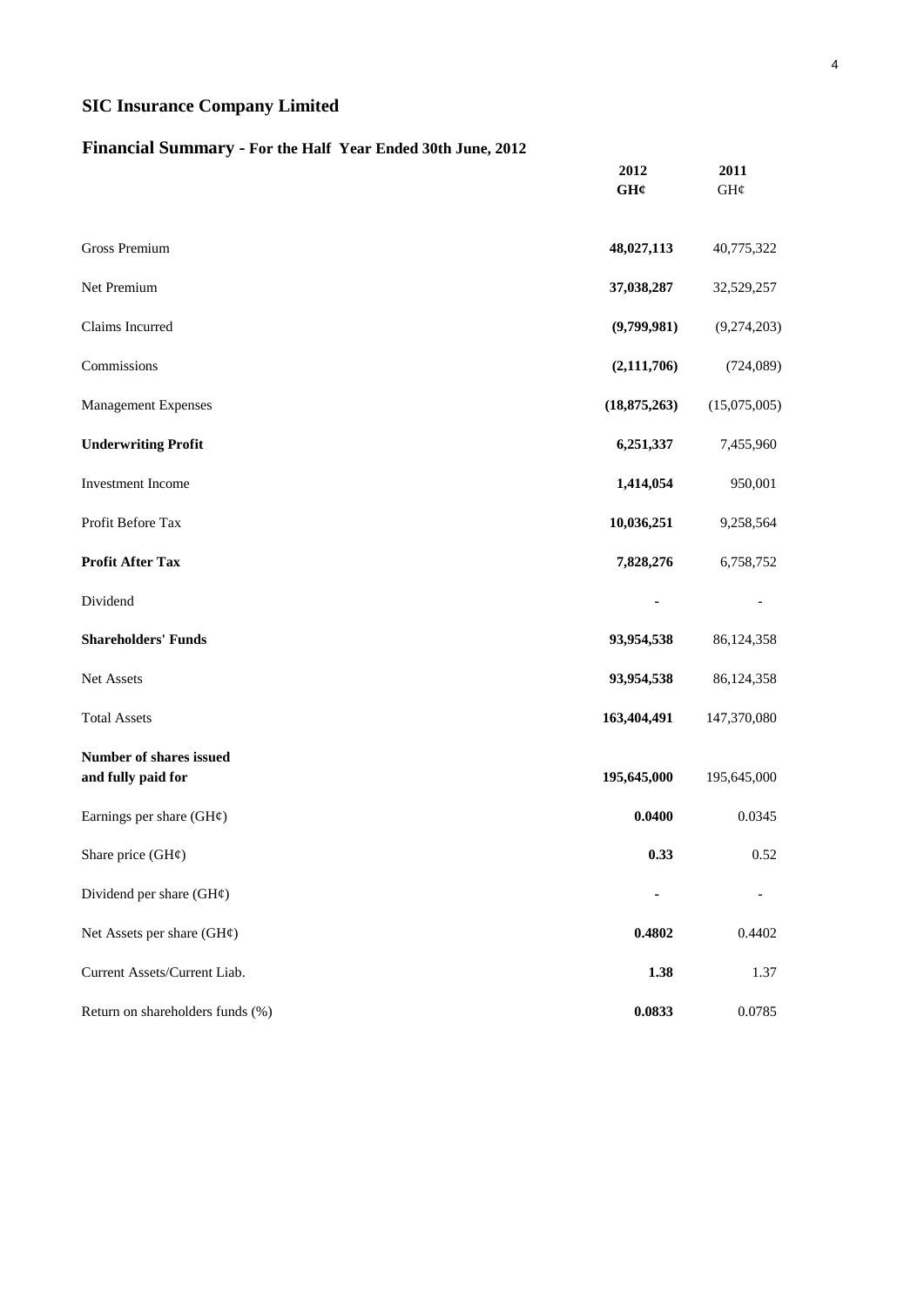## **Financial Summary - For the Half Year Ended 30th June, 2012**

|                                                      | 2012<br>GH¢    | 2011<br>GH¢  |
|------------------------------------------------------|----------------|--------------|
| <b>Gross Premium</b>                                 | 48,027,113     | 40,775,322   |
| Net Premium                                          | 37,038,287     | 32,529,257   |
| Claims Incurred                                      | (9,799,981)    | (9,274,203)  |
| Commissions                                          | (2, 111, 706)  | (724, 089)   |
| <b>Management Expenses</b>                           | (18, 875, 263) | (15,075,005) |
| <b>Underwriting Profit</b>                           | 6,251,337      | 7,455,960    |
| Investment Income                                    | 1,414,054      | 950,001      |
| Profit Before Tax                                    | 10,036,251     | 9,258,564    |
| <b>Profit After Tax</b>                              | 7,828,276      | 6,758,752    |
| Dividend                                             |                |              |
| <b>Shareholders' Funds</b>                           | 93,954,538     | 86,124,358   |
| Net Assets                                           | 93,954,538     | 86,124,358   |
| <b>Total Assets</b>                                  | 163,404,491    | 147,370,080  |
| <b>Number of shares issued</b><br>and fully paid for | 195,645,000    | 195,645,000  |
| Earnings per share $(GH\varphi)$                     | 0.0400         | 0.0345       |
| Share price $(GH\varphi)$                            | 0.33           | 0.52         |
| Dividend per share $(GH\varphi)$                     |                |              |
| Net Assets per share (GH¢)                           | 0.4802         | 0.4402       |
| Current Assets/Current Liab.                         | 1.38           | 1.37         |
| Return on shareholders funds (%)                     | 0.0833         | 0.0785       |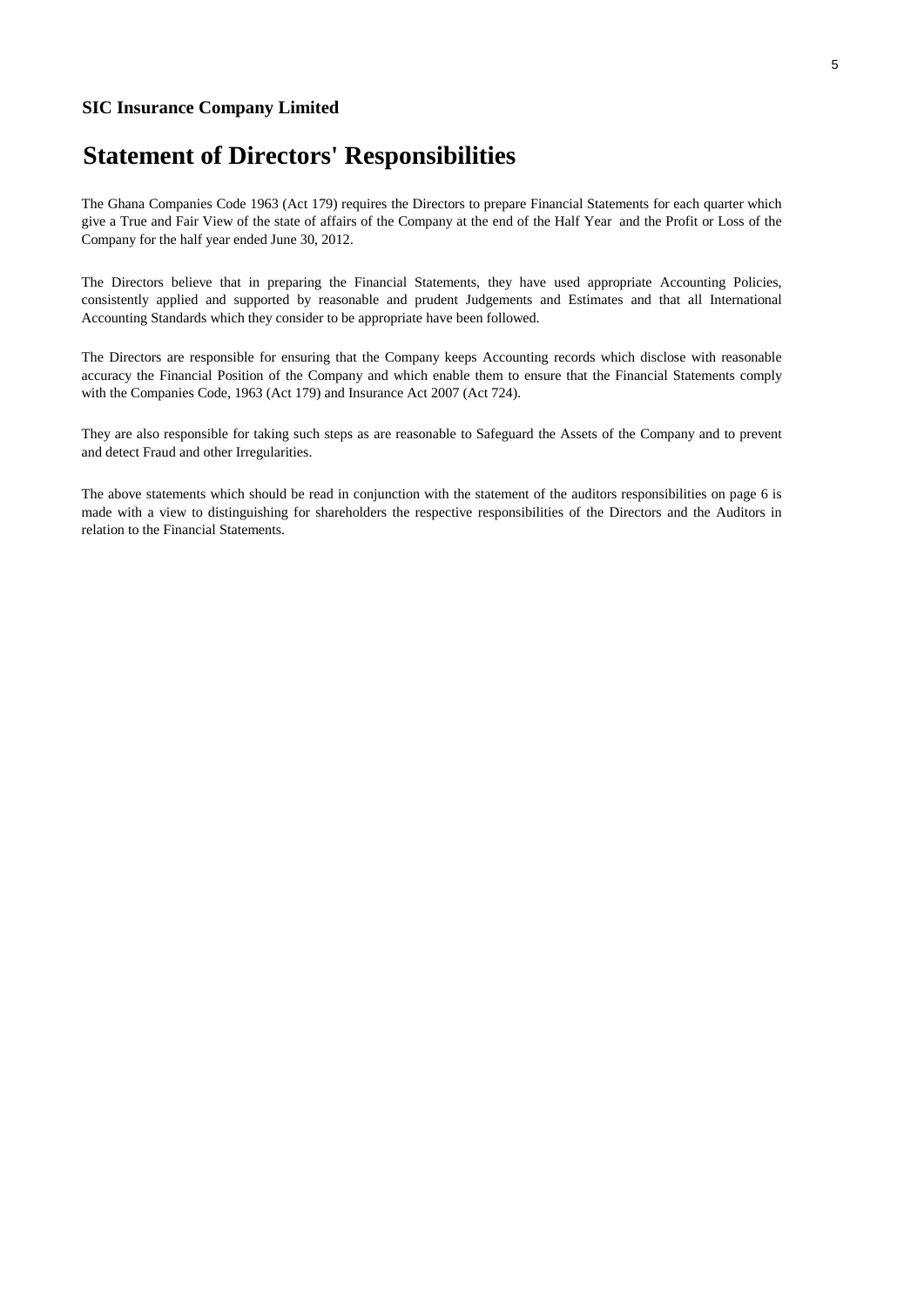# **Statement of Directors' Responsibilities**

The Ghana Companies Code 1963 (Act 179) requires the Directors to prepare Financial Statements for each quarter which give a True and Fair View of the state of affairs of the Company at the end of the Half Year and the Profit or Loss of the Company for the half year ended June 30, 2012.

The Directors believe that in preparing the Financial Statements, they have used appropriate Accounting Policies, consistently applied and supported by reasonable and prudent Judgements and Estimates and that all International Accounting Standards which they consider to be appropriate have been followed.

The Directors are responsible for ensuring that the Company keeps Accounting records which disclose with reasonable accuracy the Financial Position of the Company and which enable them to ensure that the Financial Statements comply with the Companies Code, 1963 (Act 179) and Insurance Act 2007 (Act 724).

They are also responsible for taking such steps as are reasonable to Safeguard the Assets of the Company and to prevent and detect Fraud and other Irregularities.

The above statements which should be read in conjunction with the statement of the auditors responsibilities on page 6 is made with a view to distinguishing for shareholders the respective responsibilities of the Directors and the Auditors in relation to the Financial Statements.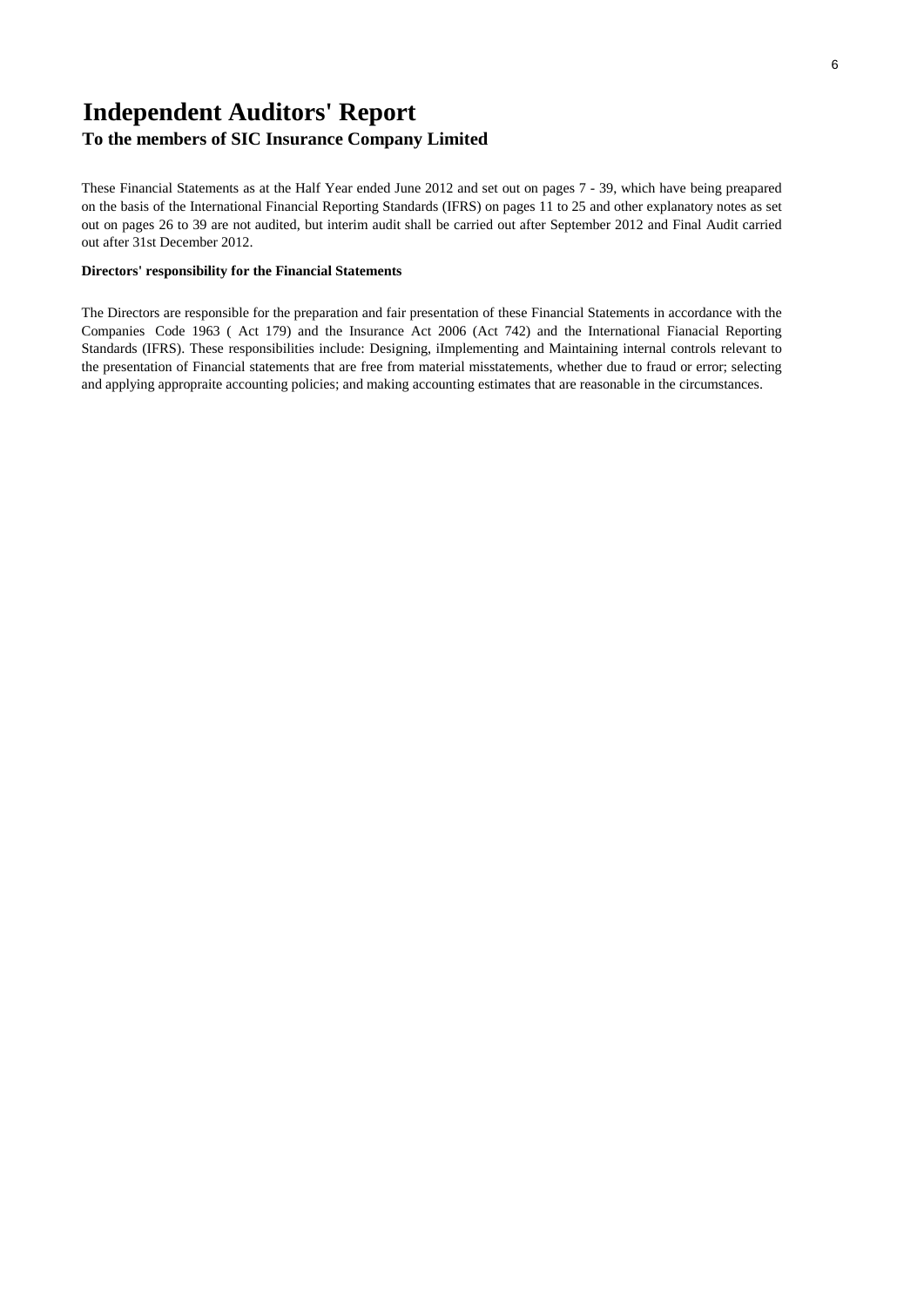# **Independent Auditors' Report**

## **To the members of SIC Insurance Company Limited**

These Financial Statements as at the Half Year ended June 2012 and set out on pages 7 - 39, which have being preapared on the basis of the International Financial Reporting Standards (IFRS) on pages 11 to 25 and other explanatory notes as set out on pages 26 to 39 are not audited, but interim audit shall be carried out after September 2012 and Final Audit carried out after 31st December 2012.

#### **Directors' responsibility for the Financial Statements**

The Directors are responsible for the preparation and fair presentation of these Financial Statements in accordance with the Companies Code 1963 ( Act 179) and the Insurance Act 2006 (Act 742) and the International Fianacial Reporting Standards (IFRS). These responsibilities include: Designing, iImplementing and Maintaining internal controls relevant to the presentation of Financial statements that are free from material misstatements, whether due to fraud or error; selecting and applying appropraite accounting policies; and making accounting estimates that are reasonable in the circumstances.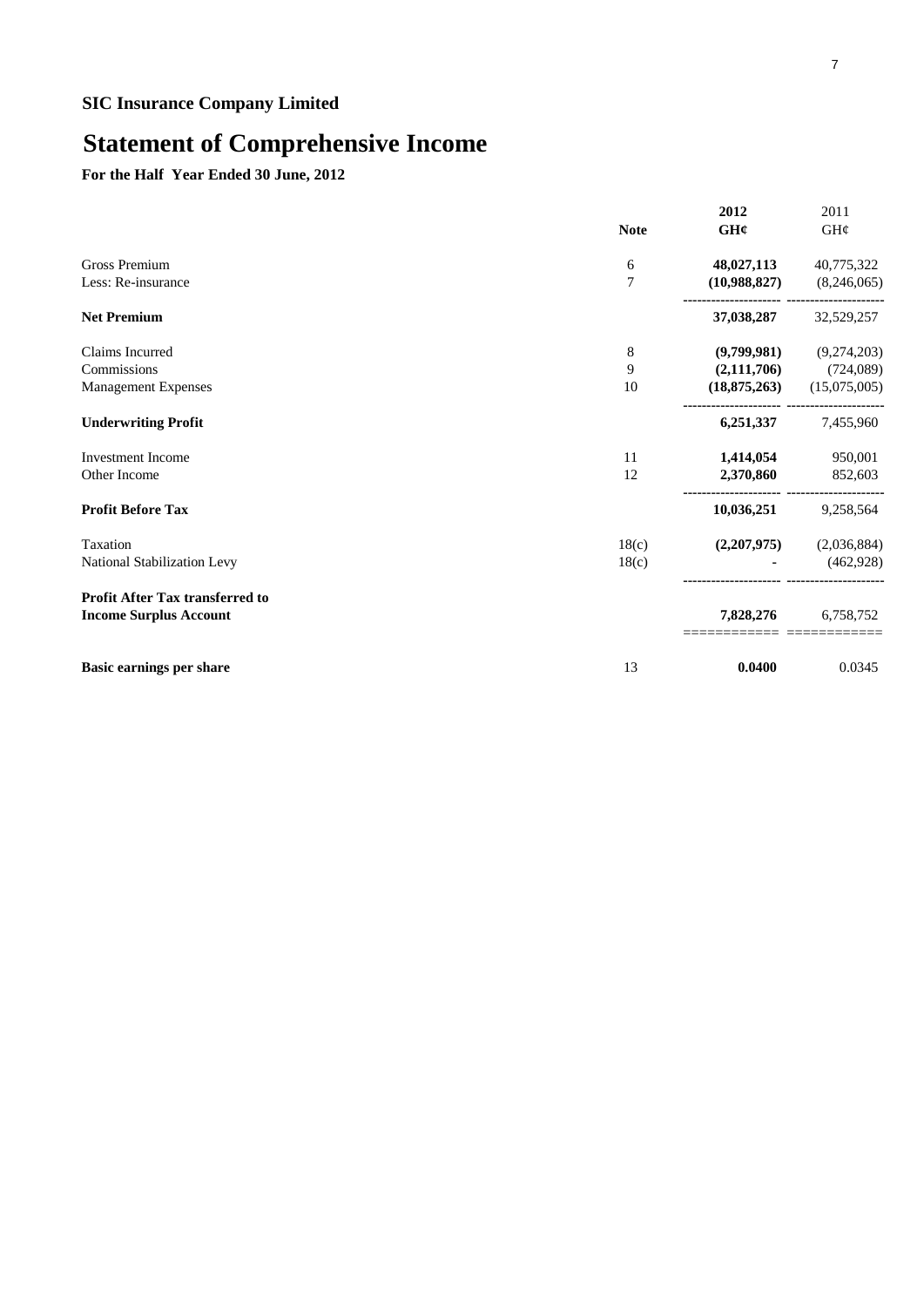# **Statement of Comprehensive Income**

**For the Half Year Ended 30 June, 2012**

|                                        | <b>Note</b> | 2012<br>GH¢    | 2011<br>GH¢  |
|----------------------------------------|-------------|----------------|--------------|
| <b>Gross Premium</b>                   | 6           | 48,027,113     | 40,775,322   |
| Less: Re-insurance                     | 7           | (10,988,827)   | (8,246,065)  |
| <b>Net Premium</b>                     |             | 37,038,287     | 32,529,257   |
| Claims Incurred                        | 8           | (9,799,981)    | (9,274,203)  |
| Commissions                            | 9           | (2,111,706)    | (724,089)    |
| Management Expenses                    | 10          | (18, 875, 263) | (15,075,005) |
| <b>Underwriting Profit</b>             |             | 6,251,337      | 7,455,960    |
| <b>Investment Income</b>               | 11          | 1,414,054      | 950,001      |
| Other Income                           | 12          | 2,370,860      | 852,603      |
| <b>Profit Before Tax</b>               |             | 10,036,251     | 9,258,564    |
| Taxation                               | 18(c)       | (2,207,975)    | (2,036,884)  |
| National Stabilization Levy            | 18(c)       |                | (462,928)    |
| <b>Profit After Tax transferred to</b> |             |                |              |
| <b>Income Surplus Account</b>          |             | 7,828,276      | 6,758,752    |
| <b>Basic earnings per share</b>        | 13          | 0.0400         | 0.0345       |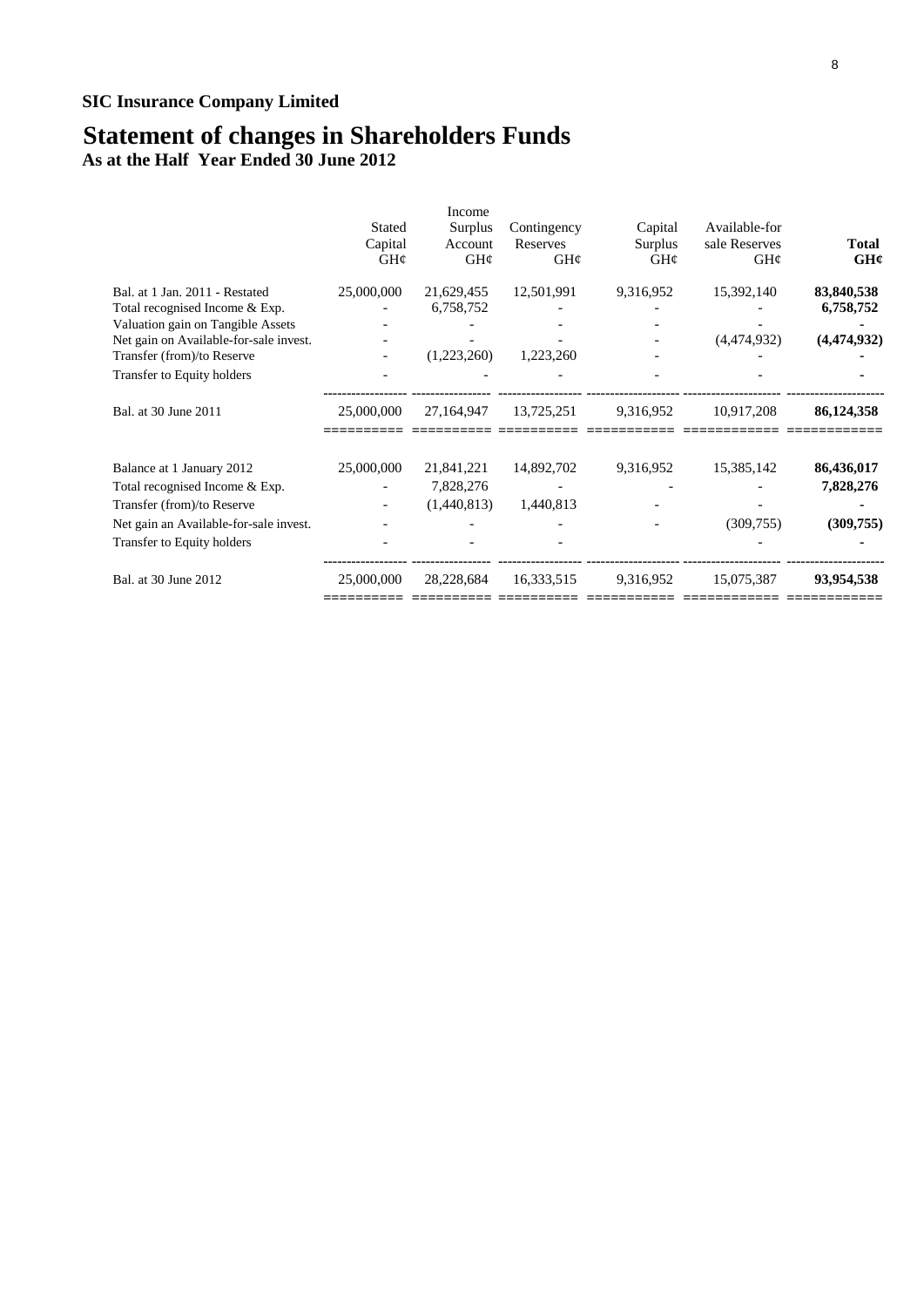## **Statement of changes in Shareholders Funds**

**As at the Half Year Ended 30 June 2012**

|                                                                  | <b>Stated</b><br>Capital<br>GH¢ | Income<br>Surplus<br>Account<br>GH¢ | Contingency<br>Reserves<br>GH¢ | Capital<br>Surplus<br>GH¢ | Available-for<br>sale Reserves<br>GH¢ | <b>Total</b><br>GH¢     |
|------------------------------------------------------------------|---------------------------------|-------------------------------------|--------------------------------|---------------------------|---------------------------------------|-------------------------|
| Bal. at 1 Jan. 2011 - Restated<br>Total recognised Income & Exp. | 25,000,000                      | 21,629,455<br>6,758,752             | 12,501,991                     | 9,316,952                 | 15,392,140                            | 83,840,538<br>6,758,752 |
| Valuation gain on Tangible Assets                                |                                 |                                     |                                |                           |                                       |                         |
| Net gain on Available-for-sale invest.                           |                                 |                                     |                                |                           | (4,474,932)                           | (4,474,932)             |
| Transfer (from)/to Reserve                                       |                                 | (1,223,260)                         | 1,223,260                      |                           |                                       |                         |
| Transfer to Equity holders                                       |                                 |                                     |                                |                           |                                       |                         |
| Bal. at 30 June 2011                                             | 25,000,000                      | 27,164,947                          | 13,725,251                     | 9,316,952                 | 10,917,208                            | 86,124,358              |
| Balance at 1 January 2012                                        | 25,000,000                      | 21,841,221                          | 14,892,702                     | 9,316,952                 | 15,385,142                            | 86,436,017              |
| Total recognised Income & Exp.                                   |                                 | 7,828,276                           |                                |                           |                                       | 7,828,276               |
| Transfer (from)/to Reserve                                       |                                 | (1,440,813)                         | 1,440,813                      |                           |                                       |                         |
| Net gain an Available-for-sale invest.                           |                                 |                                     |                                |                           | (309, 755)                            | (309, 755)              |
| Transfer to Equity holders                                       |                                 |                                     |                                |                           |                                       |                         |
| Bal. at 30 June 2012                                             | 25,000,000                      | 28,228,684                          | 16,333,515                     | 9,316,952                 | 15,075,387                            | 93,954,538              |
|                                                                  |                                 |                                     |                                |                           |                                       |                         |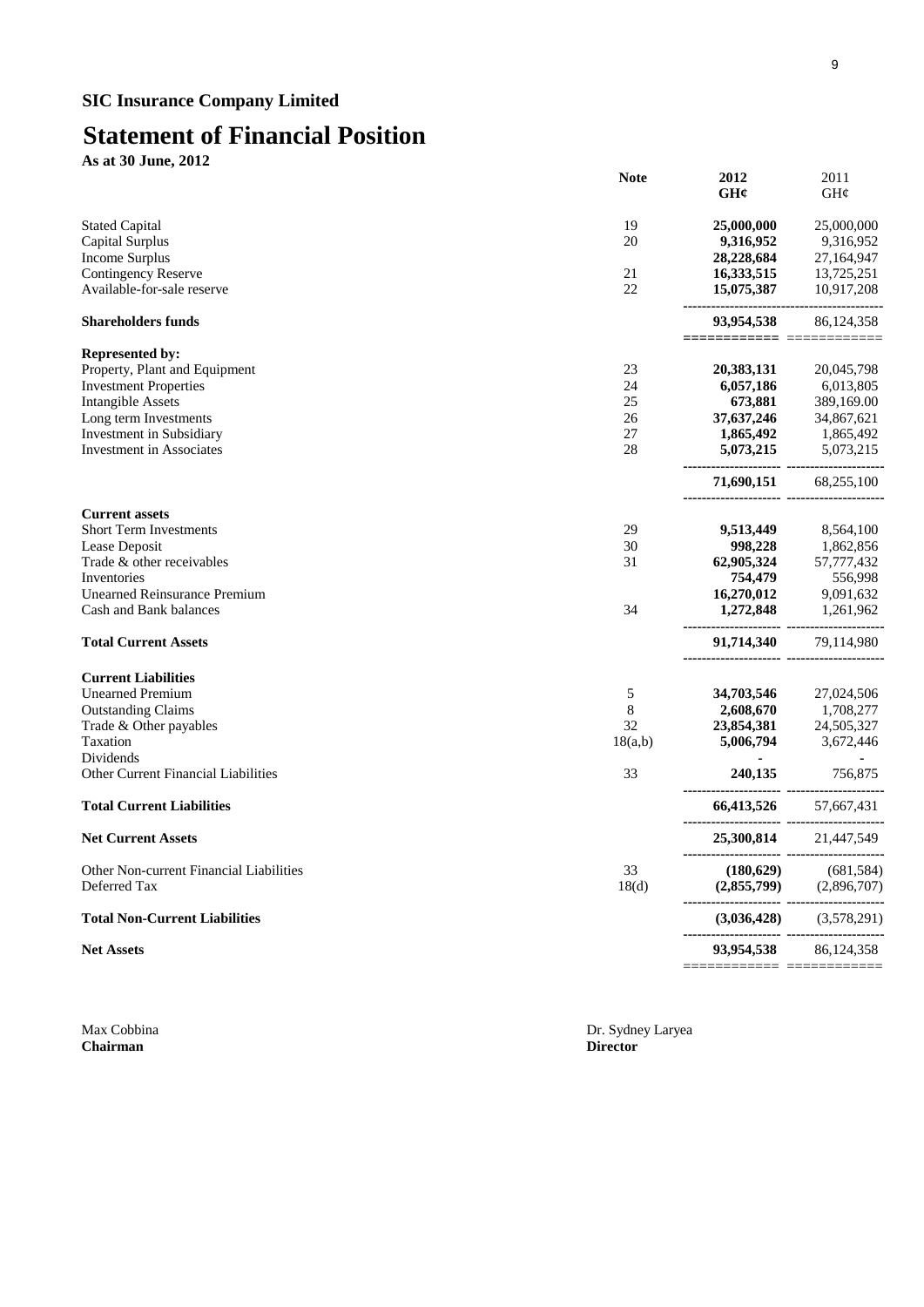# **Statement of Financial Position**

**As at 30 June, 2012**

|                                         | <b>Note</b>     | 2012<br>GH¢               | 2011<br>GH¢                                               |
|-----------------------------------------|-----------------|---------------------------|-----------------------------------------------------------|
| <b>Stated Capital</b>                   | 19              | 25,000,000                | 25,000,000                                                |
| Capital Surplus                         | 20              | 9,316,952                 | 9,316,952                                                 |
| <b>Income Surplus</b>                   |                 | 28,228,684                | 27,164,947                                                |
| <b>Contingency Reserve</b>              | 21              | 16,333,515                | 13,725,251                                                |
| Available-for-sale reserve              | 22              | 15,075,387                | 10,917,208                                                |
| <b>Shareholders funds</b>               |                 | 93,954,538                | 86,124,358                                                |
| <b>Represented by:</b>                  |                 |                           |                                                           |
| Property, Plant and Equipment           | 23              | 20,383,131                | 20,045,798                                                |
| <b>Investment Properties</b>            | 24              | 6,057,186                 | 6,013,805                                                 |
| <b>Intangible Assets</b>                | 25              | 673,881                   | 389,169.00                                                |
| Long term Investments                   | 26              | 37,637,246                | 34,867,621                                                |
| Investment in Subsidiary                | 27              | 1,865,492                 | 1,865,492                                                 |
| <b>Investment</b> in Associates         | 28              | 5,073,215                 | 5,073,215                                                 |
|                                         |                 | 71,690,151                | 68,255,100                                                |
| <b>Current assets</b>                   |                 |                           |                                                           |
| <b>Short Term Investments</b>           | 29              | 9,513,449                 | 8,564,100                                                 |
| Lease Deposit                           | 30              | 998,228                   | 1,862,856                                                 |
| Trade & other receivables               | 31              | 62,905,324                | 57,777,432                                                |
| Inventories                             |                 | 754,479                   | 556,998                                                   |
| <b>Unearned Reinsurance Premium</b>     |                 | 16,270,012                | <b>16,270,012</b> 9,091,632<br><b>1,272,848</b> 1,261,962 |
| Cash and Bank balances                  | 34              |                           |                                                           |
| <b>Total Current Assets</b>             |                 | 91,714,340 79,114,980     |                                                           |
| <b>Current Liabilities</b>              |                 |                           |                                                           |
| <b>Unearned Premium</b>                 | 5               | 34,703,546                | 27,024,506                                                |
| <b>Outstanding Claims</b>               | $\,8\,$         | 2,608,670                 | 1,708,277                                                 |
| Trade & Other payables                  | 32              | 23,854,381                | 24,505,327                                                |
| Taxation                                | 18(a,b)         | 5,006,794                 | 3,672,446                                                 |
| Dividends                               |                 | $\sim$                    | $\blacksquare$                                            |
| Other Current Financial Liabilities     | 33              | 240,135                   | 756,875                                                   |
| <b>Total Current Liabilities</b>        |                 | 66,413,526 57,667,431     |                                                           |
| <b>Net Current Assets</b>               |                 | 25,300,814                | 21,447,549                                                |
| Other Non-current Financial Liabilities | 33              |                           |                                                           |
| Deferred Tax                            | 18 <sub>d</sub> |                           | (180,629) (681,584)<br>(2,855,799) (2,896,707)            |
| <b>Total Non-Current Liabilities</b>    |                 | (3,036,428)               | (3,578,291)                                               |
| <b>Net Assets</b>                       |                 | 93,954,538                | 86,124,358                                                |
|                                         |                 | ========================= |                                                           |

**Chairman** 

Max Cobbina Dr. Sydney Laryea Dr. Sydney Laryea Dr. Sydney Laryea Dr. Sydney Laryea Director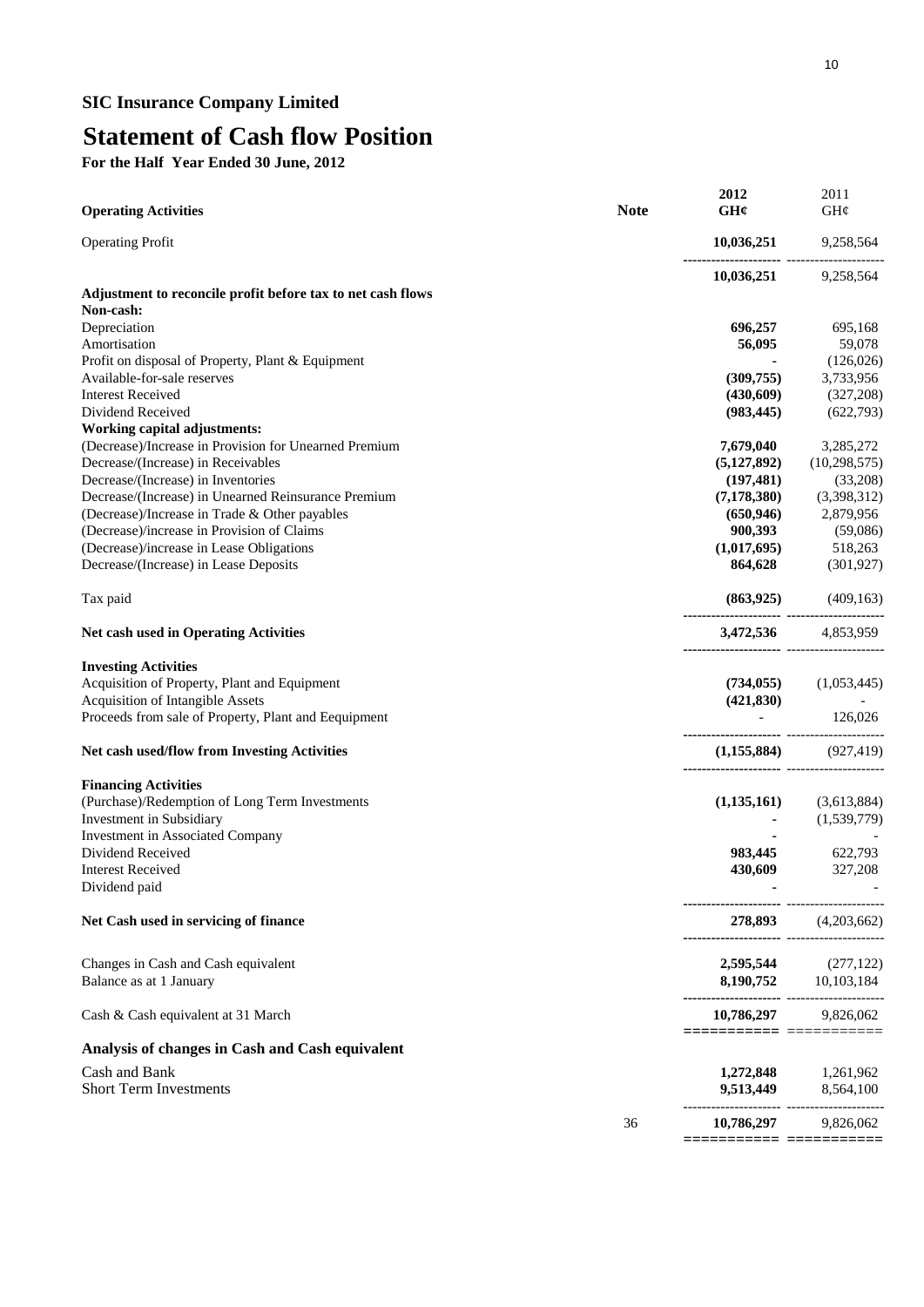# **Statement of Cash flow Position**

**For the Half Year Ended 30 June, 2012**

| <b>Operating Activities</b>                                 | <b>Note</b> | 2012<br>GHC                                          | 2011<br>GH¢                 |
|-------------------------------------------------------------|-------------|------------------------------------------------------|-----------------------------|
| <b>Operating Profit</b>                                     |             | 10,036,251                                           | 9,258,564                   |
|                                                             |             |                                                      | $10,036,251$ 9,258,564      |
| Adjustment to reconcile profit before tax to net cash flows |             |                                                      |                             |
| Non-cash:                                                   |             |                                                      |                             |
| Depreciation                                                |             | 696,257                                              | 695,168                     |
| Amortisation                                                |             | 56,095                                               | 59,078                      |
| Profit on disposal of Property, Plant & Equipment           |             |                                                      | (126, 026)                  |
| Available-for-sale reserves                                 |             | (309,755)                                            | 3,733,956                   |
| <b>Interest Received</b>                                    |             | (430,609)                                            | (327,208)                   |
| Dividend Received                                           |             | (983, 445)                                           | (622,793)                   |
| <b>Working capital adjustments:</b>                         |             |                                                      |                             |
| (Decrease)/Increase in Provision for Unearned Premium       |             | 7,679,040                                            | 3,285,272                   |
| Decrease/(Increase) in Receivables                          |             | (5,127,892)                                          | (10, 298, 575)              |
| Decrease/(Increase) in Inventories                          |             | (197, 481)                                           | (33,208)                    |
| Decrease/(Increase) in Unearned Reinsurance Premium         |             | (7, 178, 380)                                        | (3,398,312)                 |
| (Decrease)/Increase in Trade & Other payables               |             | (650, 946)                                           | 2,879,956                   |
| (Decrease)/increase in Provision of Claims                  |             | 900,393                                              | (59,086)                    |
| (Decrease)/increase in Lease Obligations                    |             | (1,017,695)                                          | 518,263                     |
| Decrease/(Increase) in Lease Deposits                       |             | 864,628                                              | (301, 927)                  |
| Tax paid                                                    |             |                                                      | $(863,925)$ $(409,163)$     |
| <b>Net cash used in Operating Activities</b>                |             |                                                      | 3,472,536 4,853,959         |
| <b>Investing Activities</b>                                 |             |                                                      |                             |
| Acquisition of Property, Plant and Equipment                |             |                                                      | $(734,055)$ $(1,053,445)$   |
| Acquisition of Intangible Assets                            |             |                                                      |                             |
| Proceeds from sale of Property, Plant and Eequipment        |             | --------------------- --------------                 | $(421,830)$ - 126,026       |
| Net cash used/flow from Investing Activities                |             |                                                      | $(1,155,884)$ $(927,419)$   |
| <b>Financing Activities</b>                                 |             |                                                      |                             |
| (Purchase)/Redemption of Long Term Investments              |             |                                                      | $(1,135,161)$ $(3,613,884)$ |
| Investment in Subsidiary                                    |             |                                                      | (1,539,779)                 |
| Investment in Associated Company                            |             |                                                      |                             |
| Dividend Received                                           |             | 983,445                                              | 622,793                     |
| <b>Interest Received</b>                                    |             | 430,609                                              | 327,208                     |
| Dividend paid                                               |             |                                                      |                             |
| Net Cash used in servicing of finance                       |             | -------------------- -------------                   | 278,893 (4,203,662)         |
| Changes in Cash and Cash equivalent                         |             |                                                      |                             |
| Balance as at 1 January                                     |             |                                                      |                             |
| Cash & Cash equivalent at 31 March                          |             |                                                      | 10,786,297 9,826,062        |
| Analysis of changes in Cash and Cash equivalent             |             | =======================                              |                             |
| Cash and Bank                                               |             |                                                      | 1,272,848 1,261,962         |
| <b>Short Term Investments</b>                               |             |                                                      | 9,513,449 8,564,100         |
|                                                             | 36          | --------------------- ----------------<br>10,786,297 | 9,826,062                   |
|                                                             |             | ======================                               |                             |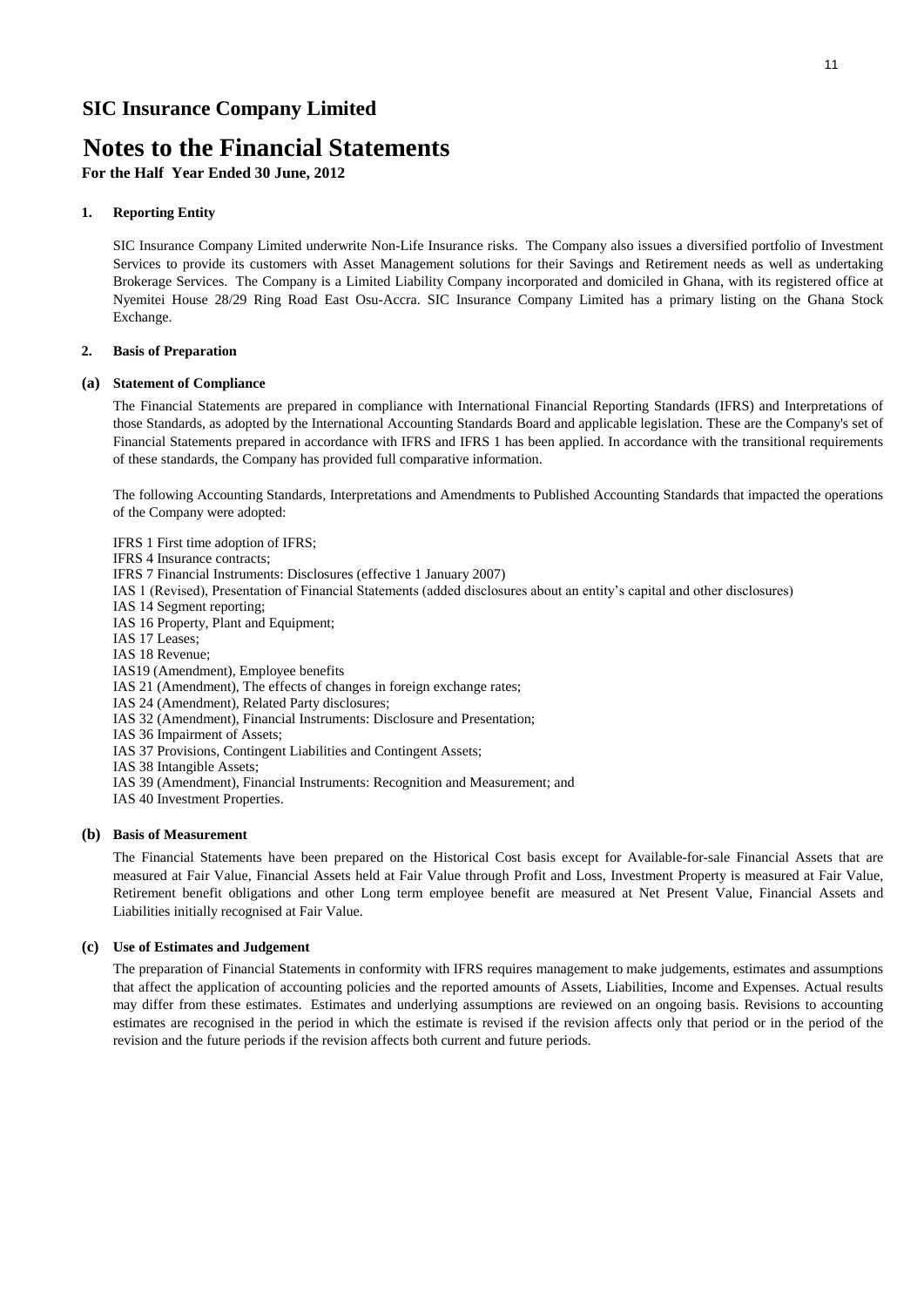## **Notes to the Financial Statements**

**For the Half Year Ended 30 June, 2012**

#### **1. Reporting Entity**

SIC Insurance Company Limited underwrite Non-Life Insurance risks. The Company also issues a diversified portfolio of Investment Services to provide its customers with Asset Management solutions for their Savings and Retirement needs as well as undertaking Brokerage Services. The Company is a Limited Liability Company incorporated and domiciled in Ghana, with its registered office at Nyemitei House 28/29 Ring Road East Osu-Accra. SIC Insurance Company Limited has a primary listing on the Ghana Stock Exchange.

#### **2. Basis of Preparation**

#### **(a) Statement of Compliance**

The Financial Statements are prepared in compliance with International Financial Reporting Standards (IFRS) and Interpretations of those Standards, as adopted by the International Accounting Standards Board and applicable legislation. These are the Company's set of Financial Statements prepared in accordance with IFRS and IFRS 1 has been applied. In accordance with the transitional requirements of these standards, the Company has provided full comparative information.

The following Accounting Standards, Interpretations and Amendments to Published Accounting Standards that impacted the operations of the Company were adopted:

IFRS 1 First time adoption of IFRS;

- IFRS 4 Insurance contracts;
- IFRS 7 Financial Instruments: Disclosures (effective 1 January 2007)
- IAS 1 (Revised), Presentation of Financial Statements (added disclosures about an entity's capital and other disclosures)
- IAS 14 Segment reporting;
- IAS 16 Property, Plant and Equipment;
- IAS 17 Leases;
- IAS 18 Revenue;
- IAS19 (Amendment), Employee benefits
- IAS 21 (Amendment), The effects of changes in foreign exchange rates;
- IAS 24 (Amendment), Related Party disclosures;
- IAS 32 (Amendment), Financial Instruments: Disclosure and Presentation;
- IAS 36 Impairment of Assets;
- IAS 37 Provisions, Contingent Liabilities and Contingent Assets;
- IAS 38 Intangible Assets;
- IAS 39 (Amendment), Financial Instruments: Recognition and Measurement; and
- IAS 40 Investment Properties.

#### **(b) Basis of Measurement**

The Financial Statements have been prepared on the Historical Cost basis except for Available-for-sale Financial Assets that are measured at Fair Value, Financial Assets held at Fair Value through Profit and Loss, Investment Property is measured at Fair Value, Retirement benefit obligations and other Long term employee benefit are measured at Net Present Value, Financial Assets and Liabilities initially recognised at Fair Value.

#### **(c) Use of Estimates and Judgement**

The preparation of Financial Statements in conformity with IFRS requires management to make judgements, estimates and assumptions that affect the application of accounting policies and the reported amounts of Assets, Liabilities, Income and Expenses. Actual results may differ from these estimates. Estimates and underlying assumptions are reviewed on an ongoing basis. Revisions to accounting estimates are recognised in the period in which the estimate is revised if the revision affects only that period or in the period of the revision and the future periods if the revision affects both current and future periods.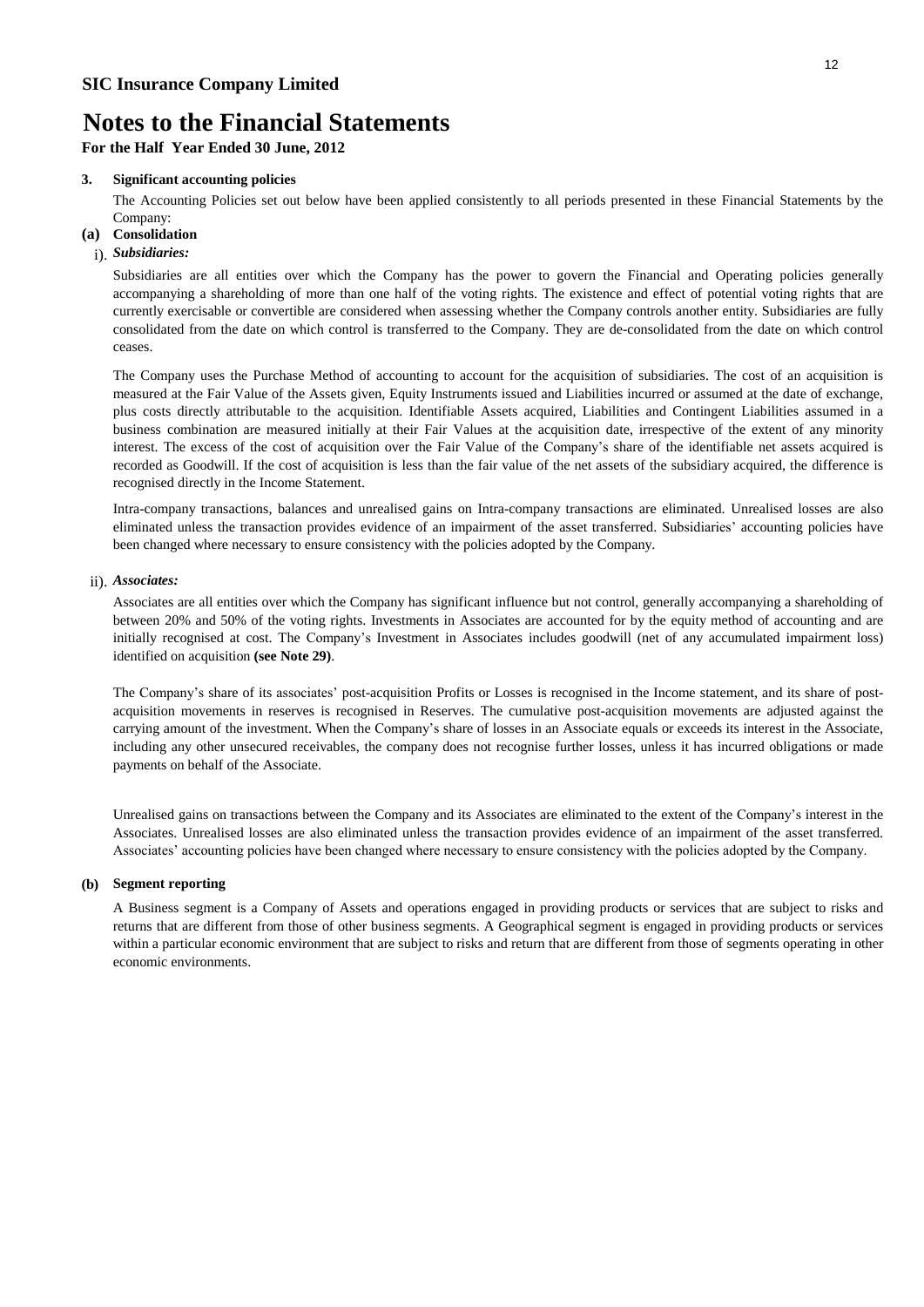**For the Half Year Ended 30 June, 2012**

#### **3. Significant accounting policies**

The Accounting Policies set out below have been applied consistently to all periods presented in these Financial Statements by the Company:

### **(a) Consolidation**

### i). *Subsidiaries:*

Subsidiaries are all entities over which the Company has the power to govern the Financial and Operating policies generally accompanying a shareholding of more than one half of the voting rights. The existence and effect of potential voting rights that are currently exercisable or convertible are considered when assessing whether the Company controls another entity. Subsidiaries are fully consolidated from the date on which control is transferred to the Company. They are de-consolidated from the date on which control ceases.

The Company uses the Purchase Method of accounting to account for the acquisition of subsidiaries. The cost of an acquisition is measured at the Fair Value of the Assets given, Equity Instruments issued and Liabilities incurred or assumed at the date of exchange, plus costs directly attributable to the acquisition. Identifiable Assets acquired, Liabilities and Contingent Liabilities assumed in a business combination are measured initially at their Fair Values at the acquisition date, irrespective of the extent of any minority interest. The excess of the cost of acquisition over the Fair Value of the Company's share of the identifiable net assets acquired is recorded as Goodwill. If the cost of acquisition is less than the fair value of the net assets of the subsidiary acquired, the difference is recognised directly in the Income Statement.

Intra-company transactions, balances and unrealised gains on Intra-company transactions are eliminated. Unrealised losses are also eliminated unless the transaction provides evidence of an impairment of the asset transferred. Subsidiaries' accounting policies have been changed where necessary to ensure consistency with the policies adopted by the Company.

#### ii). *Associates:*

Associates are all entities over which the Company has significant influence but not control, generally accompanying a shareholding of between 20% and 50% of the voting rights. Investments in Associates are accounted for by the equity method of accounting and are initially recognised at cost. The Company's Investment in Associates includes goodwill (net of any accumulated impairment loss) identified on acquisition **(see Note 29)**.

The Company's share of its associates' post-acquisition Profits or Losses is recognised in the Income statement, and its share of postacquisition movements in reserves is recognised in Reserves. The cumulative post-acquisition movements are adjusted against the carrying amount of the investment. When the Company's share of losses in an Associate equals or exceeds its interest in the Associate, including any other unsecured receivables, the company does not recognise further losses, unless it has incurred obligations or made payments on behalf of the Associate.

Unrealised gains on transactions between the Company and its Associates are eliminated to the extent of the Company's interest in the Associates. Unrealised losses are also eliminated unless the transaction provides evidence of an impairment of the asset transferred. Associates' accounting policies have been changed where necessary to ensure consistency with the policies adopted by the Company.

#### **(b) Segment reporting**

A Business segment is a Company of Assets and operations engaged in providing products or services that are subject to risks and returns that are different from those of other business segments. A Geographical segment is engaged in providing products or services within a particular economic environment that are subject to risks and return that are different from those of segments operating in other economic environments.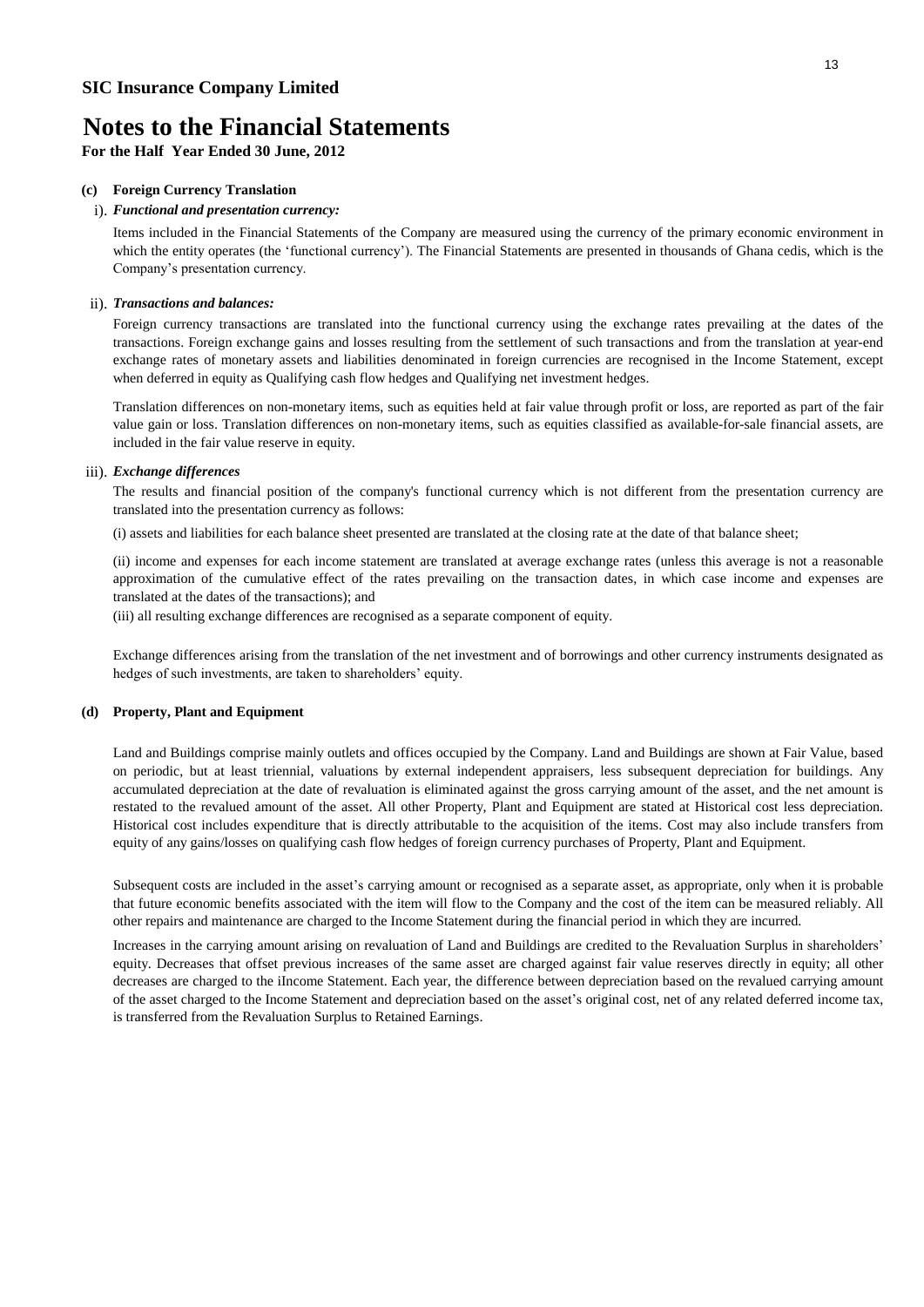**For the Half Year Ended 30 June, 2012**

#### **(c) Foreign Currency Translation**

### i). *Functional and presentation currency:*

Items included in the Financial Statements of the Company are measured using the currency of the primary economic environment in which the entity operates (the 'functional currency'). The Financial Statements are presented in thousands of Ghana cedis, which is the Company's presentation currency.

#### ii). *Transactions and balances:*

Foreign currency transactions are translated into the functional currency using the exchange rates prevailing at the dates of the transactions. Foreign exchange gains and losses resulting from the settlement of such transactions and from the translation at year-end exchange rates of monetary assets and liabilities denominated in foreign currencies are recognised in the Income Statement, except when deferred in equity as Qualifying cash flow hedges and Qualifying net investment hedges.

Translation differences on non-monetary items, such as equities held at fair value through profit or loss, are reported as part of the fair value gain or loss. Translation differences on non-monetary items, such as equities classified as available-for-sale financial assets, are included in the fair value reserve in equity.

#### iii). *Exchange differences*

The results and financial position of the company's functional currency which is not different from the presentation currency are translated into the presentation currency as follows:

(i) assets and liabilities for each balance sheet presented are translated at the closing rate at the date of that balance sheet;

(ii) income and expenses for each income statement are translated at average exchange rates (unless this average is not a reasonable approximation of the cumulative effect of the rates prevailing on the transaction dates, in which case income and expenses are translated at the dates of the transactions); and

(iii) all resulting exchange differences are recognised as a separate component of equity.

Exchange differences arising from the translation of the net investment and of borrowings and other currency instruments designated as hedges of such investments, are taken to shareholders' equity.

#### **(d) Property, Plant and Equipment**

Land and Buildings comprise mainly outlets and offices occupied by the Company. Land and Buildings are shown at Fair Value, based on periodic, but at least triennial, valuations by external independent appraisers, less subsequent depreciation for buildings. Any accumulated depreciation at the date of revaluation is eliminated against the gross carrying amount of the asset, and the net amount is restated to the revalued amount of the asset. All other Property, Plant and Equipment are stated at Historical cost less depreciation. Historical cost includes expenditure that is directly attributable to the acquisition of the items. Cost may also include transfers from equity of any gains/losses on qualifying cash flow hedges of foreign currency purchases of Property, Plant and Equipment.

Subsequent costs are included in the asset's carrying amount or recognised as a separate asset, as appropriate, only when it is probable that future economic benefits associated with the item will flow to the Company and the cost of the item can be measured reliably. All other repairs and maintenance are charged to the Income Statement during the financial period in which they are incurred.

Increases in the carrying amount arising on revaluation of Land and Buildings are credited to the Revaluation Surplus in shareholders' equity. Decreases that offset previous increases of the same asset are charged against fair value reserves directly in equity; all other decreases are charged to the iIncome Statement. Each year, the difference between depreciation based on the revalued carrying amount of the asset charged to the Income Statement and depreciation based on the asset's original cost, net of any related deferred income tax, is transferred from the Revaluation Surplus to Retained Earnings.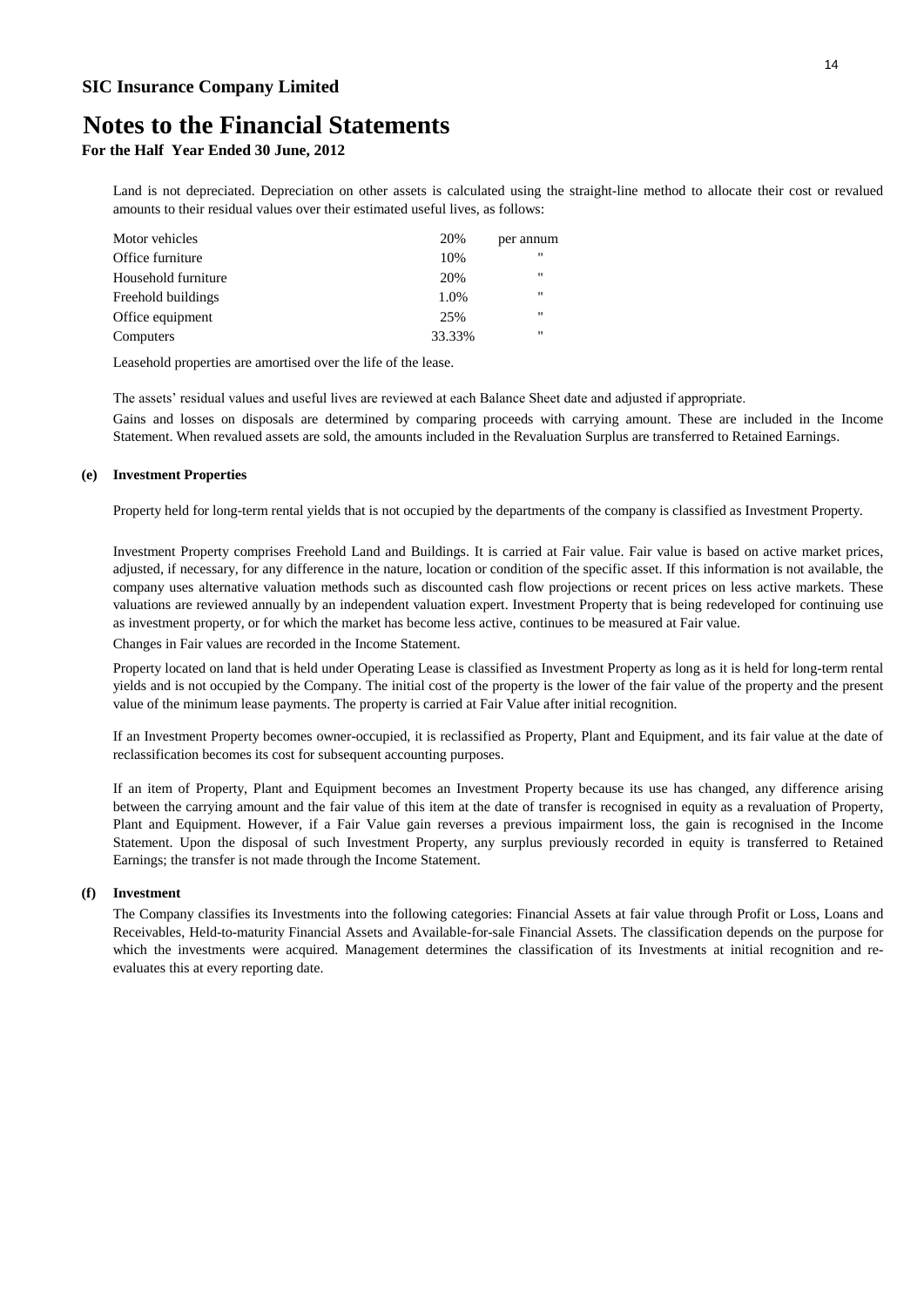## **Notes to the Financial Statements**

**For the Half Year Ended 30 June, 2012**

Land is not depreciated. Depreciation on other assets is calculated using the straight-line method to allocate their cost or revalued amounts to their residual values over their estimated useful lives, as follows:

| 20%    | per annum         |
|--------|-------------------|
| 10%    | "                 |
| 20%    | "                 |
| 1.0%   | $^{\prime\prime}$ |
| 25%    | "                 |
| 33.33% | "                 |
|        |                   |

Leasehold properties are amortised over the life of the lease.

The assets' residual values and useful lives are reviewed at each Balance Sheet date and adjusted if appropriate.

Gains and losses on disposals are determined by comparing proceeds with carrying amount. These are included in the Income Statement. When revalued assets are sold, the amounts included in the Revaluation Surplus are transferred to Retained Earnings.

#### **(e) Investment Properties**

Property held for long-term rental yields that is not occupied by the departments of the company is classified as Investment Property.

Investment Property comprises Freehold Land and Buildings. It is carried at Fair value. Fair value is based on active market prices, adjusted, if necessary, for any difference in the nature, location or condition of the specific asset. If this information is not available, the company uses alternative valuation methods such as discounted cash flow projections or recent prices on less active markets. These valuations are reviewed annually by an independent valuation expert. Investment Property that is being redeveloped for continuing use as investment property, or for which the market has become less active, continues to be measured at Fair value.

Changes in Fair values are recorded in the Income Statement.

Property located on land that is held under Operating Lease is classified as Investment Property as long as it is held for long-term rental yields and is not occupied by the Company. The initial cost of the property is the lower of the fair value of the property and the present value of the minimum lease payments. The property is carried at Fair Value after initial recognition.

If an Investment Property becomes owner-occupied, it is reclassified as Property, Plant and Equipment, and its fair value at the date of reclassification becomes its cost for subsequent accounting purposes.

If an item of Property, Plant and Equipment becomes an Investment Property because its use has changed, any difference arising between the carrying amount and the fair value of this item at the date of transfer is recognised in equity as a revaluation of Property, Plant and Equipment. However, if a Fair Value gain reverses a previous impairment loss, the gain is recognised in the Income Statement. Upon the disposal of such Investment Property, any surplus previously recorded in equity is transferred to Retained Earnings; the transfer is not made through the Income Statement.

#### **(f) Investment**

The Company classifies its Investments into the following categories: Financial Assets at fair value through Profit or Loss, Loans and Receivables, Held-to-maturity Financial Assets and Available-for-sale Financial Assets. The classification depends on the purpose for which the investments were acquired. Management determines the classification of its Investments at initial recognition and reevaluates this at every reporting date.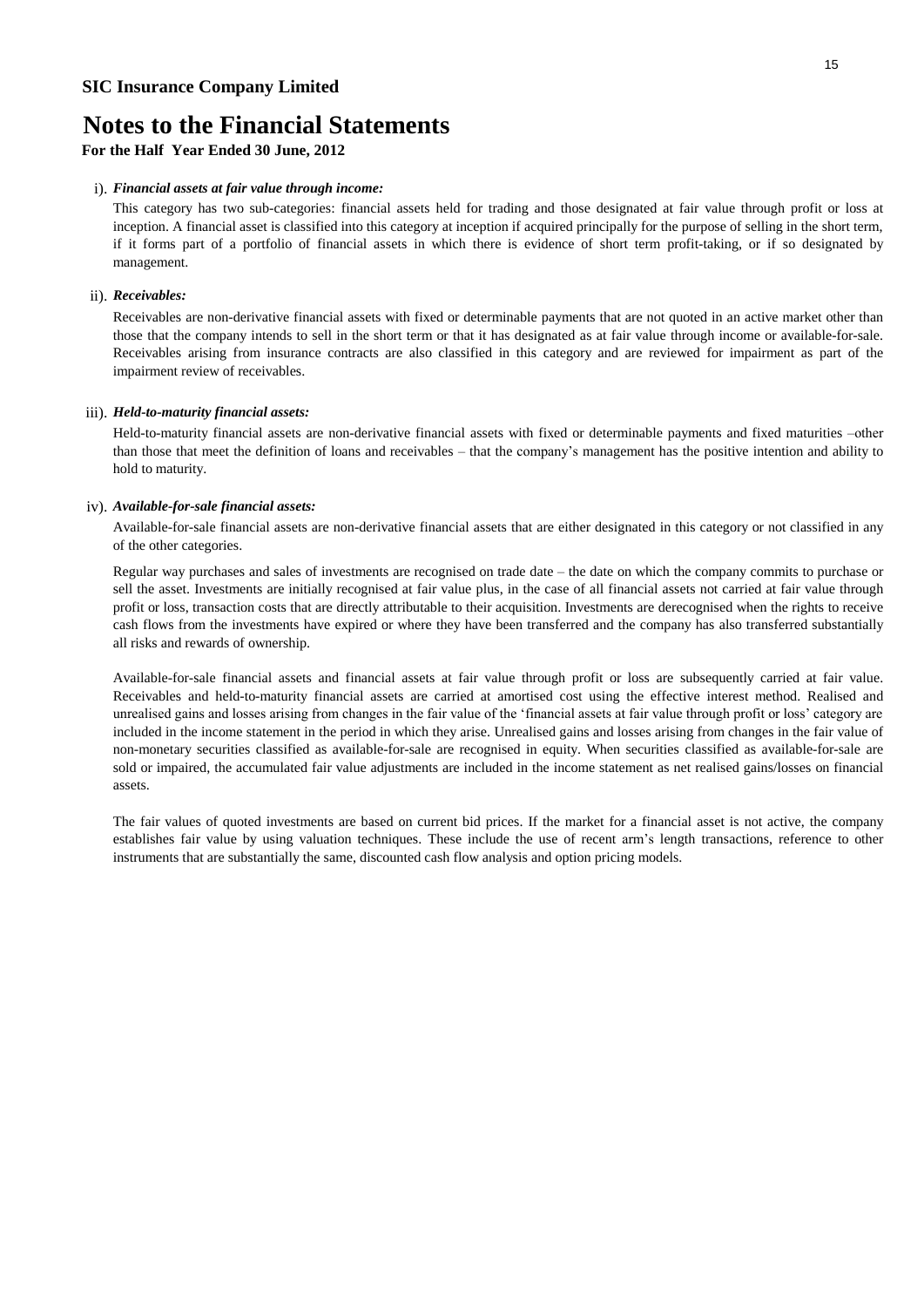## **Notes to the Financial Statements**

**For the Half Year Ended 30 June, 2012**

#### i). *Financial assets at fair value through income:*

This category has two sub-categories: financial assets held for trading and those designated at fair value through profit or loss at inception. A financial asset is classified into this category at inception if acquired principally for the purpose of selling in the short term, if it forms part of a portfolio of financial assets in which there is evidence of short term profit-taking, or if so designated by management.

#### ii). *Receivables:*

Receivables are non-derivative financial assets with fixed or determinable payments that are not quoted in an active market other than those that the company intends to sell in the short term or that it has designated as at fair value through income or available-for-sale. Receivables arising from insurance contracts are also classified in this category and are reviewed for impairment as part of the impairment review of receivables.

#### iii). *Held-to-maturity financial assets:*

Held-to-maturity financial assets are non-derivative financial assets with fixed or determinable payments and fixed maturities –other than those that meet the definition of loans and receivables – that the company's management has the positive intention and ability to hold to maturity.

#### iv). *Available-for-sale financial assets:*

Available-for-sale financial assets are non-derivative financial assets that are either designated in this category or not classified in any of the other categories.

Regular way purchases and sales of investments are recognised on trade date – the date on which the company commits to purchase or sell the asset. Investments are initially recognised at fair value plus, in the case of all financial assets not carried at fair value through profit or loss, transaction costs that are directly attributable to their acquisition. Investments are derecognised when the rights to receive cash flows from the investments have expired or where they have been transferred and the company has also transferred substantially all risks and rewards of ownership.

Available-for-sale financial assets and financial assets at fair value through profit or loss are subsequently carried at fair value. Receivables and held-to-maturity financial assets are carried at amortised cost using the effective interest method. Realised and unrealised gains and losses arising from changes in the fair value of the 'financial assets at fair value through profit or loss' category are included in the income statement in the period in which they arise. Unrealised gains and losses arising from changes in the fair value of non-monetary securities classified as available-for-sale are recognised in equity. When securities classified as available-for-sale are sold or impaired, the accumulated fair value adjustments are included in the income statement as net realised gains/losses on financial assets.

The fair values of quoted investments are based on current bid prices. If the market for a financial asset is not active, the company establishes fair value by using valuation techniques. These include the use of recent arm's length transactions, reference to other instruments that are substantially the same, discounted cash flow analysis and option pricing models.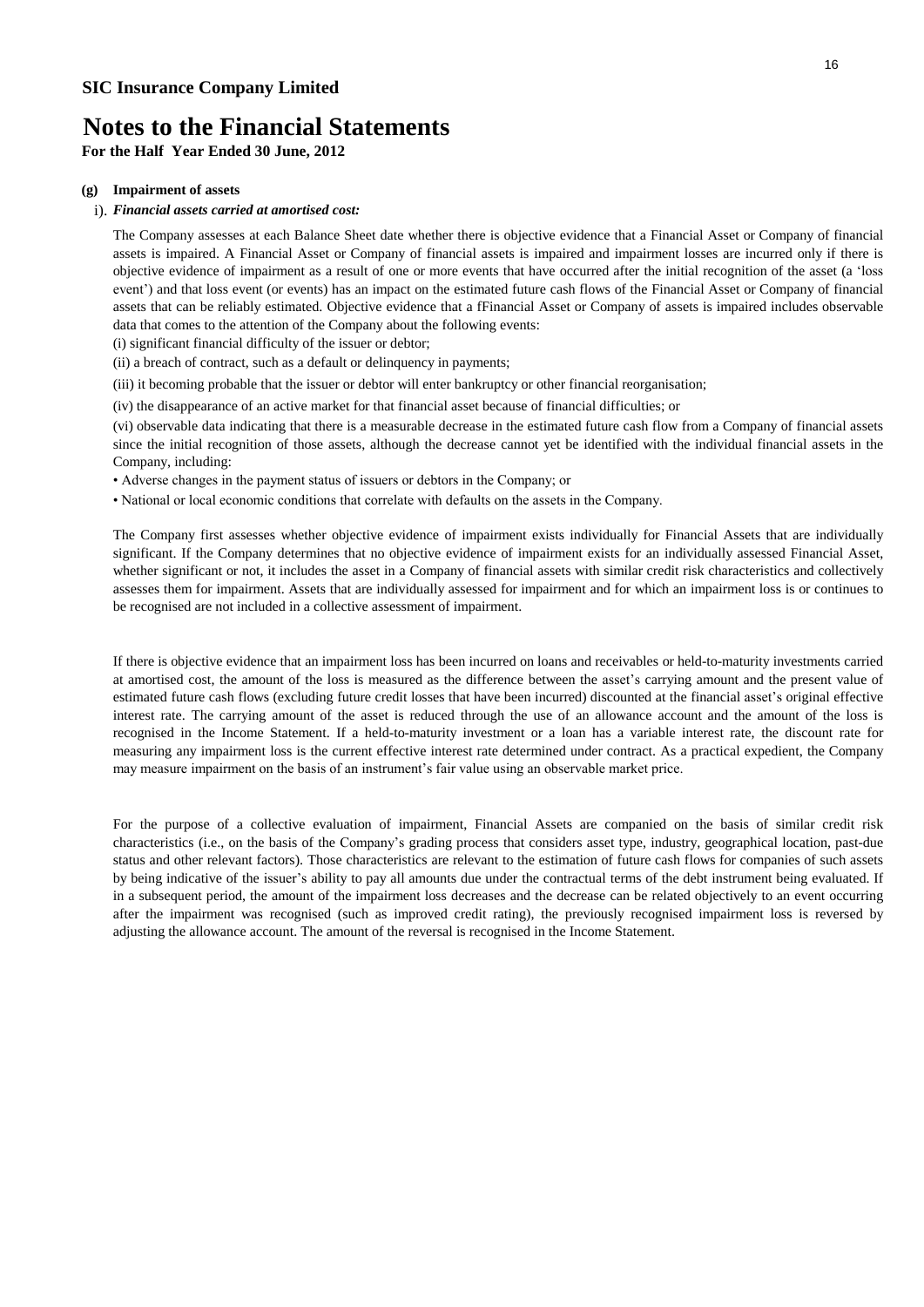**For the Half Year Ended 30 June, 2012**

#### **(g) Impairment of assets**

#### i). *Financial assets carried at amortised cost:*

The Company assesses at each Balance Sheet date whether there is objective evidence that a Financial Asset or Company of financial assets is impaired. A Financial Asset or Company of financial assets is impaired and impairment losses are incurred only if there is objective evidence of impairment as a result of one or more events that have occurred after the initial recognition of the asset (a 'loss event') and that loss event (or events) has an impact on the estimated future cash flows of the Financial Asset or Company of financial assets that can be reliably estimated. Objective evidence that a fFinancial Asset or Company of assets is impaired includes observable data that comes to the attention of the Company about the following events:

(i) significant financial difficulty of the issuer or debtor;

(ii) a breach of contract, such as a default or delinquency in payments;

(iii) it becoming probable that the issuer or debtor will enter bankruptcy or other financial reorganisation;

(iv) the disappearance of an active market for that financial asset because of financial difficulties; or

(vi) observable data indicating that there is a measurable decrease in the estimated future cash flow from a Company of financial assets since the initial recognition of those assets, although the decrease cannot yet be identified with the individual financial assets in the Company, including:

- Adverse changes in the payment status of issuers or debtors in the Company; or
- National or local economic conditions that correlate with defaults on the assets in the Company.

The Company first assesses whether objective evidence of impairment exists individually for Financial Assets that are individually significant. If the Company determines that no objective evidence of impairment exists for an individually assessed Financial Asset, whether significant or not, it includes the asset in a Company of financial assets with similar credit risk characteristics and collectively assesses them for impairment. Assets that are individually assessed for impairment and for which an impairment loss is or continues to be recognised are not included in a collective assessment of impairment.

If there is objective evidence that an impairment loss has been incurred on loans and receivables or held-to-maturity investments carried at amortised cost, the amount of the loss is measured as the difference between the asset's carrying amount and the present value of estimated future cash flows (excluding future credit losses that have been incurred) discounted at the financial asset's original effective interest rate. The carrying amount of the asset is reduced through the use of an allowance account and the amount of the loss is recognised in the Income Statement. If a held-to-maturity investment or a loan has a variable interest rate, the discount rate for measuring any impairment loss is the current effective interest rate determined under contract. As a practical expedient, the Company may measure impairment on the basis of an instrument's fair value using an observable market price.

For the purpose of a collective evaluation of impairment, Financial Assets are companied on the basis of similar credit risk characteristics (i.e., on the basis of the Company's grading process that considers asset type, industry, geographical location, past-due status and other relevant factors). Those characteristics are relevant to the estimation of future cash flows for companies of such assets by being indicative of the issuer's ability to pay all amounts due under the contractual terms of the debt instrument being evaluated. If in a subsequent period, the amount of the impairment loss decreases and the decrease can be related objectively to an event occurring after the impairment was recognised (such as improved credit rating), the previously recognised impairment loss is reversed by adjusting the allowance account. The amount of the reversal is recognised in the Income Statement.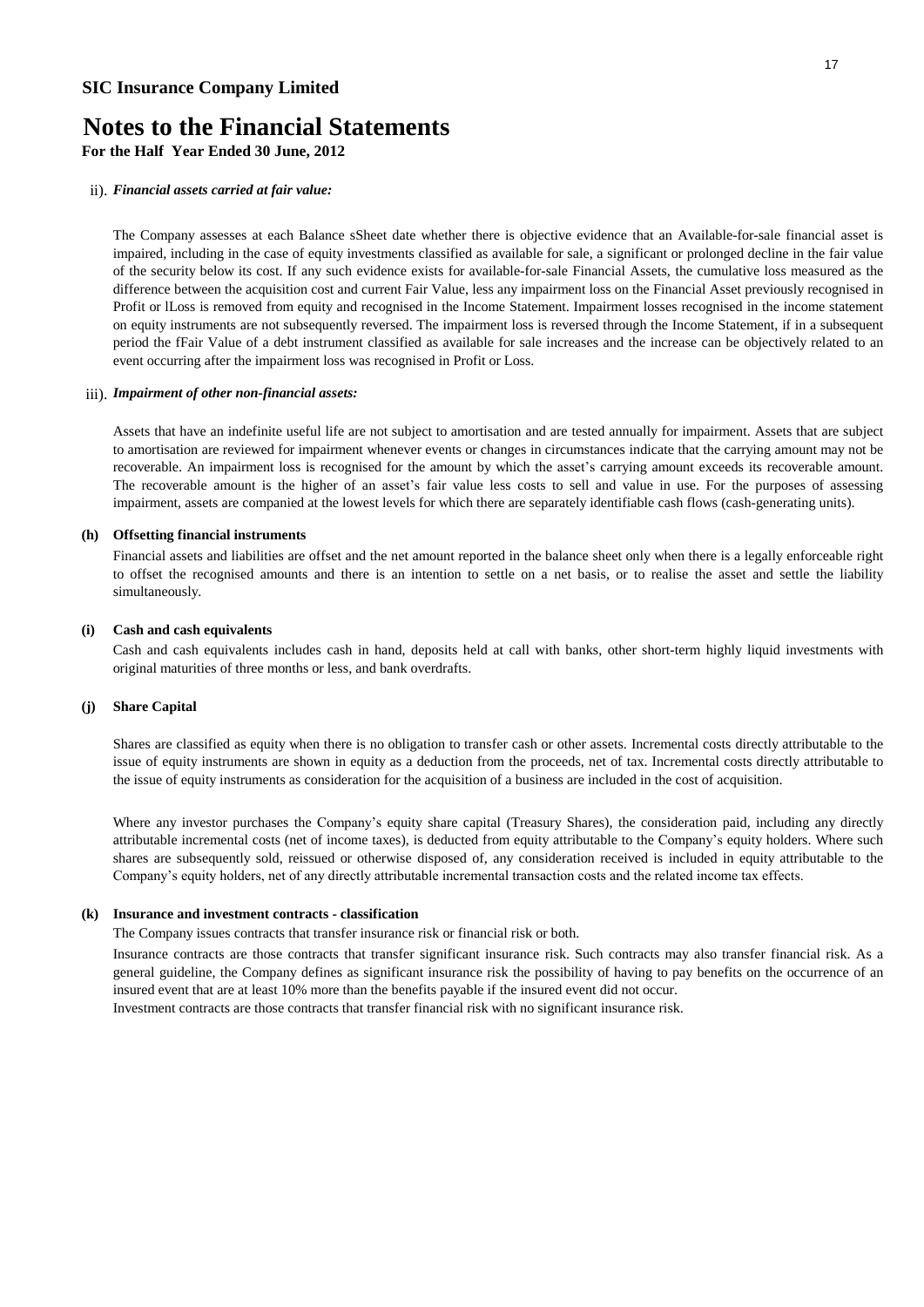**For the Half Year Ended 30 June, 2012**

#### ii). *Financial assets carried at fair value:*

The Company assesses at each Balance sSheet date whether there is objective evidence that an Available-for-sale financial asset is impaired, including in the case of equity investments classified as available for sale, a significant or prolonged decline in the fair value of the security below its cost. If any such evidence exists for available-for-sale Financial Assets, the cumulative loss measured as the difference between the acquisition cost and current Fair Value, less any impairment loss on the Financial Asset previously recognised in Profit or lLoss is removed from equity and recognised in the Income Statement. Impairment losses recognised in the income statement on equity instruments are not subsequently reversed. The impairment loss is reversed through the Income Statement, if in a subsequent period the fFair Value of a debt instrument classified as available for sale increases and the increase can be objectively related to an event occurring after the impairment loss was recognised in Profit or Loss.

#### iii). *Impairment of other non-financial assets:*

Assets that have an indefinite useful life are not subject to amortisation and are tested annually for impairment. Assets that are subject to amortisation are reviewed for impairment whenever events or changes in circumstances indicate that the carrying amount may not be recoverable. An impairment loss is recognised for the amount by which the asset's carrying amount exceeds its recoverable amount. The recoverable amount is the higher of an asset's fair value less costs to sell and value in use. For the purposes of assessing impairment, assets are companied at the lowest levels for which there are separately identifiable cash flows (cash-generating units).

#### **(h) Offsetting financial instruments**

Financial assets and liabilities are offset and the net amount reported in the balance sheet only when there is a legally enforceable right to offset the recognised amounts and there is an intention to settle on a net basis, or to realise the asset and settle the liability simultaneously.

#### **(i) Cash and cash equivalents**

Cash and cash equivalents includes cash in hand, deposits held at call with banks, other short-term highly liquid investments with original maturities of three months or less, and bank overdrafts.

#### **(j) Share Capital**

Shares are classified as equity when there is no obligation to transfer cash or other assets. Incremental costs directly attributable to the issue of equity instruments are shown in equity as a deduction from the proceeds, net of tax. Incremental costs directly attributable to the issue of equity instruments as consideration for the acquisition of a business are included in the cost of acquisition.

Where any investor purchases the Company's equity share capital (Treasury Shares), the consideration paid, including any directly attributable incremental costs (net of income taxes), is deducted from equity attributable to the Company's equity holders. Where such shares are subsequently sold, reissued or otherwise disposed of, any consideration received is included in equity attributable to the Company's equity holders, net of any directly attributable incremental transaction costs and the related income tax effects.

#### **(k) Insurance and investment contracts - classification**

The Company issues contracts that transfer insurance risk or financial risk or both.

Insurance contracts are those contracts that transfer significant insurance risk. Such contracts may also transfer financial risk. As a general guideline, the Company defines as significant insurance risk the possibility of having to pay benefits on the occurrence of an insured event that are at least 10% more than the benefits payable if the insured event did not occur. Investment contracts are those contracts that transfer financial risk with no significant insurance risk.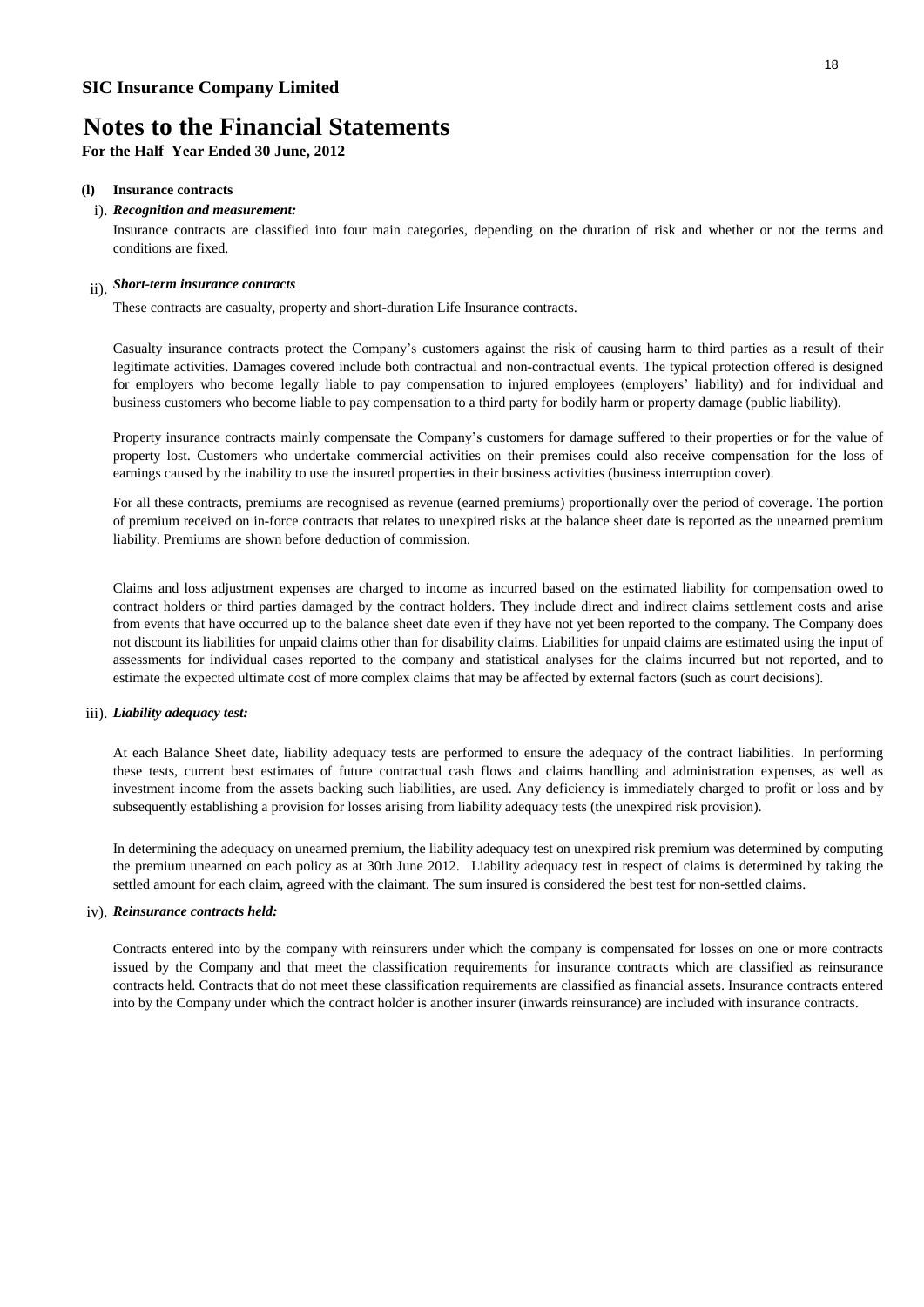**For the Half Year Ended 30 June, 2012**

#### **(l) Insurance contracts**

#### i). *Recognition and measurement:*

Insurance contracts are classified into four main categories, depending on the duration of risk and whether or not the terms and conditions are fixed.

### ii). *Short-term insurance contracts*

These contracts are casualty, property and short-duration Life Insurance contracts.

Casualty insurance contracts protect the Company's customers against the risk of causing harm to third parties as a result of their legitimate activities. Damages covered include both contractual and non-contractual events. The typical protection offered is designed for employers who become legally liable to pay compensation to injured employees (employers' liability) and for individual and business customers who become liable to pay compensation to a third party for bodily harm or property damage (public liability).

Property insurance contracts mainly compensate the Company's customers for damage suffered to their properties or for the value of property lost. Customers who undertake commercial activities on their premises could also receive compensation for the loss of earnings caused by the inability to use the insured properties in their business activities (business interruption cover).

For all these contracts, premiums are recognised as revenue (earned premiums) proportionally over the period of coverage. The portion of premium received on in-force contracts that relates to unexpired risks at the balance sheet date is reported as the unearned premium liability. Premiums are shown before deduction of commission.

Claims and loss adjustment expenses are charged to income as incurred based on the estimated liability for compensation owed to contract holders or third parties damaged by the contract holders. They include direct and indirect claims settlement costs and arise from events that have occurred up to the balance sheet date even if they have not yet been reported to the company. The Company does not discount its liabilities for unpaid claims other than for disability claims. Liabilities for unpaid claims are estimated using the input of assessments for individual cases reported to the company and statistical analyses for the claims incurred but not reported, and to estimate the expected ultimate cost of more complex claims that may be affected by external factors (such as court decisions).

#### iii). *Liability adequacy test:*

At each Balance Sheet date, liability adequacy tests are performed to ensure the adequacy of the contract liabilities. In performing these tests, current best estimates of future contractual cash flows and claims handling and administration expenses, as well as investment income from the assets backing such liabilities, are used. Any deficiency is immediately charged to profit or loss and by subsequently establishing a provision for losses arising from liability adequacy tests (the unexpired risk provision).

In determining the adequacy on unearned premium, the liability adequacy test on unexpired risk premium was determined by computing the premium unearned on each policy as at 30th June 2012. Liability adequacy test in respect of claims is determined by taking the settled amount for each claim, agreed with the claimant. The sum insured is considered the best test for non-settled claims.

#### iv). *Reinsurance contracts held:*

Contracts entered into by the company with reinsurers under which the company is compensated for losses on one or more contracts issued by the Company and that meet the classification requirements for insurance contracts which are classified as reinsurance contracts held. Contracts that do not meet these classification requirements are classified as financial assets. Insurance contracts entered into by the Company under which the contract holder is another insurer (inwards reinsurance) are included with insurance contracts.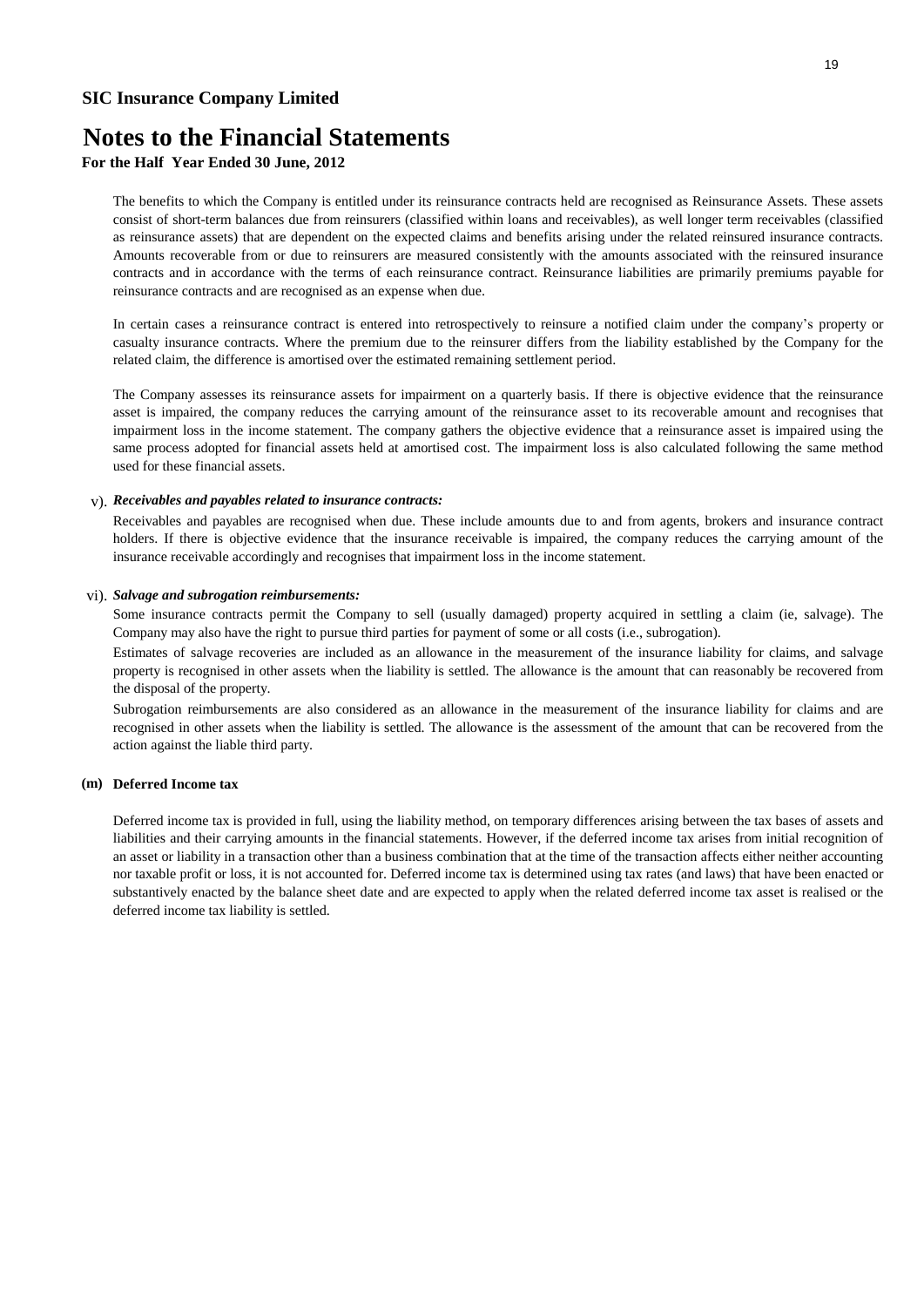## **Notes to the Financial Statements**

### **For the Half Year Ended 30 June, 2012**

The benefits to which the Company is entitled under its reinsurance contracts held are recognised as Reinsurance Assets. These assets consist of short-term balances due from reinsurers (classified within loans and receivables), as well longer term receivables (classified as reinsurance assets) that are dependent on the expected claims and benefits arising under the related reinsured insurance contracts. Amounts recoverable from or due to reinsurers are measured consistently with the amounts associated with the reinsured insurance contracts and in accordance with the terms of each reinsurance contract. Reinsurance liabilities are primarily premiums payable for reinsurance contracts and are recognised as an expense when due.

In certain cases a reinsurance contract is entered into retrospectively to reinsure a notified claim under the company's property or casualty insurance contracts. Where the premium due to the reinsurer differs from the liability established by the Company for the related claim, the difference is amortised over the estimated remaining settlement period.

The Company assesses its reinsurance assets for impairment on a quarterly basis. If there is objective evidence that the reinsurance asset is impaired, the company reduces the carrying amount of the reinsurance asset to its recoverable amount and recognises that impairment loss in the income statement. The company gathers the objective evidence that a reinsurance asset is impaired using the same process adopted for financial assets held at amortised cost. The impairment loss is also calculated following the same method used for these financial assets.

#### v). *Receivables and payables related to insurance contracts:*

Receivables and payables are recognised when due. These include amounts due to and from agents, brokers and insurance contract holders. If there is objective evidence that the insurance receivable is impaired, the company reduces the carrying amount of the insurance receivable accordingly and recognises that impairment loss in the income statement.

#### vi). *Salvage and subrogation reimbursements:*

Some insurance contracts permit the Company to sell (usually damaged) property acquired in settling a claim (ie, salvage). The Company may also have the right to pursue third parties for payment of some or all costs (i.e., subrogation).

Estimates of salvage recoveries are included as an allowance in the measurement of the insurance liability for claims, and salvage property is recognised in other assets when the liability is settled. The allowance is the amount that can reasonably be recovered from the disposal of the property.

Subrogation reimbursements are also considered as an allowance in the measurement of the insurance liability for claims and are recognised in other assets when the liability is settled. The allowance is the assessment of the amount that can be recovered from the action against the liable third party.

#### **(m) Deferred Income tax**

Deferred income tax is provided in full, using the liability method, on temporary differences arising between the tax bases of assets and liabilities and their carrying amounts in the financial statements. However, if the deferred income tax arises from initial recognition of an asset or liability in a transaction other than a business combination that at the time of the transaction affects either neither accounting nor taxable profit or loss, it is not accounted for. Deferred income tax is determined using tax rates (and laws) that have been enacted or substantively enacted by the balance sheet date and are expected to apply when the related deferred income tax asset is realised or the deferred income tax liability is settled.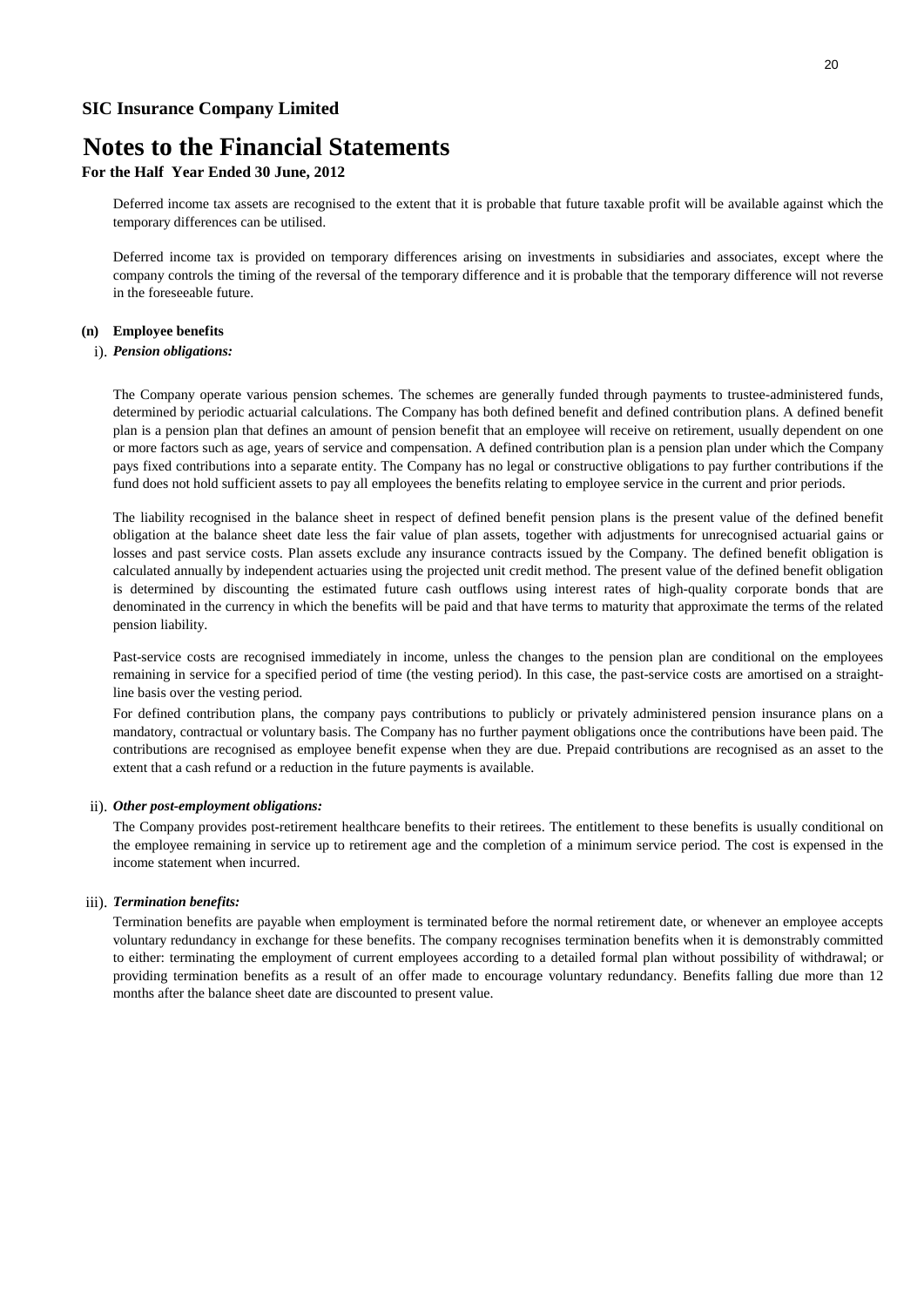### **For the Half Year Ended 30 June, 2012**

Deferred income tax assets are recognised to the extent that it is probable that future taxable profit will be available against which the temporary differences can be utilised.

Deferred income tax is provided on temporary differences arising on investments in subsidiaries and associates, except where the company controls the timing of the reversal of the temporary difference and it is probable that the temporary difference will not reverse in the foreseeable future.

#### **(n) Employee benefits**

#### i). *Pension obligations:*

The Company operate various pension schemes. The schemes are generally funded through payments to trustee-administered funds, determined by periodic actuarial calculations. The Company has both defined benefit and defined contribution plans. A defined benefit plan is a pension plan that defines an amount of pension benefit that an employee will receive on retirement, usually dependent on one or more factors such as age, years of service and compensation. A defined contribution plan is a pension plan under which the Company pays fixed contributions into a separate entity. The Company has no legal or constructive obligations to pay further contributions if the fund does not hold sufficient assets to pay all employees the benefits relating to employee service in the current and prior periods.

The liability recognised in the balance sheet in respect of defined benefit pension plans is the present value of the defined benefit obligation at the balance sheet date less the fair value of plan assets, together with adjustments for unrecognised actuarial gains or losses and past service costs. Plan assets exclude any insurance contracts issued by the Company. The defined benefit obligation is calculated annually by independent actuaries using the projected unit credit method. The present value of the defined benefit obligation is determined by discounting the estimated future cash outflows using interest rates of high-quality corporate bonds that are denominated in the currency in which the benefits will be paid and that have terms to maturity that approximate the terms of the related pension liability.

Past-service costs are recognised immediately in income, unless the changes to the pension plan are conditional on the employees remaining in service for a specified period of time (the vesting period). In this case, the past-service costs are amortised on a straightline basis over the vesting period.

For defined contribution plans, the company pays contributions to publicly or privately administered pension insurance plans on a mandatory, contractual or voluntary basis. The Company has no further payment obligations once the contributions have been paid. The contributions are recognised as employee benefit expense when they are due. Prepaid contributions are recognised as an asset to the extent that a cash refund or a reduction in the future payments is available.

#### ii). *Other post-employment obligations:*

The Company provides post-retirement healthcare benefits to their retirees. The entitlement to these benefits is usually conditional on the employee remaining in service up to retirement age and the completion of a minimum service period. The cost is expensed in the income statement when incurred.

#### iii). *Termination benefits:*

Termination benefits are payable when employment is terminated before the normal retirement date, or whenever an employee accepts voluntary redundancy in exchange for these benefits. The company recognises termination benefits when it is demonstrably committed to either: terminating the employment of current employees according to a detailed formal plan without possibility of withdrawal; or providing termination benefits as a result of an offer made to encourage voluntary redundancy. Benefits falling due more than 12 months after the balance sheet date are discounted to present value.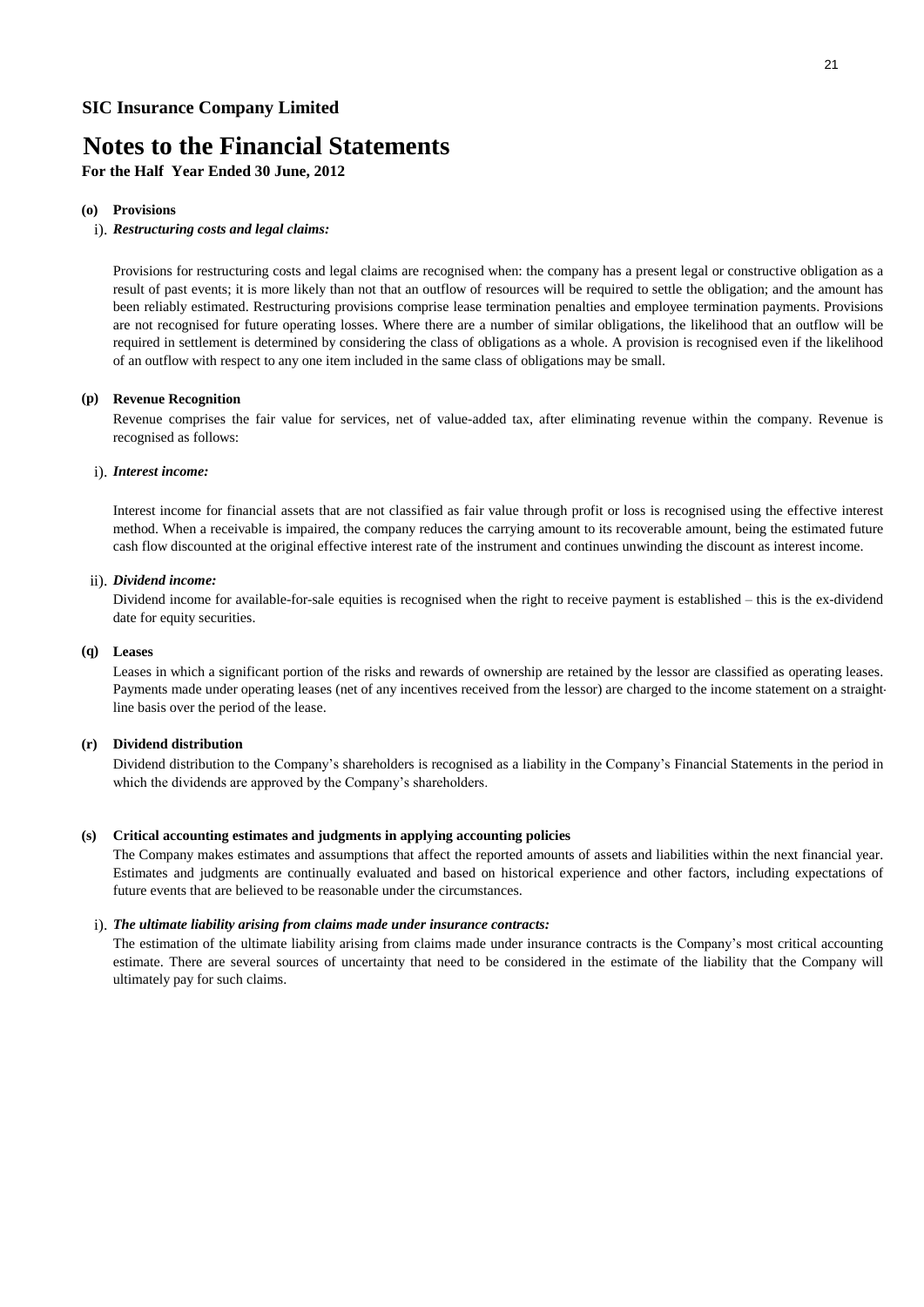**For the Half Year Ended 30 June, 2012**

#### **(o) Provisions**

#### i). *Restructuring costs and legal claims:*

Provisions for restructuring costs and legal claims are recognised when: the company has a present legal or constructive obligation as a result of past events; it is more likely than not that an outflow of resources will be required to settle the obligation; and the amount has been reliably estimated. Restructuring provisions comprise lease termination penalties and employee termination payments. Provisions are not recognised for future operating losses. Where there are a number of similar obligations, the likelihood that an outflow will be required in settlement is determined by considering the class of obligations as a whole. A provision is recognised even if the likelihood of an outflow with respect to any one item included in the same class of obligations may be small.

#### **(p) Revenue Recognition**

Revenue comprises the fair value for services, net of value-added tax, after eliminating revenue within the company. Revenue is recognised as follows:

#### i). *Interest income:*

Interest income for financial assets that are not classified as fair value through profit or loss is recognised using the effective interest method. When a receivable is impaired, the company reduces the carrying amount to its recoverable amount, being the estimated future cash flow discounted at the original effective interest rate of the instrument and continues unwinding the discount as interest income.

#### ii). *Dividend income:*

Dividend income for available-for-sale equities is recognised when the right to receive payment is established – this is the ex-dividend date for equity securities.

#### **(q) Leases**

Leases in which a significant portion of the risks and rewards of ownership are retained by the lessor are classified as operating leases. Payments made under operating leases (net of any incentives received from the lessor) are charged to the income statement on a straightline basis over the period of the lease.

#### **(r) Dividend distribution**

Dividend distribution to the Company's shareholders is recognised as a liability in the Company's Financial Statements in the period in which the dividends are approved by the Company's shareholders.

#### **(s) Critical accounting estimates and judgments in applying accounting policies**

The Company makes estimates and assumptions that affect the reported amounts of assets and liabilities within the next financial year. Estimates and judgments are continually evaluated and based on historical experience and other factors, including expectations of future events that are believed to be reasonable under the circumstances.

#### i). *The ultimate liability arising from claims made under insurance contracts:*

The estimation of the ultimate liability arising from claims made under insurance contracts is the Company's most critical accounting estimate. There are several sources of uncertainty that need to be considered in the estimate of the liability that the Company will ultimately pay for such claims.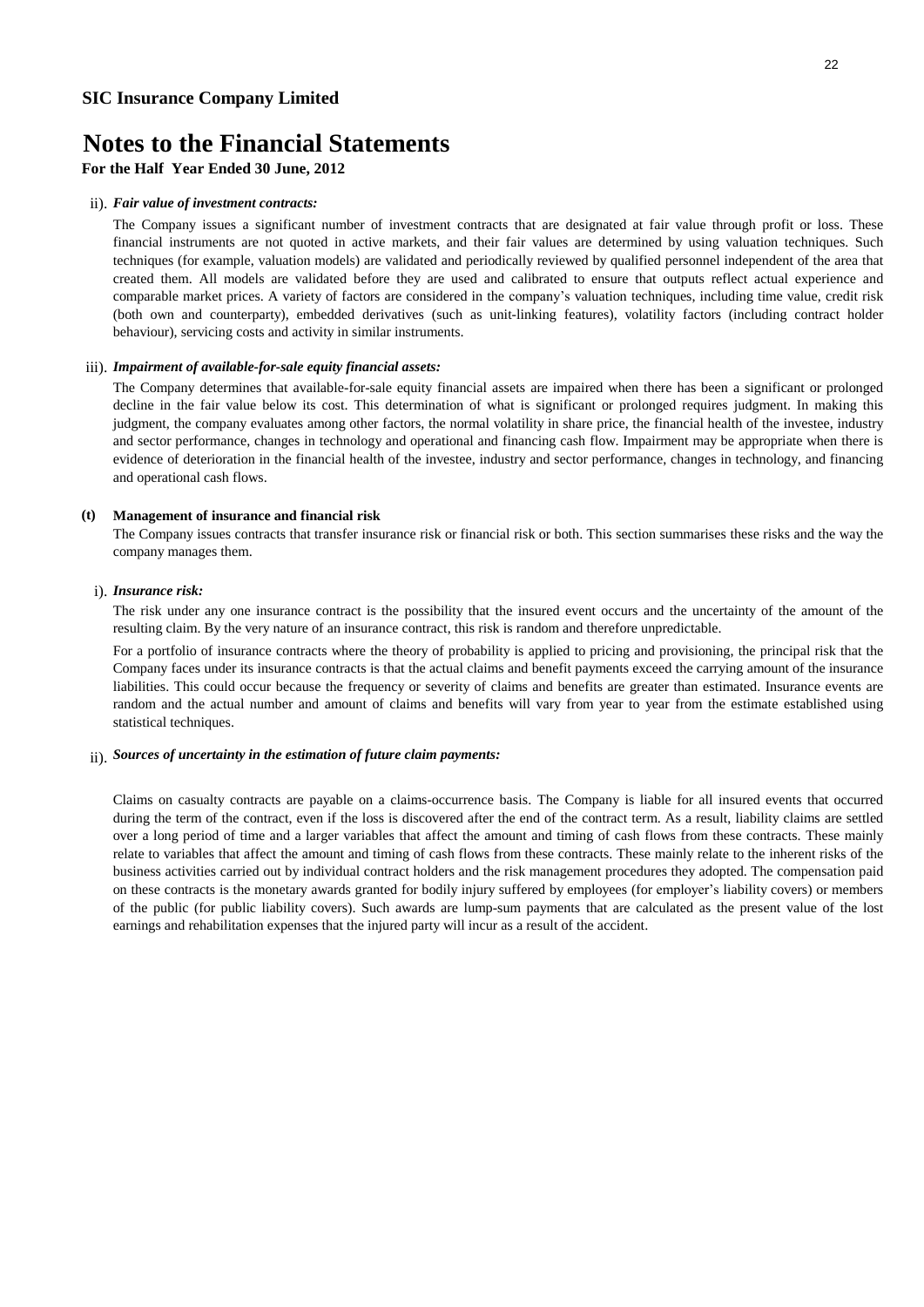**For the Half Year Ended 30 June, 2012**

#### ii). *Fair value of investment contracts:*

The Company issues a significant number of investment contracts that are designated at fair value through profit or loss. These financial instruments are not quoted in active markets, and their fair values are determined by using valuation techniques. Such techniques (for example, valuation models) are validated and periodically reviewed by qualified personnel independent of the area that created them. All models are validated before they are used and calibrated to ensure that outputs reflect actual experience and comparable market prices. A variety of factors are considered in the company's valuation techniques, including time value, credit risk (both own and counterparty), embedded derivatives (such as unit-linking features), volatility factors (including contract holder behaviour), servicing costs and activity in similar instruments.

#### iii). *Impairment of available-for-sale equity financial assets:*

The Company determines that available-for-sale equity financial assets are impaired when there has been a significant or prolonged decline in the fair value below its cost. This determination of what is significant or prolonged requires judgment. In making this judgment, the company evaluates among other factors, the normal volatility in share price, the financial health of the investee, industry and sector performance, changes in technology and operational and financing cash flow. Impairment may be appropriate when there is evidence of deterioration in the financial health of the investee, industry and sector performance, changes in technology, and financing and operational cash flows.

#### **(t) Management of insurance and financial risk**

The Company issues contracts that transfer insurance risk or financial risk or both. This section summarises these risks and the way the company manages them.

#### i). *Insurance risk:*

The risk under any one insurance contract is the possibility that the insured event occurs and the uncertainty of the amount of the resulting claim. By the very nature of an insurance contract, this risk is random and therefore unpredictable.

For a portfolio of insurance contracts where the theory of probability is applied to pricing and provisioning, the principal risk that the Company faces under its insurance contracts is that the actual claims and benefit payments exceed the carrying amount of the insurance liabilities. This could occur because the frequency or severity of claims and benefits are greater than estimated. Insurance events are random and the actual number and amount of claims and benefits will vary from year to year from the estimate established using statistical techniques.

#### ii). *Sources of uncertainty in the estimation of future claim payments:*

Claims on casualty contracts are payable on a claims-occurrence basis. The Company is liable for all insured events that occurred during the term of the contract, even if the loss is discovered after the end of the contract term. As a result, liability claims are settled over a long period of time and a larger variables that affect the amount and timing of cash flows from these contracts. These mainly relate to variables that affect the amount and timing of cash flows from these contracts. These mainly relate to the inherent risks of the business activities carried out by individual contract holders and the risk management procedures they adopted. The compensation paid on these contracts is the monetary awards granted for bodily injury suffered by employees (for employer's liability covers) or members of the public (for public liability covers). Such awards are lump-sum payments that are calculated as the present value of the lost earnings and rehabilitation expenses that the injured party will incur as a result of the accident.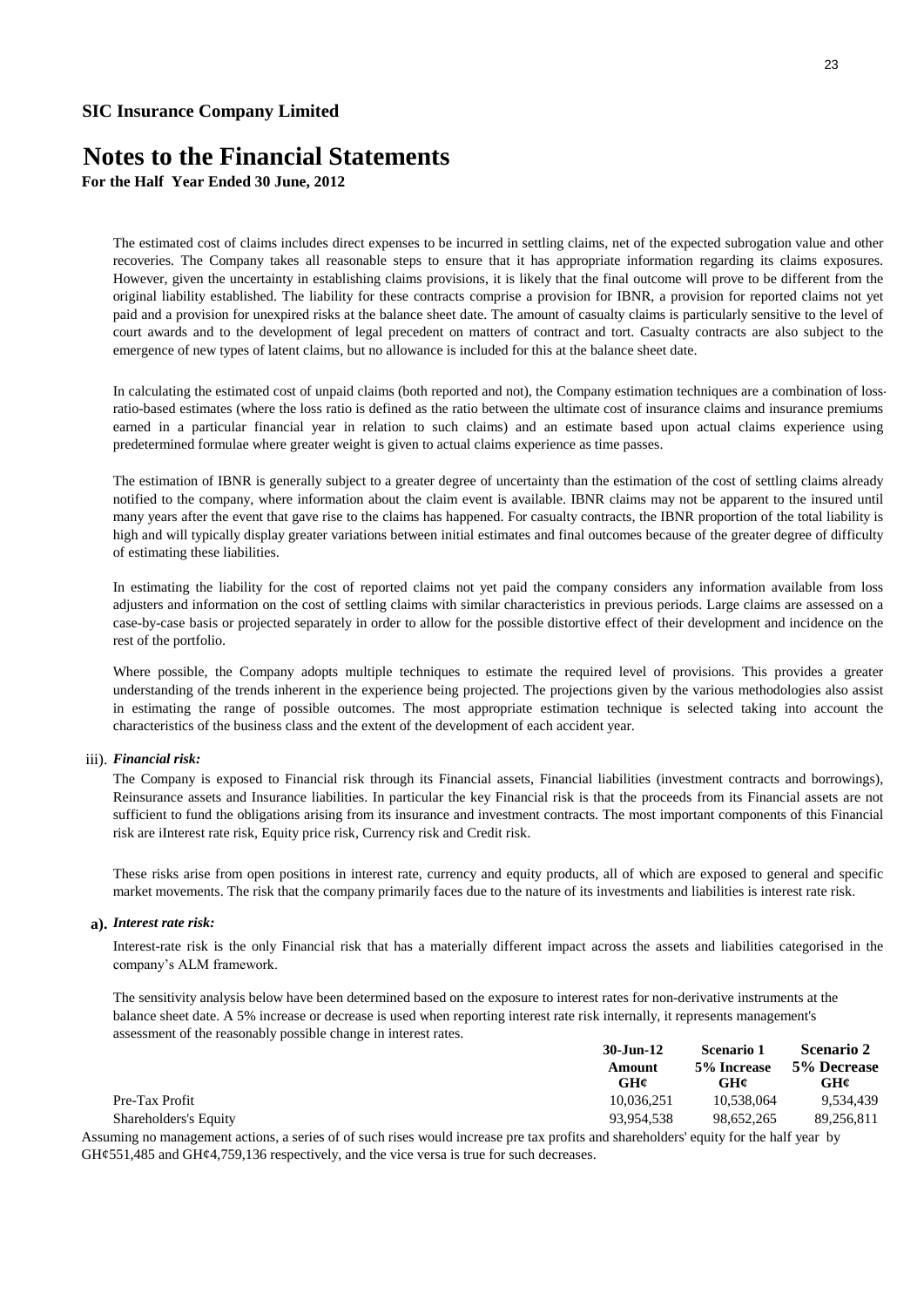**For the Half Year Ended 30 June, 2012**

The estimated cost of claims includes direct expenses to be incurred in settling claims, net of the expected subrogation value and other recoveries. The Company takes all reasonable steps to ensure that it has appropriate information regarding its claims exposures. However, given the uncertainty in establishing claims provisions, it is likely that the final outcome will prove to be different from the original liability established. The liability for these contracts comprise a provision for IBNR, a provision for reported claims not yet paid and a provision for unexpired risks at the balance sheet date. The amount of casualty claims is particularly sensitive to the level of court awards and to the development of legal precedent on matters of contract and tort. Casualty contracts are also subject to the emergence of new types of latent claims, but no allowance is included for this at the balance sheet date.

In calculating the estimated cost of unpaid claims (both reported and not), the Company estimation techniques are a combination of lossratio-based estimates (where the loss ratio is defined as the ratio between the ultimate cost of insurance claims and insurance premiums earned in a particular financial year in relation to such claims) and an estimate based upon actual claims experience using predetermined formulae where greater weight is given to actual claims experience as time passes.

The estimation of IBNR is generally subject to a greater degree of uncertainty than the estimation of the cost of settling claims already notified to the company, where information about the claim event is available. IBNR claims may not be apparent to the insured until many years after the event that gave rise to the claims has happened. For casualty contracts, the IBNR proportion of the total liability is high and will typically display greater variations between initial estimates and final outcomes because of the greater degree of difficulty of estimating these liabilities.

In estimating the liability for the cost of reported claims not yet paid the company considers any information available from loss adjusters and information on the cost of settling claims with similar characteristics in previous periods. Large claims are assessed on a case-by-case basis or projected separately in order to allow for the possible distortive effect of their development and incidence on the rest of the portfolio.

Where possible, the Company adopts multiple techniques to estimate the required level of provisions. This provides a greater understanding of the trends inherent in the experience being projected. The projections given by the various methodologies also assist in estimating the range of possible outcomes. The most appropriate estimation technique is selected taking into account the characteristics of the business class and the extent of the development of each accident year.

#### iii). *Financial risk:*

The Company is exposed to Financial risk through its Financial assets, Financial liabilities (investment contracts and borrowings), Reinsurance assets and Insurance liabilities. In particular the key Financial risk is that the proceeds from its Financial assets are not sufficient to fund the obligations arising from its insurance and investment contracts. The most important components of this Financial risk are iInterest rate risk, Equity price risk, Currency risk and Credit risk.

These risks arise from open positions in interest rate, currency and equity products, all of which are exposed to general and specific market movements. The risk that the company primarily faces due to the nature of its investments and liabilities is interest rate risk.

#### **a).** *Interest rate risk:*

Interest-rate risk is the only Financial risk that has a materially different impact across the assets and liabilities categorised in the company's ALM framework.

The sensitivity analysis below have been determined based on the exposure to interest rates for non-derivative instruments at the balance sheet date. A 5% increase or decrease is used when reporting interest rate risk internally, it represents management's assessment of the reasonably possible change in interest rates.

|                       | 30-Jun-12     | Scenario 1         | <b>Scenario 2</b>  |
|-----------------------|---------------|--------------------|--------------------|
|                       | Amount<br>GH¢ | 5% Increase<br>GH¢ | 5% Decrease<br>GH¢ |
| Pre-Tax Profit        | 10.036.251    | 10.538,064         | 9,534,439          |
| Shareholders's Equity | 93.954.538    | 98.652.265         | 89.256.811         |
|                       | $\sim$        |                    |                    |

Assuming no management actions, a series of of such rises would increase pre tax profits and shareholders' equity for the half year by GH¢551,485 and GH¢4,759,136 respectively, and the vice versa is true for such decreases.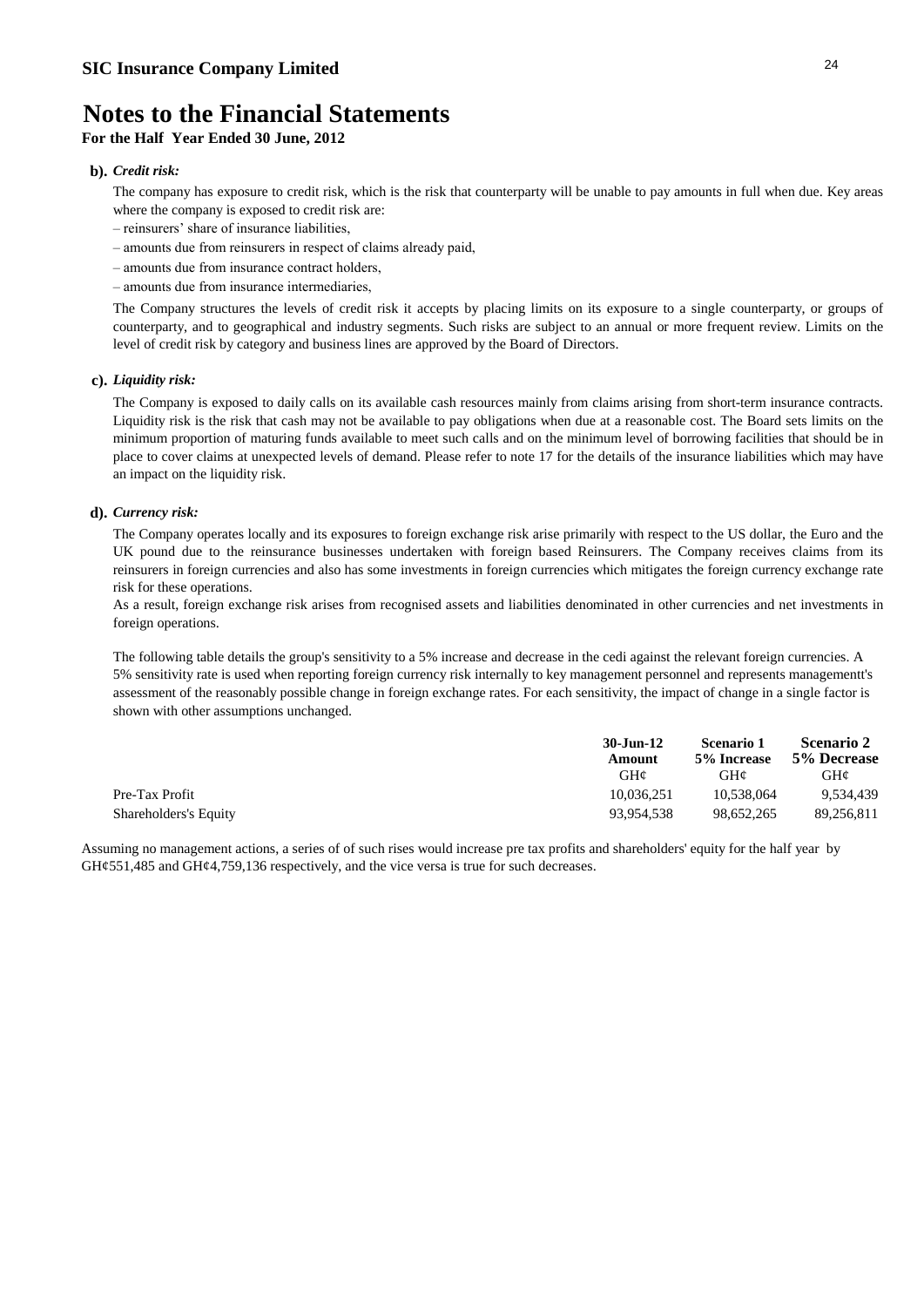### **For the Half Year Ended 30 June, 2012**

#### **b).** *Credit risk:*

The company has exposure to credit risk, which is the risk that counterparty will be unable to pay amounts in full when due. Key areas where the company is exposed to credit risk are:

- reinsurers' share of insurance liabilities,
- amounts due from reinsurers in respect of claims already paid,
- amounts due from insurance contract holders,
- amounts due from insurance intermediaries,

The Company structures the levels of credit risk it accepts by placing limits on its exposure to a single counterparty, or groups of counterparty, and to geographical and industry segments. Such risks are subject to an annual or more frequent review. Limits on the level of credit risk by category and business lines are approved by the Board of Directors.

#### **c).** *Liquidity risk:*

The Company is exposed to daily calls on its available cash resources mainly from claims arising from short-term insurance contracts. Liquidity risk is the risk that cash may not be available to pay obligations when due at a reasonable cost. The Board sets limits on the minimum proportion of maturing funds available to meet such calls and on the minimum level of borrowing facilities that should be in place to cover claims at unexpected levels of demand. Please refer to note 17 for the details of the insurance liabilities which may have an impact on the liquidity risk.

#### **d).** *Currency risk:*

The Company operates locally and its exposures to foreign exchange risk arise primarily with respect to the US dollar, the Euro and the UK pound due to the reinsurance businesses undertaken with foreign based Reinsurers. The Company receives claims from its reinsurers in foreign currencies and also has some investments in foreign currencies which mitigates the foreign currency exchange rate risk for these operations.

As a result, foreign exchange risk arises from recognised assets and liabilities denominated in other currencies and net investments in foreign operations.

The following table details the group's sensitivity to a 5% increase and decrease in the cedi against the relevant foreign currencies. A 5% sensitivity rate is used when reporting foreign currency risk internally to key management personnel and represents managementt's assessment of the reasonably possible change in foreign exchange rates. For each sensitivity, the impact of change in a single factor is shown with other assumptions unchanged.

|                       | $30$ -Jun-12 | Scenario 1  | <b>Scenario 2</b> |
|-----------------------|--------------|-------------|-------------------|
|                       | Amount       | 5% Increase | 5% Decrease       |
|                       | $GH\alpha$   | GH¢         | $GH\mathcal{C}$   |
| Pre-Tax Profit        | 10.036.251   | 10.538,064  | 9.534.439         |
| Shareholders's Equity | 93.954.538   | 98.652.265  | 89.256.811        |

Assuming no management actions, a series of of such rises would increase pre tax profits and shareholders' equity for the half year by GH¢551,485 and GH¢4,759,136 respectively, and the vice versa is true for such decreases.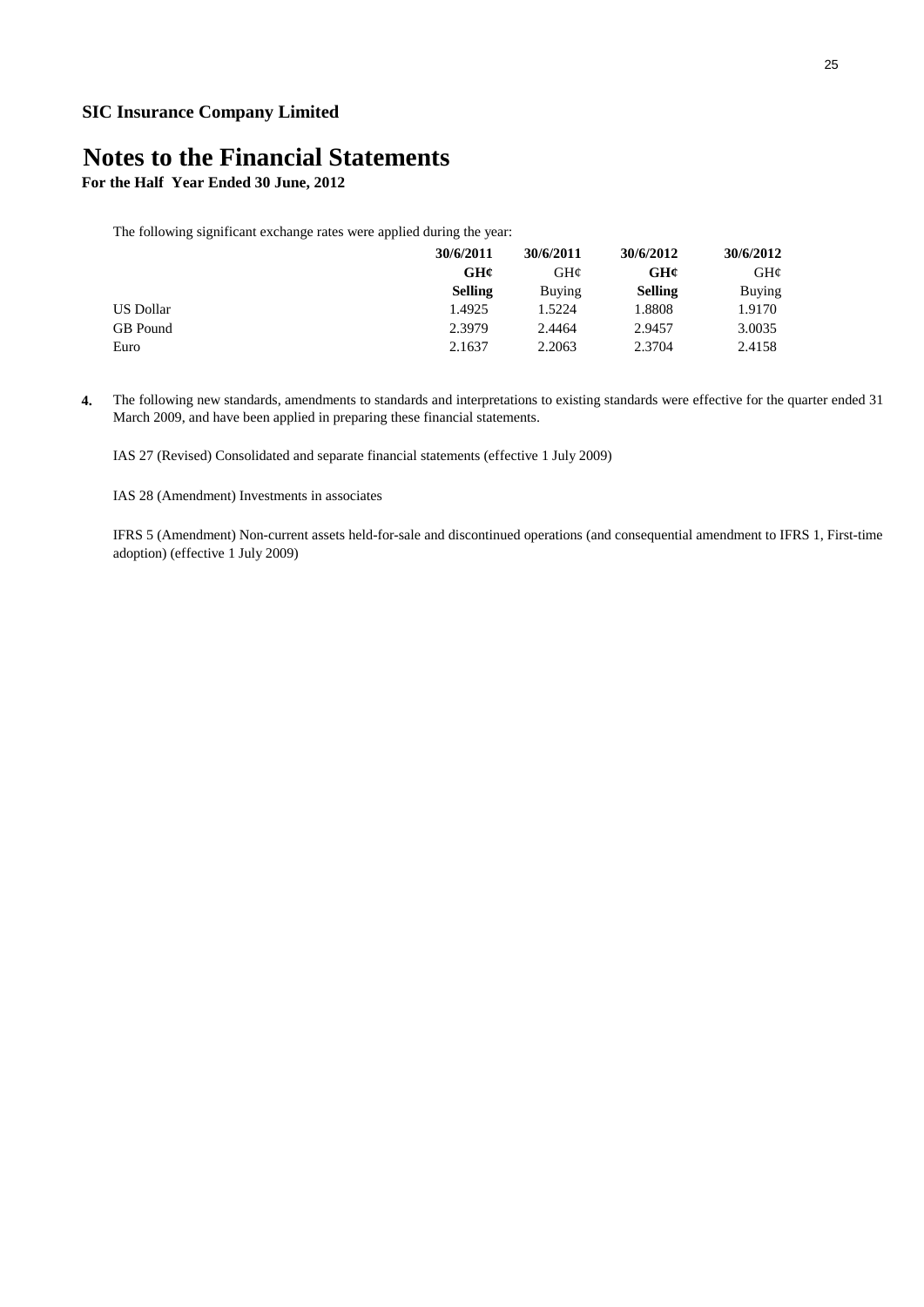**For the Half Year Ended 30 June, 2012**

The following significant exchange rates were applied during the year:

|           | 30/6/2011      | 30/6/2011     | 30/6/2012      | 30/6/2012 |
|-----------|----------------|---------------|----------------|-----------|
|           | GH¢            | GH¢           | GHC            | GH¢       |
|           | <b>Selling</b> | <b>Buving</b> | <b>Selling</b> | Buying    |
| US Dollar | 1.4925         | 1.5224        | 1.8808         | 1.9170    |
| GB Pound  | 2.3979         | 2.4464        | 2.9457         | 3.0035    |
| Euro      | 2.1637         | 2.2063        | 2.3704         | 2.4158    |

**4.** The following new standards, amendments to standards and interpretations to existing standards were effective for the quarter ended 31 March 2009, and have been applied in preparing these financial statements.

IAS 27 (Revised) Consolidated and separate financial statements (effective 1 July 2009)

IAS 28 (Amendment) Investments in associates

IFRS 5 (Amendment) Non-current assets held-for-sale and discontinued operations (and consequential amendment to IFRS 1, First-time adoption) (effective 1 July 2009)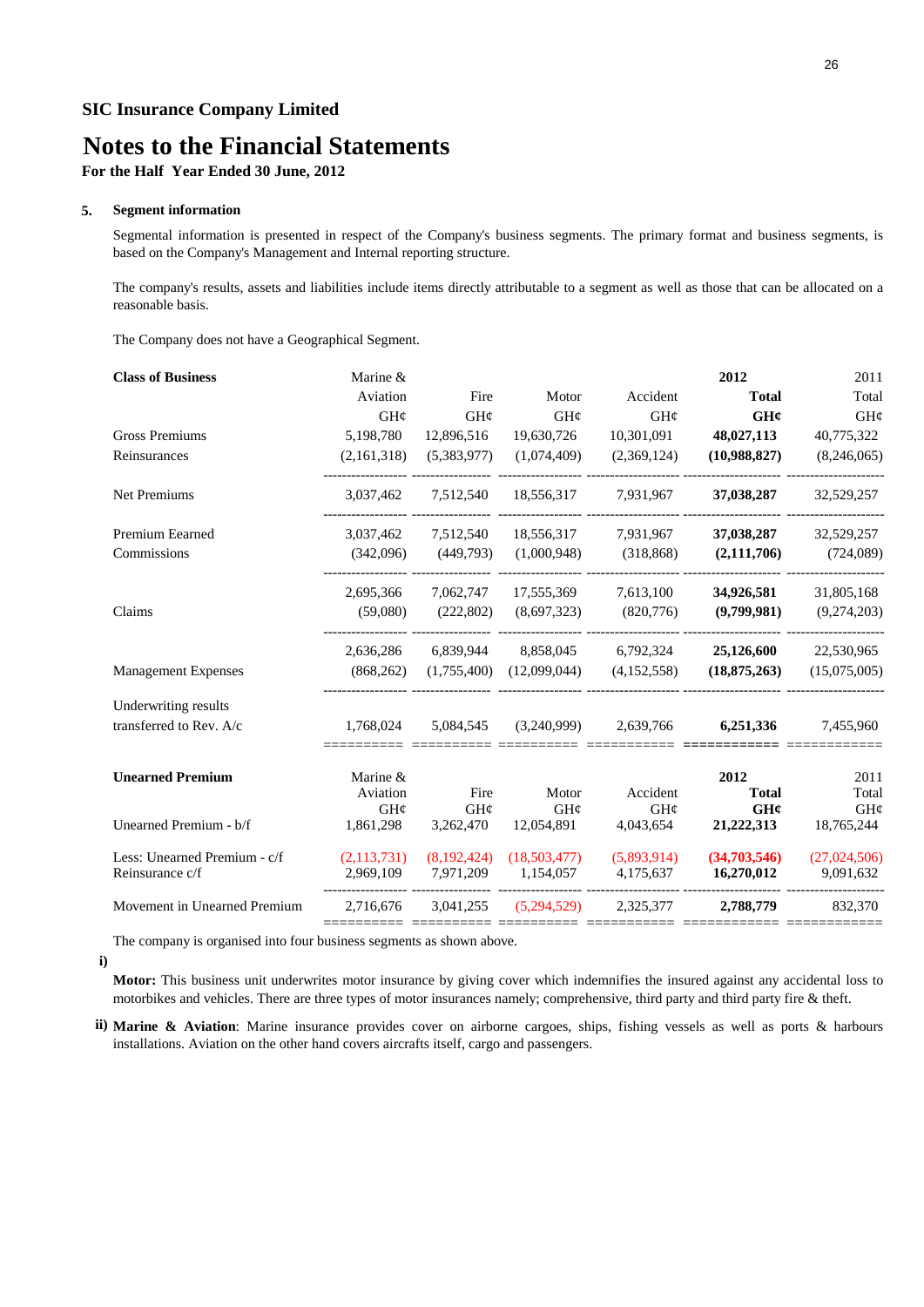## **Notes to the Financial Statements**

**For the Half Year Ended 30 June, 2012**

#### **5. Segment information**

Segmental information is presented in respect of the Company's business segments. The primary format and business segments, is based on the Company's Management and Internal reporting structure.

The company's results, assets and liabilities include items directly attributable to a segment as well as those that can be allocated on a reasonable basis.

The Company does not have a Geographical Segment.

| <b>Class of Business</b>     | Marine &             |             |              |             | 2012                 | 2011         |
|------------------------------|----------------------|-------------|--------------|-------------|----------------------|--------------|
|                              | Aviation             | Fire        | Motor        | Accident    | <b>Total</b>         | Total        |
|                              | GH¢                  | GH¢         | GH¢          | GH¢         | GH¢                  | GHC          |
| Gross Premiums               | 5,198,780            | 12,896,516  | 19,630,726   | 10,301,091  | 48,027,113           | 40,775,322   |
| Reinsurances                 | (2,161,318)          | (5,383,977) | (1,074,409)  | (2,369,124) | (10,988,827)         | (8,246,065)  |
| Net Premiums                 | 3,037,462            | 7,512,540   | 18,556,317   | 7,931,967   | 37,038,287           | 32,529,257   |
| <b>Premium Eearned</b>       | 3,037,462            | 7,512,540   | 18,556,317   | 7,931,967   | 37,038,287           | 32,529,257   |
| Commissions                  | (342,096)            | (449,793)   | (1,000,948)  | (318, 868)  | (2,111,706)          | (724,089)    |
|                              | 2,695,366            | 7,062,747   | 17,555,369   | 7,613,100   | 34,926,581           | 31,805,168   |
| Claims                       | (59,080)             | (222, 802)  | (8,697,323)  | (820,776)   | (9,799,981)          | (9,274,203)  |
|                              | 2,636,286            | 6,839,944   | 8,858,045    | 6,792,324   | 25,126,600           | 22,530,965   |
| <b>Management Expenses</b>   | (868, 262)           | (1,755,400) | (12,099,044) | (4,152,558) | (18, 875, 263)       | (15,075,005) |
| Underwriting results         |                      |             |              |             |                      |              |
| transferred to Rev. A/c      | 1,768,024            | 5,084,545   | (3,240,999)  | 2,639,766   | 6,251,336            | 7,455,960    |
|                              |                      |             |              |             |                      | 2011         |
| <b>Unearned Premium</b>      | Marine &<br>Aviation | Fire        | Motor        | Accident    | 2012<br><b>Total</b> | Total        |
|                              | GH¢                  | GH¢         | GH¢          | GH¢         | GH¢                  | GHC          |
| Unearned Premium - b/f       | 1,861,298            | 3,262,470   | 12,054,891   | 4,043,654   | 21,222,313           | 18,765,244   |
| Less: Unearned Premium - c/f | (2,113,731)          | (8,192,424) | (18,503,477) | (5,893,914) | (34,703,546)         | (27,024,506) |
| Reinsurance c/f              | 2,969,109            | 7,971,209   | 1,154,057    | 4,175,637   | 16,270,012           | 9,091,632    |
| Movement in Unearned Premium | 2,716,676            | 3,041,255   | (5,294,529)  | 2,325,377   | 2,788,779            | 832,370      |
|                              |                      |             |              |             |                      |              |

The company is organised into four business segments as shown above.

**i)**

**Motor:** This business unit underwrites motor insurance by giving cover which indemnifies the insured against any accidental loss to motorbikes and vehicles. There are three types of motor insurances namely; comprehensive, third party and third party fire & theft.

**ii) Marine & Aviation**: Marine insurance provides cover on airborne cargoes, ships, fishing vessels as well as ports & harbours installations. Aviation on the other hand covers aircrafts itself, cargo and passengers.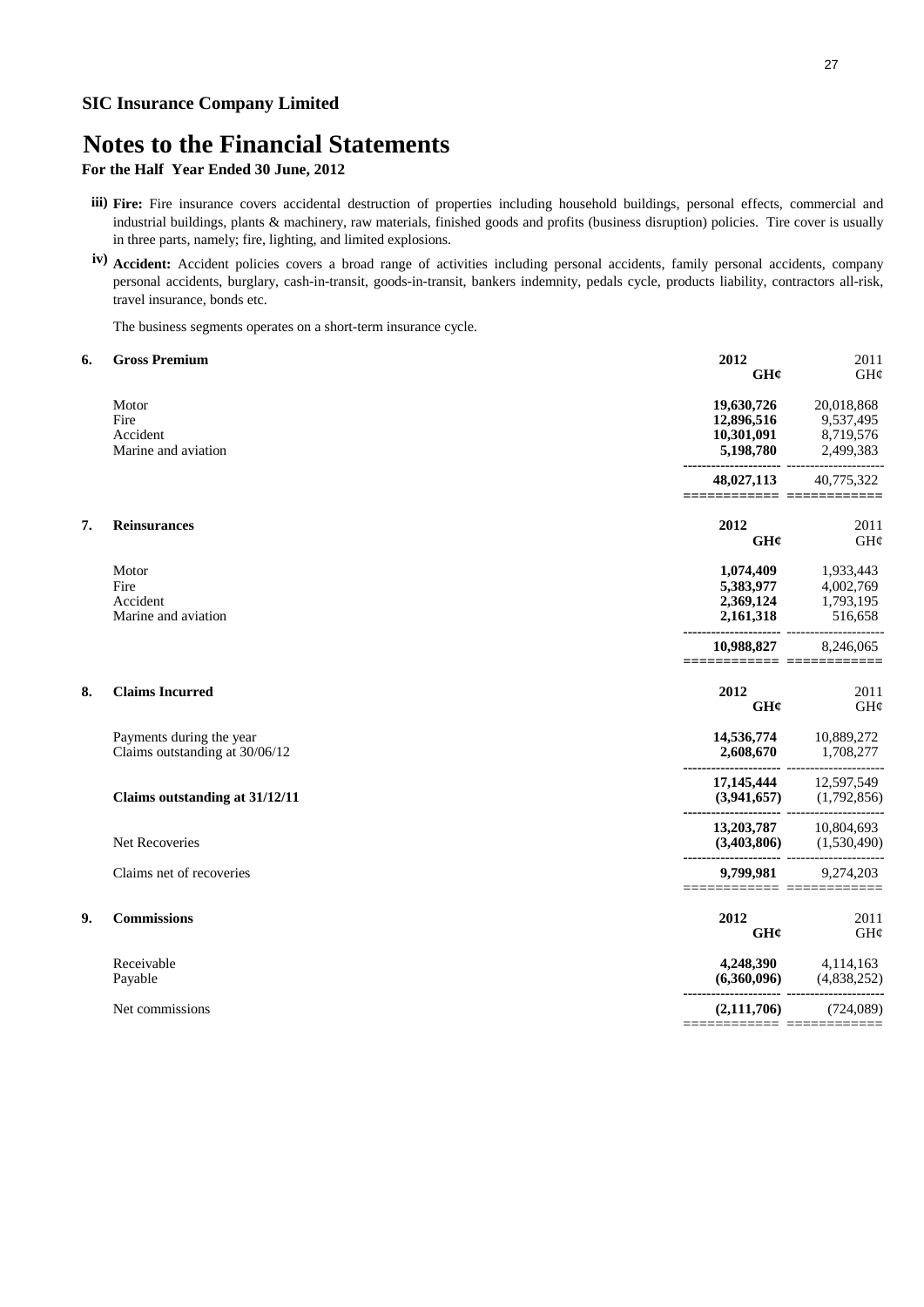## **Notes to the Financial Statements**

**For the Half Year Ended 30 June, 2012**

- **iii) Fire:** Fire insurance covers accidental destruction of properties including household buildings, personal effects, commercial and industrial buildings, plants & machinery, raw materials, finished goods and profits (business disruption) policies. Tire cover is usually in three parts, namely; fire, lighting, and limited explosions.
- **iv) Accident:** Accident policies covers a broad range of activities including personal accidents, family personal accidents, company personal accidents, burglary, cash-in-transit, goods-in-transit, bankers indemnity, pedals cycle, products liability, contractors all-risk, travel insurance, bonds etc.

The business segments operates on a short-term insurance cycle.

| 6. | <b>Gross Premium</b>                                       | 2012<br>GHC                                                                                | 2011<br>GH¢                                       |
|----|------------------------------------------------------------|--------------------------------------------------------------------------------------------|---------------------------------------------------|
|    | Motor<br>Fire<br>Accident<br>Marine and aviation           | 19,630,726<br>12,896,516<br>10,301,091<br>5,198,780<br>---------------- ------------------ | 20,018,868<br>9,537,495<br>8,719,576<br>2,499,383 |
|    |                                                            | 48,027,113                                                                                 | 40,775,322                                        |
| 7. | <b>Reinsurances</b>                                        | 2012<br>GH¢                                                                                | 2011<br>GH¢                                       |
|    | Motor<br>Fire<br>Accident<br>Marine and aviation           | 1,074,409<br>5,383,977<br>2,369,124<br>2,161,318                                           | 1,933,443<br>4,002,769<br>1,793,195<br>516,658    |
|    |                                                            | 10,988,827<br>=====================                                                        | 8,246,065                                         |
| 8. | <b>Claims Incurred</b>                                     | 2012<br>GHC                                                                                | 2011<br>GH¢                                       |
|    | Payments during the year<br>Claims outstanding at 30/06/12 | 14,536,774 10,889,272<br>2,608,670<br>---------------------                                | 1,708,277                                         |
|    | Claims outstanding at 31/12/11                             | 17,145,444 12,597,549                                                                      | $(3,941,657)$ $(1,792,856)$                       |
|    | <b>Net Recoveries</b>                                      | 13,203,787 10,804,693<br>$(3,403,806)$ $(1,530,490)$                                       |                                                   |
|    | Claims net of recoveries                                   | 9,799,981<br>=========================                                                     | 9,274,203                                         |
| 9. | <b>Commissions</b>                                         | 2012<br>GHC                                                                                | 2011<br>GHC                                       |
|    | Receivable<br>Payable                                      | 4,248,390<br>(6,360,096)                                                                   | 4,114,163<br>(4,838,252)                          |
|    | Net commissions                                            | (2,111,706)<br>======                                                                      | (724,089)<br>E ==========                         |
|    |                                                            |                                                                                            |                                                   |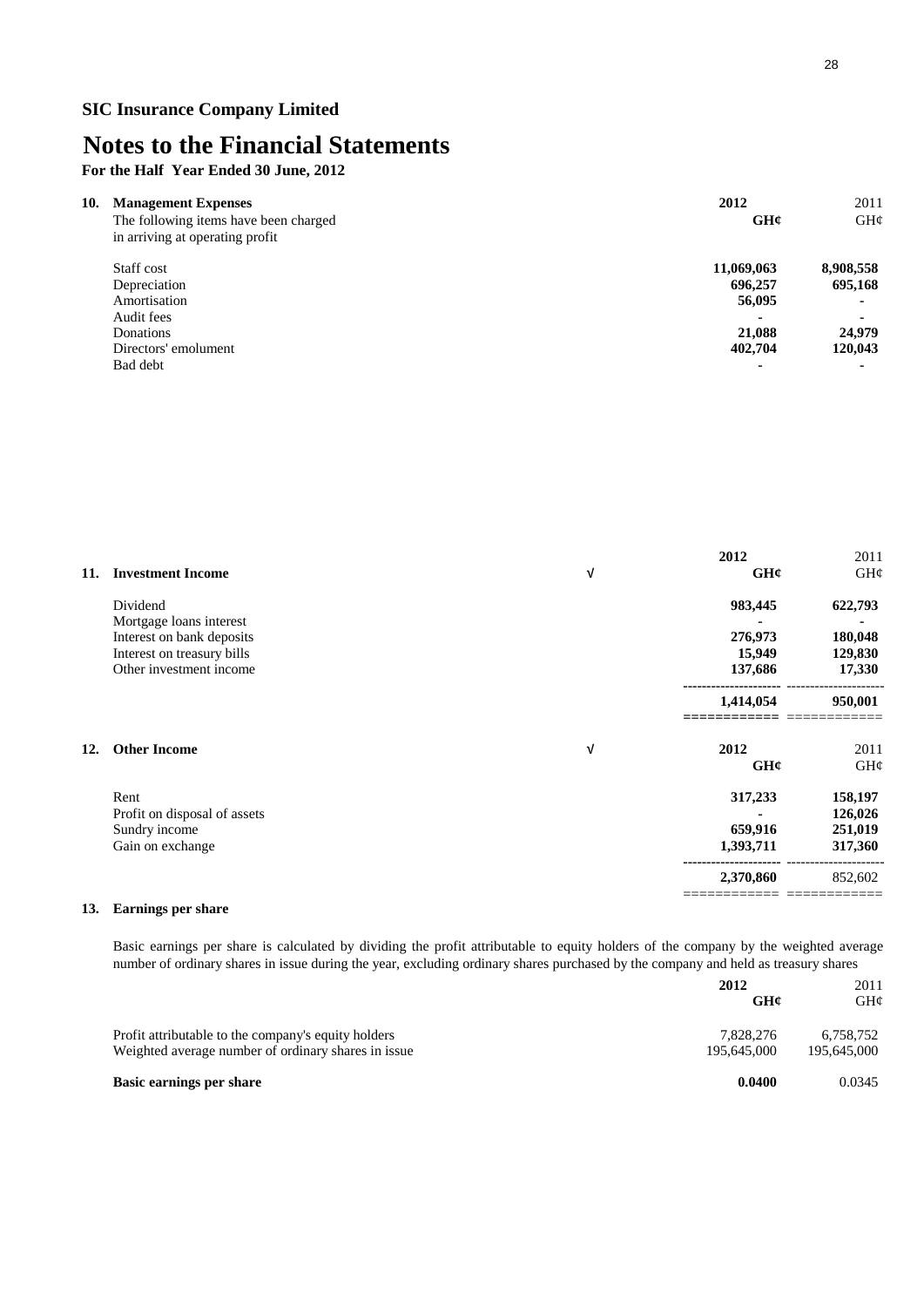**For the Half Year Ended 30 June, 2012**

| 10.<br><b>Management Expenses</b>     | 2012           | 2011           |
|---------------------------------------|----------------|----------------|
| The following items have been charged | GHC            | GH¢            |
| in arriving at operating profit       |                |                |
| Staff cost                            | 11,069,063     | 8,908,558      |
| Depreciation                          | 696,257        | 695,168        |
| Amortisation                          | 56,095         | $\blacksquare$ |
| Audit fees                            |                | $\blacksquare$ |
| Donations                             | 21,088         | 24,979         |
| Directors' emolument                  | 402,704        | 120,043        |
| Bad debt                              | $\blacksquare$ |                |

|     |                              |   | 2012      | 2011    |
|-----|------------------------------|---|-----------|---------|
| 11. | <b>Investment Income</b>     | V | GHC       | GH¢     |
|     | Dividend                     |   | 983,445   | 622,793 |
|     | Mortgage loans interest      |   |           |         |
|     | Interest on bank deposits    |   | 276,973   | 180,048 |
|     | Interest on treasury bills   |   | 15,949    | 129,830 |
|     | Other investment income      |   | 137,686   | 17,330  |
|     |                              |   | 1,414,054 | 950,001 |
| 12. | <b>Other Income</b>          | V | 2012      | 2011    |
|     |                              |   | GHC       | GH¢     |
|     | Rent                         |   | 317,233   | 158,197 |
|     | Profit on disposal of assets |   |           | 126,026 |
|     | Sundry income                |   | 659,916   | 251,019 |
|     | Gain on exchange             |   | 1,393,711 | 317,360 |
|     |                              |   | 2,370,860 | 852,602 |
|     |                              |   |           |         |

### **13. Earnings per share**

Basic earnings per share is calculated by dividing the profit attributable to equity holders of the company by the weighted average number of ordinary shares in issue during the year, excluding ordinary shares purchased by the company and held as treasury shares

|                                                                                                            | 2012<br>GHC              | 2011<br>GH¢              |
|------------------------------------------------------------------------------------------------------------|--------------------------|--------------------------|
| Profit attributable to the company's equity holders<br>Weighted average number of ordinary shares in issue | 7.828.276<br>195,645,000 | 6.758.752<br>195,645,000 |
| <b>Basic earnings per share</b>                                                                            | 0.0400                   | 0.0345                   |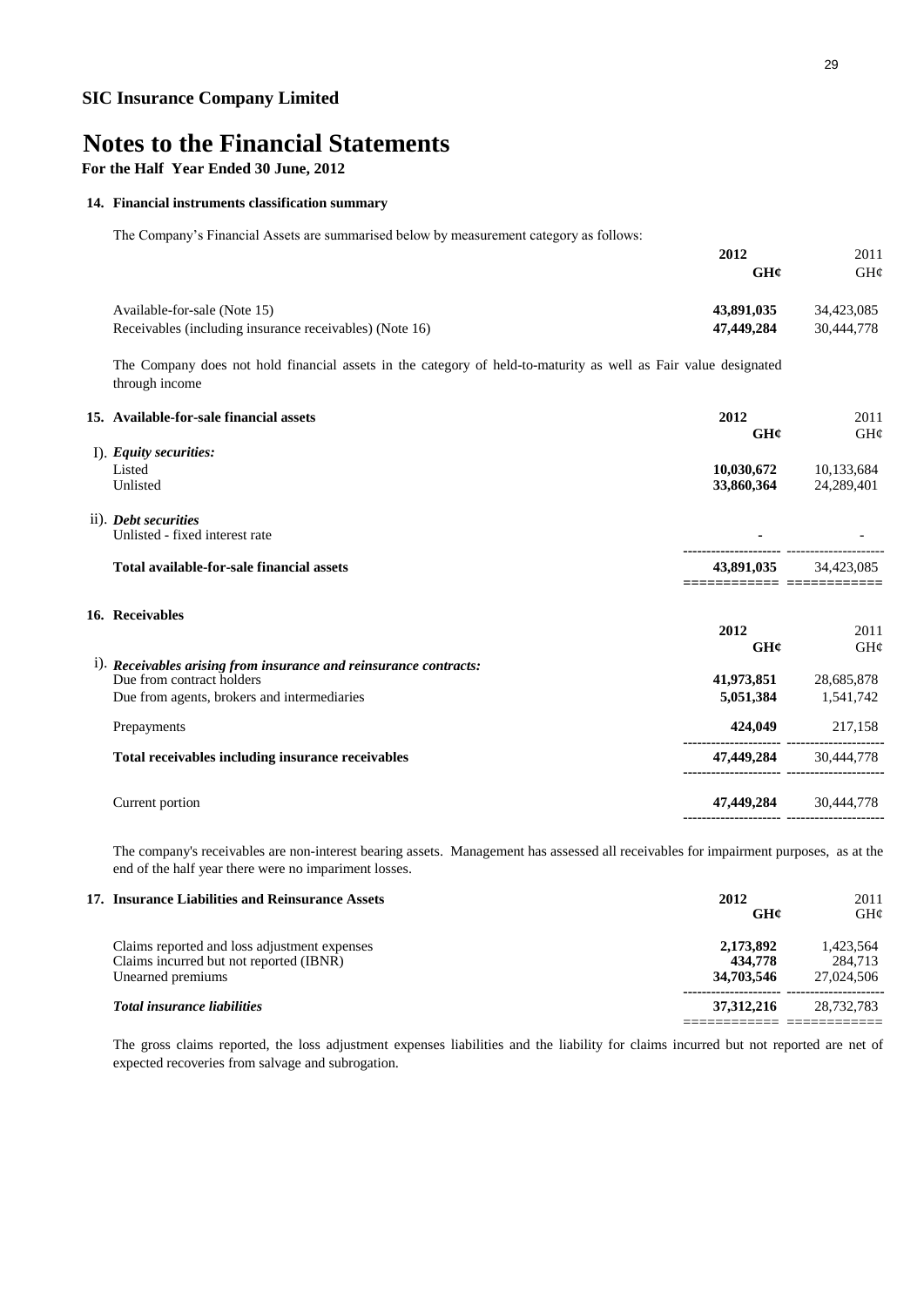**For the Half Year Ended 30 June, 2012**

#### **14. Financial instruments classification summary**

The Company's Financial Assets are summarised below by measurement category as follows:

|                                                                                                                                   | 2012                                                          | 2011                |
|-----------------------------------------------------------------------------------------------------------------------------------|---------------------------------------------------------------|---------------------|
|                                                                                                                                   | GHC                                                           | GH¢                 |
| Available-for-sale (Note 15)                                                                                                      | 43,891,035                                                    | 34,423,085          |
| Receivables (including insurance receivables) (Note 16)                                                                           | 47,449,284                                                    | 30,444,778          |
| The Company does not hold financial assets in the category of held-to-maturity as well as Fair value designated<br>through income |                                                               |                     |
| 15. Available-for-sale financial assets                                                                                           | 2012<br>GHC                                                   | 2011<br>GH¢         |
| I). Equity securities:                                                                                                            |                                                               |                     |
| Listed                                                                                                                            | 10,030,672                                                    | 10,133,684          |
| Unlisted                                                                                                                          | 33,860,364                                                    | 24,289,401          |
| ii). Debt securities                                                                                                              |                                                               |                     |
| Unlisted - fixed interest rate                                                                                                    |                                                               |                     |
| Total available-for-sale financial assets                                                                                         | 43,891,035<br>=====================                           | 34,423,085          |
| 16. Receivables                                                                                                                   |                                                               |                     |
|                                                                                                                                   | 2012                                                          | 2011                |
|                                                                                                                                   | GH¢                                                           | GH¢                 |
| i). Receivables arising from insurance and reinsurance contracts:                                                                 |                                                               |                     |
| Due from contract holders                                                                                                         | 41,973,851                                                    | 28,685,878          |
| Due from agents, brokers and intermediaries                                                                                       |                                                               | 5,051,384 1,541,742 |
| Prepayments                                                                                                                       | 424,049                                                       | 217,158             |
| Total receivables including insurance receivables                                                                                 | 47,449,284<br>                                                | 30,444,778          |
| Current portion                                                                                                                   | 47,449,284 30,444,778<br>---------------------- ------------- |                     |
|                                                                                                                                   |                                                               |                     |

The company's receivables are non-interest bearing assets. Management has assessed all receivables for impairment purposes, as at the end of the half year there were no impariment losses.

| 17. Insurance Liabilities and Reinsurance Assets                                                             | 2012<br>GHC                        | 2011<br>GHC                        |
|--------------------------------------------------------------------------------------------------------------|------------------------------------|------------------------------------|
| Claims reported and loss adjustment expenses<br>Claims incurred but not reported (IBNR)<br>Unearned premiums | 2,173,892<br>434,778<br>34,703,546 | 1.423.564<br>284.713<br>27,024,506 |
| <b>Total insurance liabilities</b>                                                                           | 37.312.216                         | 28,732,783                         |

The gross claims reported, the loss adjustment expenses liabilities and the liability for claims incurred but not reported are net of expected recoveries from salvage and subrogation.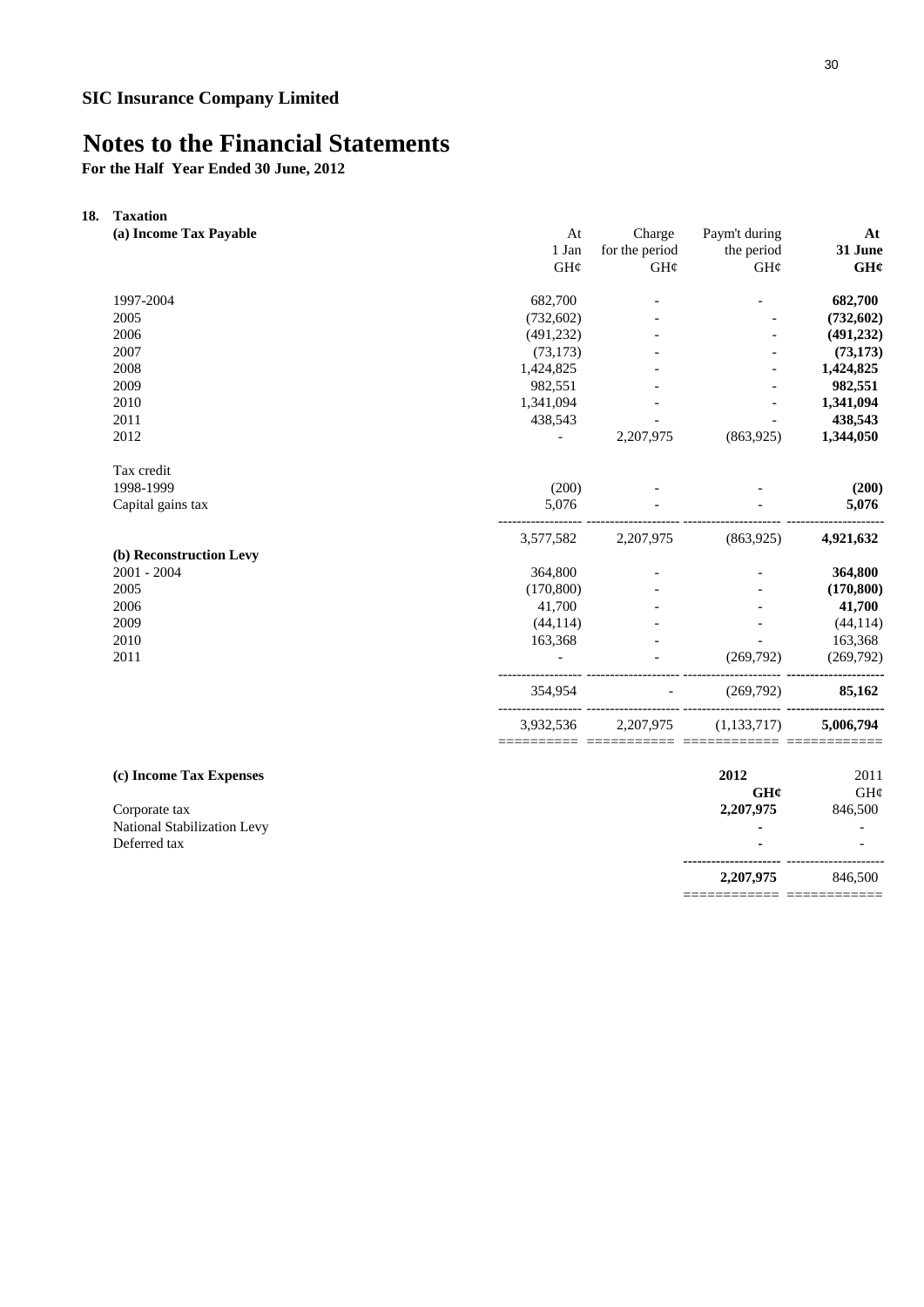**For the Half Year Ended 30 June, 2012**

| 18. | <b>Taxation</b>             |                |                      |                |            |
|-----|-----------------------------|----------------|----------------------|----------------|------------|
|     | (a) Income Tax Payable      | At             | Charge               | Paym't during  | At         |
|     |                             | 1 Jan          | for the period       | the period     | 31 June    |
|     |                             | GH¢            | $\mathrm{GH}\varphi$ | GH¢            | GH¢        |
|     | 1997-2004                   | 682,700        |                      |                | 682,700    |
|     | 2005                        | (732, 602)     |                      |                | (732, 602) |
|     | 2006                        | (491, 232)     |                      |                | (491, 232) |
|     | 2007                        | (73, 173)      |                      |                | (73, 173)  |
|     | 2008                        | 1,424,825      |                      |                | 1,424,825  |
|     | 2009                        | 982,551        |                      |                | 982,551    |
|     | 2010                        | 1,341,094      |                      | $\overline{a}$ | 1,341,094  |
|     | 2011                        | 438,543        |                      |                | 438,543    |
|     | 2012                        | $\blacksquare$ | 2,207,975            | (863,925)      | 1,344,050  |
|     | Tax credit                  |                |                      |                |            |
|     | 1998-1999                   | (200)          |                      |                | (200)      |
|     | Capital gains tax           | 5,076          |                      |                | 5,076      |
|     |                             | 3,577,582      | 2,207,975            | (863,925)      | 4,921,632  |
|     | (b) Reconstruction Levy     |                |                      |                |            |
|     | 2001 - 2004                 | 364,800        |                      |                | 364,800    |
|     | 2005                        | (170, 800)     |                      |                | (170, 800) |
|     | 2006                        | 41,700         |                      |                | 41,700     |
|     | 2009                        | (44, 114)      |                      |                | (44, 114)  |
|     | 2010                        | 163,368        |                      |                | 163,368    |
|     | 2011                        |                |                      | (269,792)      | (269,792)  |
|     |                             | 354,954        |                      | (269,792)      | 85,162     |
|     |                             | 3,932,536      | 2,207,975            | (1, 133, 717)  | 5,006,794  |
|     | (c) Income Tax Expenses     |                |                      | 2012           | 2011       |
|     |                             |                |                      | GHC            | GH¢        |
|     | Corporate tax               |                |                      | 2,207,975      | 846,500    |
|     | National Stabilization Levy |                |                      |                |            |
|     | Deferred tax                |                |                      |                |            |
|     |                             |                |                      | 2,207,975      | 846,500    |

========================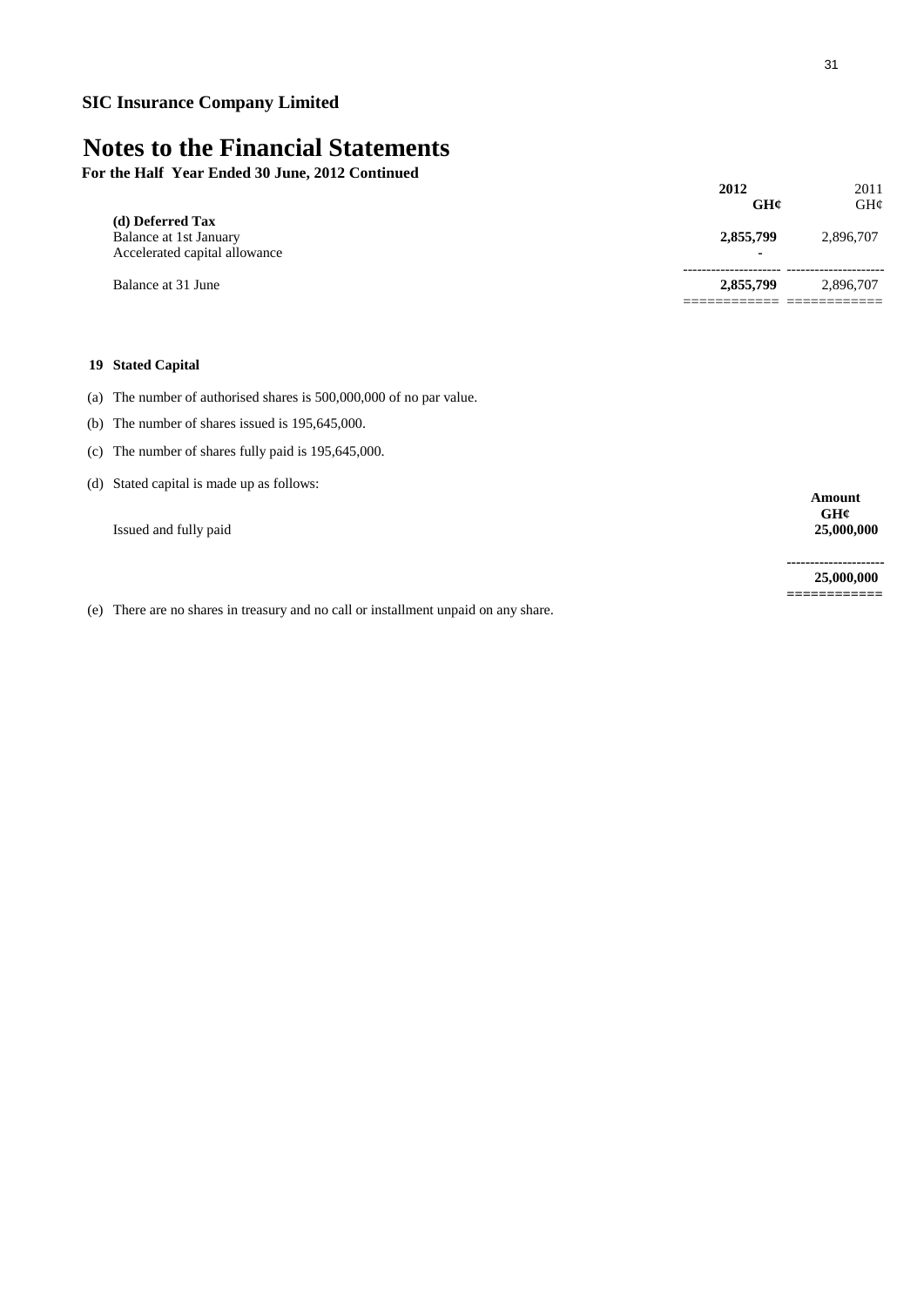**For the Half Year Ended 30 June, 2012 Continued**

|                                                                             | 2012<br>GHC                           | 2011<br>GHC |
|-----------------------------------------------------------------------------|---------------------------------------|-------------|
| (d) Deferred Tax<br>Balance at 1st January<br>Accelerated capital allowance | 2,855,799<br>$\overline{\phantom{0}}$ | 2,896,707   |
| Balance at 31 June                                                          | 2,855,799                             | 2,896,707   |

### **19 Stated Capital**

- (a) The number of authorised shares is 500,000,000 of no par value.
- (b) The number of shares issued is 195,645,000.
- (c) The number of shares fully paid is 195,645,000.
- (d) Stated capital is made up as follows:

Issued and fully paid **25,000,000**

**--------------------- 25,000,000 ============**

**Amount GH¢**

(e) There are no shares in treasury and no call or installment unpaid on any share.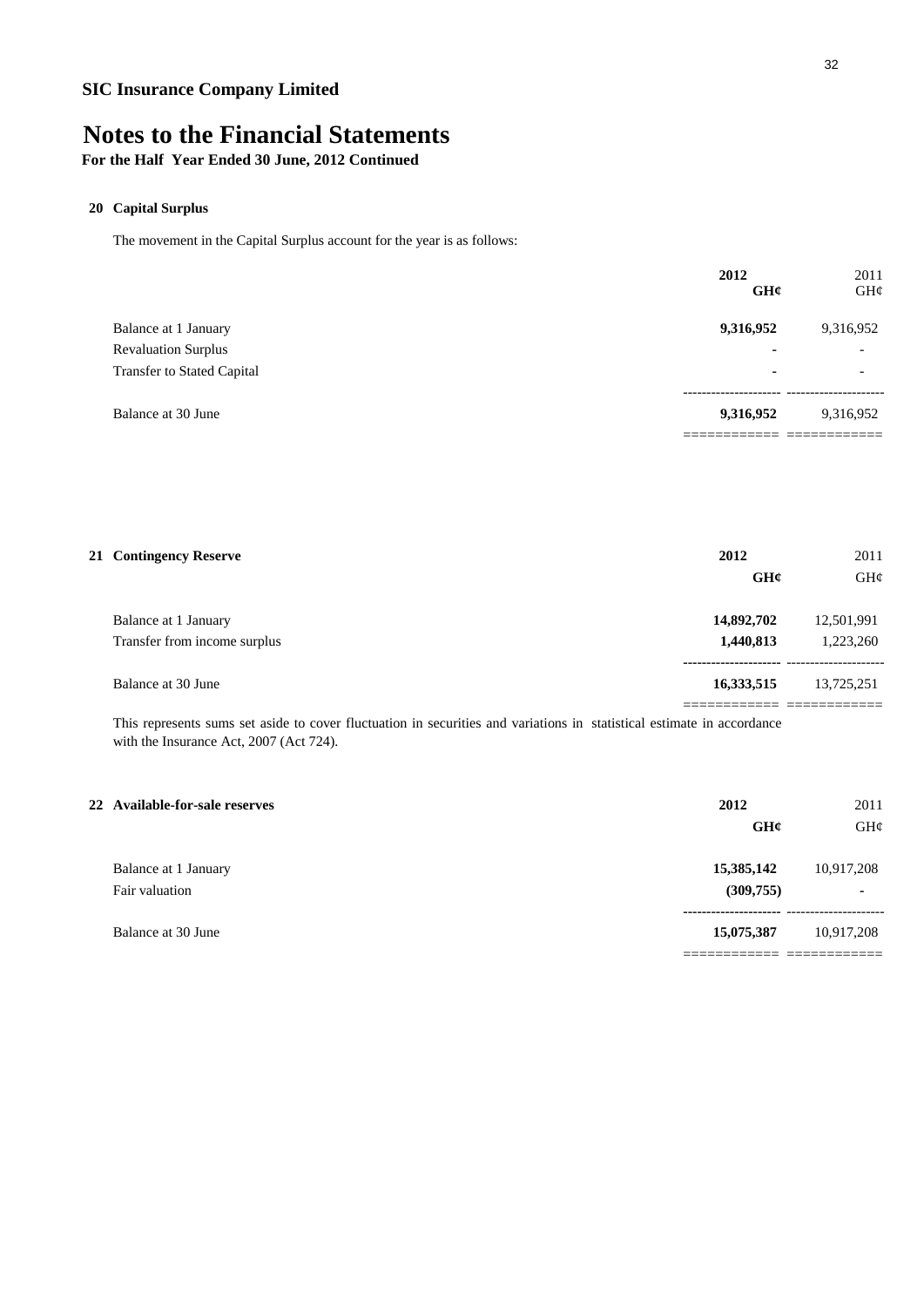# **Notes to the Financial Statements**

### **For the Half Year Ended 30 June, 2012 Continued**

### **20 Capital Surplus**

The movement in the Capital Surplus account for the year is as follows:

|                                   | 2012<br>GHC | 2011<br>GH¢              |
|-----------------------------------|-------------|--------------------------|
| Balance at 1 January              | 9,316,952   | 9,316,952                |
| <b>Revaluation Surplus</b>        | ۰           | $\overline{\phantom{0}}$ |
| <b>Transfer to Stated Capital</b> |             | $\overline{\phantom{a}}$ |
| Balance at 30 June                | 9,316,952   | 9,316,952                |
|                                   |             |                          |

| 21 Contingency Reserve                               | 2012<br>GHC             | 2011<br>GH¢             |
|------------------------------------------------------|-------------------------|-------------------------|
| Balance at 1 January<br>Transfer from income surplus | 14,892,702<br>1,440,813 | 12,501,991<br>1,223,260 |
| Balance at 30 June                                   | 16,333,515              | 13,725,251              |

This represents sums set aside to cover fluctuation in securities and variations in statistical estimate in accordance with the Insurance Act, 2007 (Act 724).

| 22 Available-for-sale reserves         | 2012                     | 2011                    |
|----------------------------------------|--------------------------|-------------------------|
|                                        | GHC                      | GHC                     |
| Balance at 1 January<br>Fair valuation | 15,385,142<br>(309, 755) | 10,917,208<br><b>м.</b> |
| Balance at 30 June                     | 15,075,387               | 10,917,208              |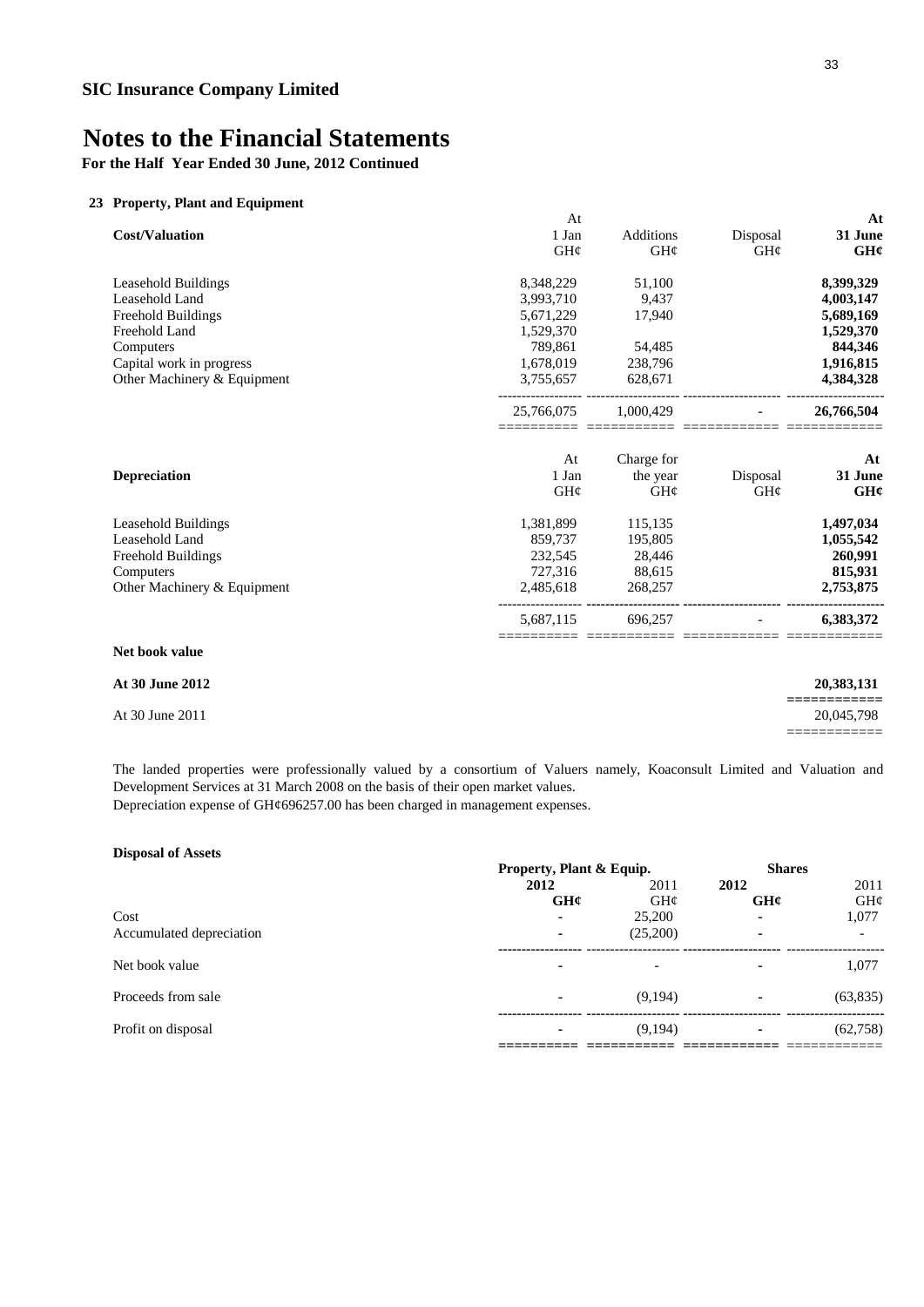**For the Half Year Ended 30 June, 2012 Continued**

### **23 Property, Plant and Equipment**

|                             | At         |                  |                 | At         |
|-----------------------------|------------|------------------|-----------------|------------|
| <b>Cost/Valuation</b>       | 1 Jan      | <b>Additions</b> | Disposal        | 31 June    |
|                             | GH¢        | GH¢              | $GH\mathcal{C}$ | GH¢        |
| <b>Leasehold Buildings</b>  | 8,348,229  | 51,100           |                 | 8,399,329  |
| Leasehold Land              | 3,993,710  | 9,437            |                 | 4,003,147  |
| Freehold Buildings          | 5,671,229  | 17,940           |                 | 5,689,169  |
| Freehold Land               | 1,529,370  |                  |                 | 1,529,370  |
| Computers                   | 789,861    | 54,485           |                 | 844,346    |
| Capital work in progress    | 1,678,019  | 238,796          |                 | 1,916,815  |
| Other Machinery & Equipment | 3,755,657  | 628,671          |                 | 4,384,328  |
|                             | 25,766,075 | 1,000,429        |                 | 26,766,504 |
|                             | At         | Charge for       |                 | At         |
| <b>Depreciation</b>         | 1 Jan      | the year         | Disposal        | 31 June    |
|                             | GH¢        | GH¢              | GH¢             | GH¢        |
| Leasehold Buildings         | 1,381,899  | 115,135          |                 | 1,497,034  |
| Leasehold Land              | 859,737    | 195,805          |                 | 1,055,542  |
| <b>Freehold Buildings</b>   | 232,545    | 28,446           |                 | 260,991    |
| Computers                   | 727,316    | 88,615           |                 | 815,931    |
| Other Machinery & Equipment | 2,485,618  | 268,257          |                 | 2,753,875  |
|                             | 5,687,115  | 696.257          |                 | 6,383,372  |
| Net book value              |            |                  |                 |            |

| <b>At 30 June 2012</b> | 20,383,131                              |
|------------------------|-----------------------------------------|
| At 30 June 2011        | __________<br>___________<br>20,045,798 |
|                        |                                         |

Depreciation expense of GH¢696257.00 has been charged in management expenses. The landed properties were professionally valued by a consortium of Valuers namely, Koaconsult Limited and Valuation and Development Services at 31 March 2008 on the basis of their open market values.

| <b>Disposal of Assets</b> |                          |          |                          |           |
|---------------------------|--------------------------|----------|--------------------------|-----------|
|                           | Property, Plant & Equip. |          | <b>Shares</b>            |           |
|                           | 2012                     | 2011     | 2012                     | 2011      |
|                           | GHC                      | GH@      | GHC                      | GH¢       |
| Cost                      | $\blacksquare$           | 25,200   |                          | 1,077     |
| Accumulated depreciation  | $\blacksquare$           | (25,200) | $\overline{\phantom{0}}$ |           |
| Net book value            | ۰                        |          |                          | 1,077     |
| Proceeds from sale        | $\blacksquare$           | (9,194)  | $\blacksquare$           | (63, 835) |
| Profit on disposal        | ٠                        | (9,194)  |                          | (62, 758) |
|                           |                          |          |                          |           |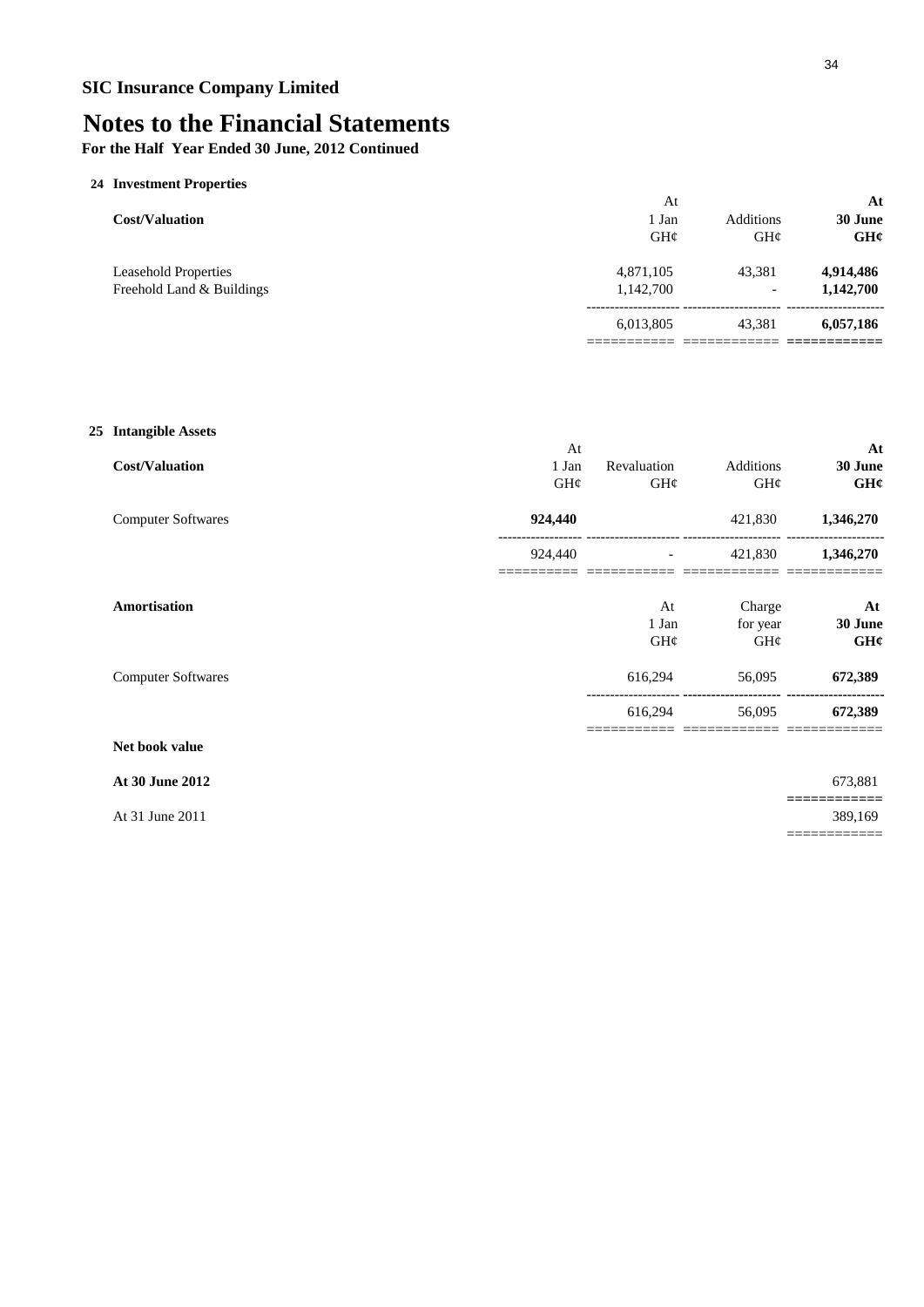**For the Half Year Ended 30 June, 2012 Continued**

### **24 Investment Properties**

| <b>Cost/Valuation</b>                                    | At<br>l Jan<br>GH@     | Additions<br>GHC                   | At<br>30 June<br>GH¢   |
|----------------------------------------------------------|------------------------|------------------------------------|------------------------|
| <b>Leasehold Properties</b><br>Freehold Land & Buildings | 4,871,105<br>1,142,700 | 43.381<br>$\overline{\phantom{0}}$ | 4,914,486<br>1,142,700 |
|                                                          | 6,013,805              | 43.381                             | 6,057,186              |
|                                                          |                        |                                    |                        |

### **25 Intangible Assets**

|                           | At              |                 |                 | At        |
|---------------------------|-----------------|-----------------|-----------------|-----------|
| <b>Cost/Valuation</b>     | 1 Jan           | Revaluation     | Additions       | 30 June   |
|                           | $GH\mathcal{C}$ | $GH\mathcal{C}$ | $GH\mathcal{C}$ | GH¢       |
| <b>Computer Softwares</b> | 924,440         |                 | 421,830         | 1,346,270 |
|                           | 924,440         |                 | 421,830         | 1,346,270 |
| Amortisation              |                 | At              | Charge          | At        |
|                           |                 | 1 Jan           | for year        | 30 June   |
|                           |                 | $GH\mathcal{C}$ | $GH\mathcal{C}$ | GH¢       |
| <b>Computer Softwares</b> |                 | 616,294         | 56,095          | 672,389   |
|                           |                 | 616,294         | 56,095          | 672,389   |
| Net book value            |                 |                 |                 |           |

### **At 30 June 2012** 673,881

At 31 June 2011 389,169

**============**

============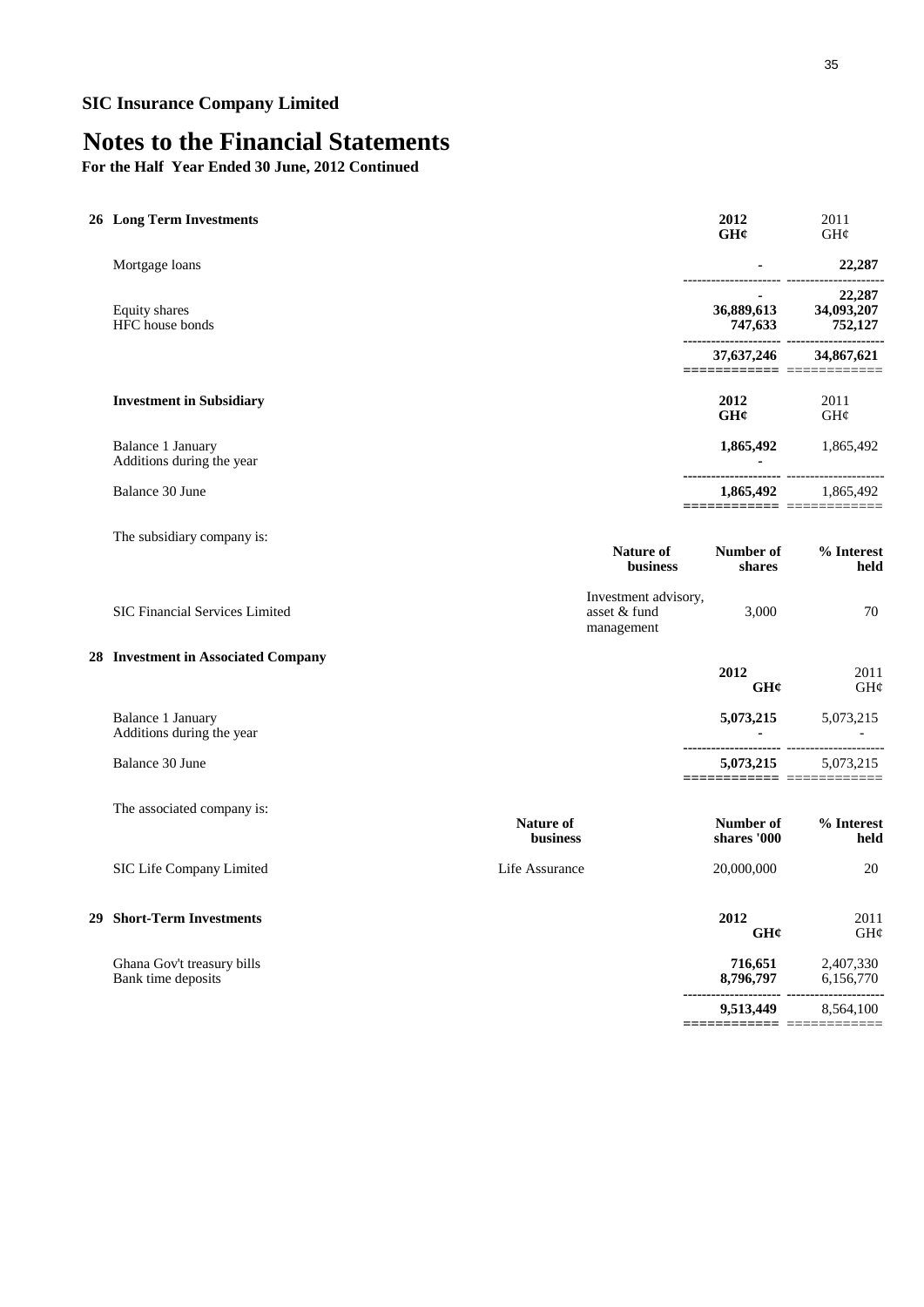# **Notes to the Financial Statements**

**For the Half Year Ended 30 June, 2012 Continued**

| <b>26 Long Term Investments</b>                  |                                                    | 2012<br>GHC                              | 2011<br>GH¢                       |
|--------------------------------------------------|----------------------------------------------------|------------------------------------------|-----------------------------------|
| Mortgage loans                                   |                                                    |                                          | 22,287                            |
| Equity shares<br>HFC house bonds                 |                                                    | 36,889,613<br>747,633                    | 22,287<br>34,093,207<br>752,127   |
|                                                  |                                                    | 37,637,246<br>========================== | 34,867,621                        |
| <b>Investment in Subsidiary</b>                  |                                                    | 2012<br>GHC                              | 2011<br>GH¢                       |
| Balance 1 January<br>Additions during the year   |                                                    | 1,865,492                                | 1,865,492                         |
| Balance 30 June                                  |                                                    | 1,865,492                                | 1,865,492                         |
| The subsidiary company is:                       | <b>Nature of</b><br>business                       | Number of<br>shares                      | % Interest<br>held                |
| SIC Financial Services Limited                   | Investment advisory,<br>asset & fund<br>management | 3,000                                    | 70                                |
| 28 Investment in Associated Company              |                                                    | 2012<br>GH¢                              | 2011<br>$\mathrm{GH}\mathfrak{C}$ |
| Balance 1 January<br>Additions during the year   |                                                    | 5,073,215                                | 5,073,215                         |
| Balance 30 June                                  |                                                    | 5,073,215                                | 5,073,215                         |
| The associated company is:                       | Nature of<br>business                              | Number of<br>shares '000                 | % Interest<br>held                |
| SIC Life Company Limited                         | Life Assurance                                     | 20,000,000                               | 20                                |
| 29 Short-Term Investments                        |                                                    | 2012<br>GH¢                              | 2011<br>GH¢                       |
| Ghana Gov't treasury bills<br>Bank time deposits |                                                    | 716,651<br>8,796,797                     | 2,407,330<br>6,156,770            |

**--------------------- --------------------- 9,513,449** 8,564,100

**============** ============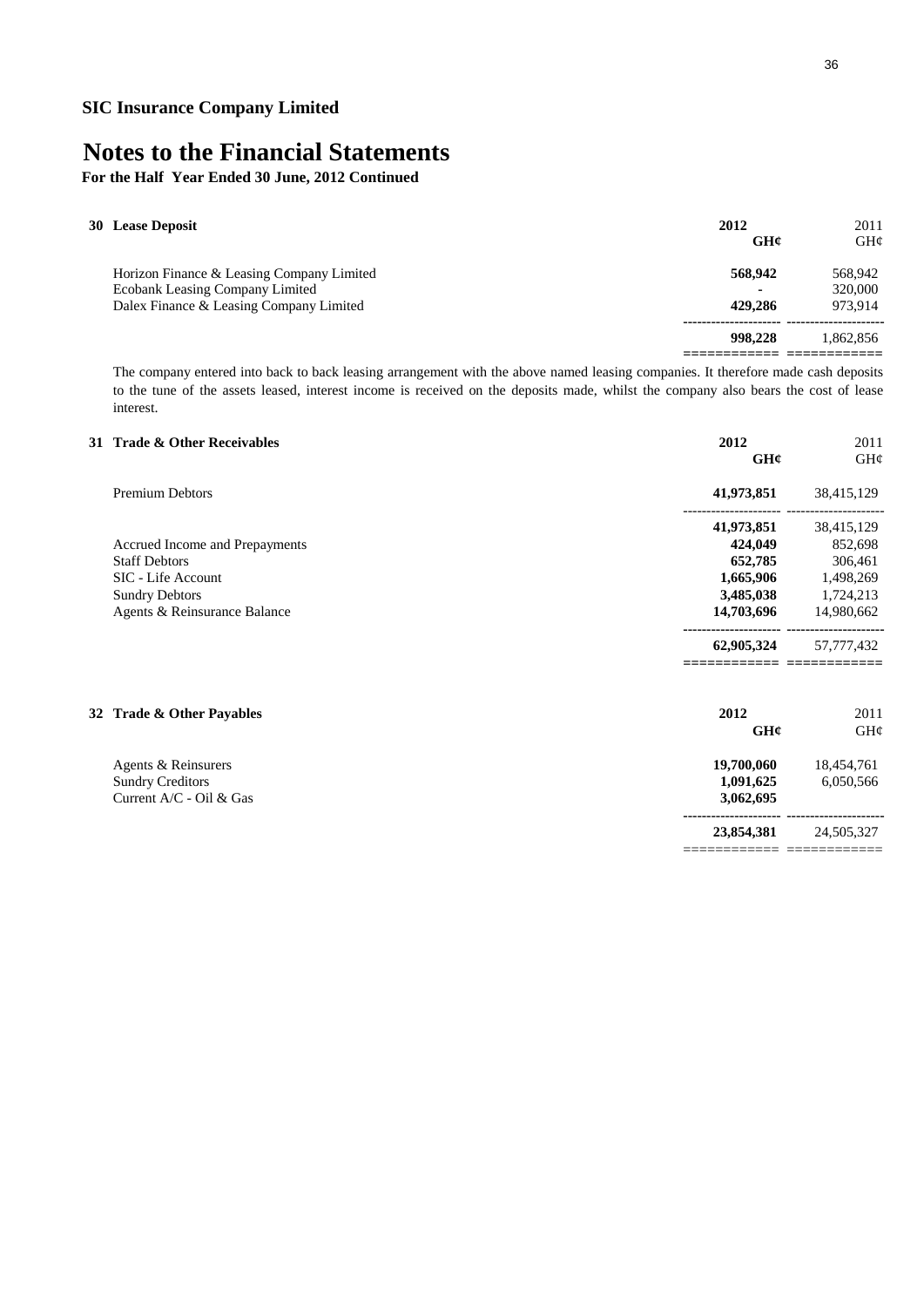**For the Half Year Ended 30 June, 2012 Continued**

| 30 Lease Deposit                                                                                                        | 2012<br>GHC        | 2011<br>GHC                   |
|-------------------------------------------------------------------------------------------------------------------------|--------------------|-------------------------------|
| Horizon Finance & Leasing Company Limited<br>Ecobank Leasing Company Limited<br>Dalex Finance & Leasing Company Limited | 568,942<br>429,286 | 568,942<br>320,000<br>973.914 |
|                                                                                                                         | 998.228            | 1.862.856                     |

The company entered into back to back leasing arrangement with the above named leasing companies. It therefore made cash deposits to the tune of the assets leased, interest income is received on the deposits made, whilst the company also bears the cost of lease interest.

### **31 Trade & Other Receivables 2012** 2011 **GH¢** GH¢ Premium Debtors **41,973,851** 38,415,129 --------------------- --------------------- **41,973,851** 38,415,129 Accrued Income and Prepayments **424,049** 852,698 Staff Debtors **652,785** 306,461 SIC - Life Account **1,665,906** 1,498,269 Sundry Debtors **3,485,038** 1,724,213 Agents & Reinsurance Balance **14,703,696** 14,980,662 **--------------------- --------------------- 62,905,324** 57,777,432 **============ ============ 32 Trade & Other Payables 2012** 2011 **GH¢** GH¢ Agents & Reinsurers **19,700,060** 18,454,761 Sundry Creditors **1,091,625** 6,050,566 Current A/C - Oil & Gas **3,062,695 --------------------- ---------------------**

**23,854,381** 24,505,327 ============ ============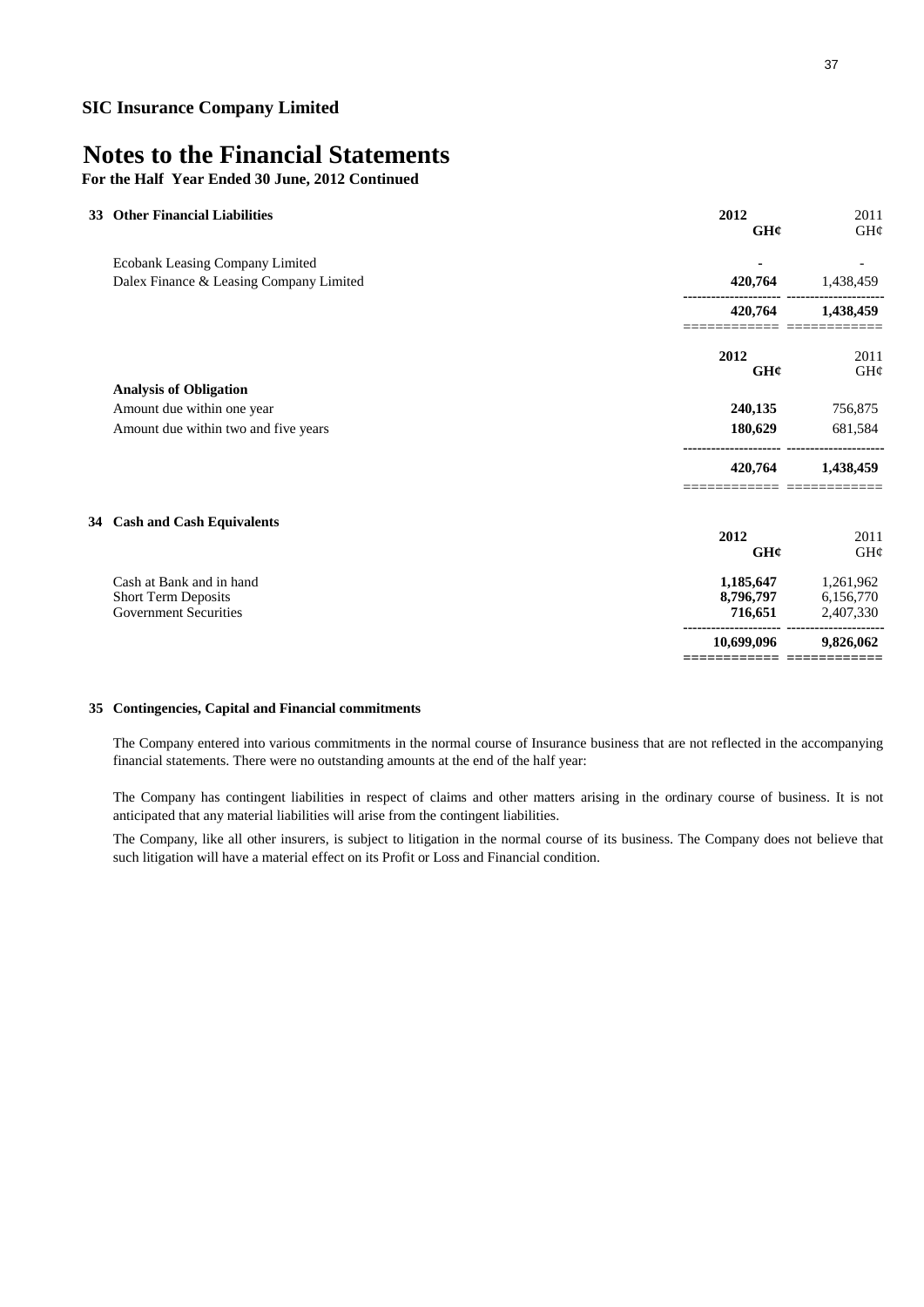**For the Half Year Ended 30 June, 2012 Continued**

| 33 | <b>Other Financial Liabilities</b>      | 2012<br>GH¢ | 2011<br>$GH\phi$ |
|----|-----------------------------------------|-------------|------------------|
|    | Ecobank Leasing Company Limited         |             |                  |
|    | Dalex Finance & Leasing Company Limited | 420,764     | 1,438,459        |
|    |                                         | 420,764     | 1,438,459        |
|    |                                         | 2012<br>GHC | 2011<br>GH¢      |
|    | <b>Analysis of Obligation</b>           |             |                  |
|    | Amount due within one year              | 240,135     | 756,875          |
|    | Amount due within two and five years    | 180,629     | 681,584          |
|    |                                         | 420,764     | 1,438,459        |
|    | 34 Cash and Cash Equivalents            |             |                  |
|    |                                         | 2012<br>GH¢ | 2011<br>$GH\phi$ |
|    | Cash at Bank and in hand                | 1,185,647   | 1,261,962        |
|    | <b>Short Term Deposits</b>              | 8,796,797   | 6,156,770        |
|    | <b>Government Securities</b>            | 716,651     | 2,407,330        |
|    |                                         | 10.699.096  | 9,826,062        |
|    |                                         |             |                  |

#### **35 Contingencies, Capital and Financial commitments**

The Company entered into various commitments in the normal course of Insurance business that are not reflected in the accompanying financial statements. There were no outstanding amounts at the end of the half year:

The Company has contingent liabilities in respect of claims and other matters arising in the ordinary course of business. It is not anticipated that any material liabilities will arise from the contingent liabilities.

The Company, like all other insurers, is subject to litigation in the normal course of its business. The Company does not believe that such litigation will have a material effect on its Profit or Loss and Financial condition.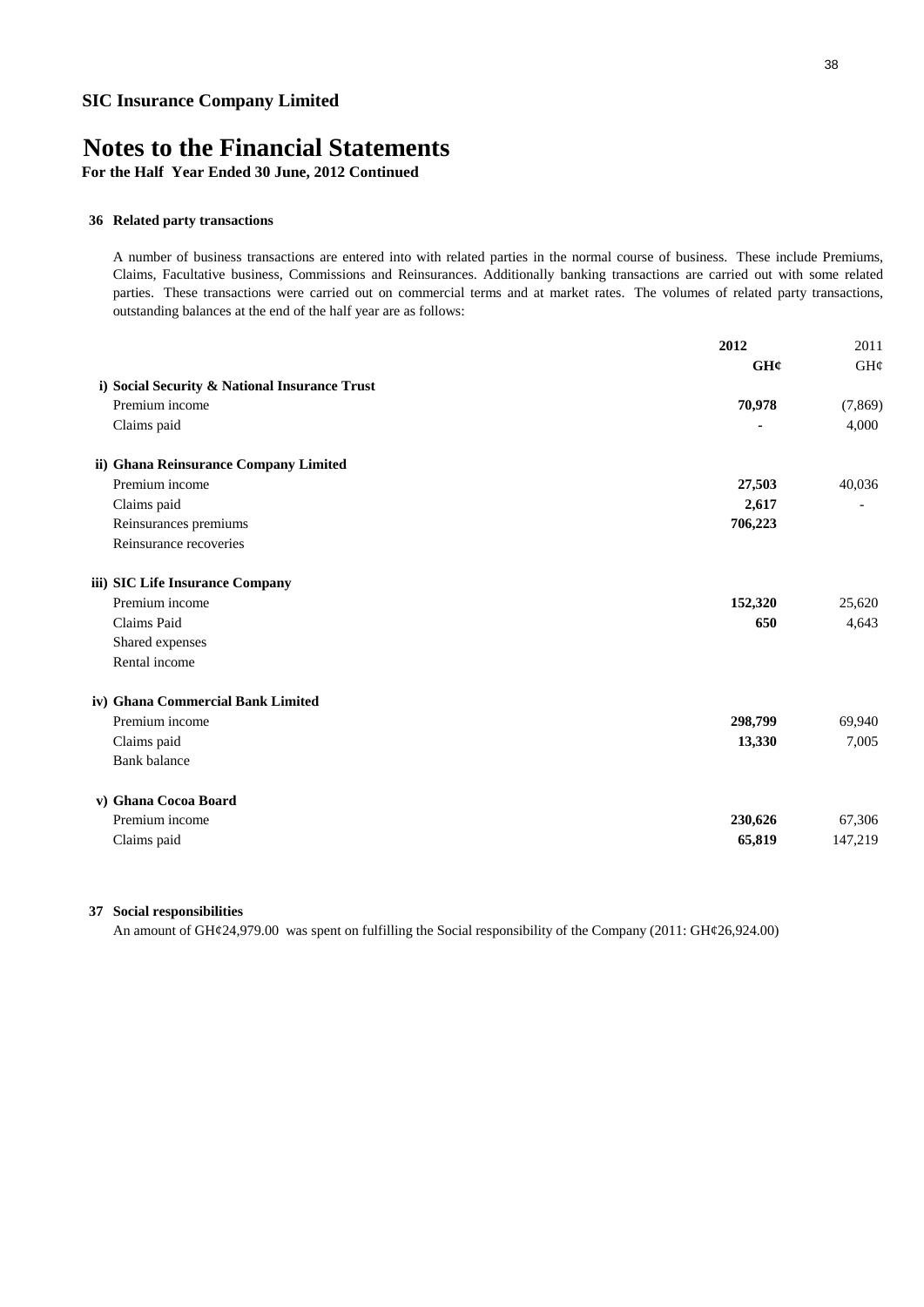**For the Half Year Ended 30 June, 2012 Continued**

#### **36 Related party transactions**

A number of business transactions are entered into with related parties in the normal course of business. These include Premiums, Claims, Facultative business, Commissions and Reinsurances. Additionally banking transactions are carried out with some related parties. These transactions were carried out on commercial terms and at market rates. The volumes of related party transactions, outstanding balances at the end of the half year are as follows:

|                                               | 2012    | 2011     |
|-----------------------------------------------|---------|----------|
|                                               | GH¢     | GH¢      |
| i) Social Security & National Insurance Trust |         |          |
| Premium income                                | 70,978  | (7, 869) |
| Claims paid                                   |         | 4,000    |
| ii) Ghana Reinsurance Company Limited         |         |          |
| Premium income                                | 27,503  | 40,036   |
| Claims paid                                   | 2,617   |          |
| Reinsurances premiums                         | 706,223 |          |
| Reinsurance recoveries                        |         |          |
| iii) SIC Life Insurance Company               |         |          |
| Premium income                                | 152,320 | 25,620   |
| Claims Paid                                   | 650     | 4,643    |
| Shared expenses                               |         |          |
| Rental income                                 |         |          |
| iv) Ghana Commercial Bank Limited             |         |          |
| Premium income                                | 298,799 | 69,940   |
| Claims paid                                   | 13,330  | 7,005    |
| <b>Bank</b> balance                           |         |          |
| v) Ghana Cocoa Board                          |         |          |
| Premium income                                | 230,626 | 67,306   |
| Claims paid                                   | 65,819  | 147,219  |
|                                               |         |          |

#### **37 Social responsibilities**

An amount of GH¢24,979.00 was spent on fulfilling the Social responsibility of the Company (2011: GH¢26,924.00)